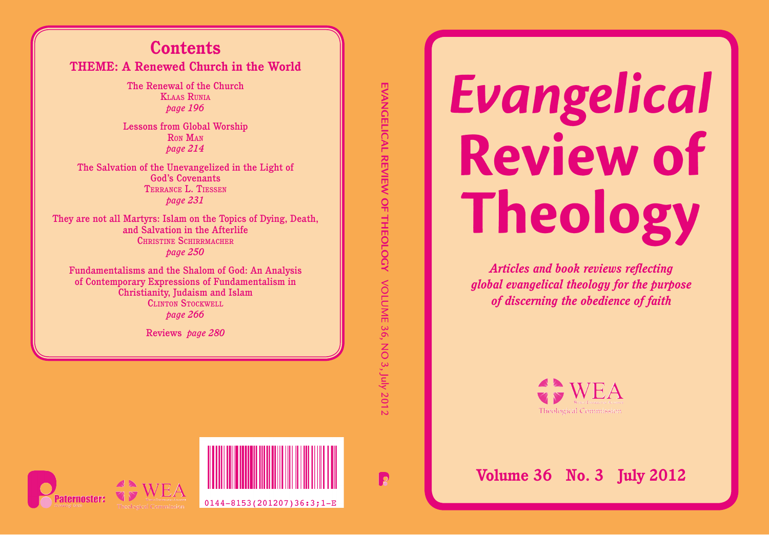## **Contents THEME: A Renewed Church in the World**

The Renewal of the Church **KLAAS RIINIA** *page 196*

Lessons from Global Worship RON MAN *page 214*

The Salvation of the Unevangelized in the Light of God's Covenants T ERRANCE L. TIESSEN *page 231*

They are not all Martyrs: Islam on the Topics of Dying, Death, and Salvation in the Afterlife CHRISTINE SCHIRRMACHER *page 250*

Fundamentalisms and the Shalom of God: An Analysis of Contemporary Expressions of Fundamentalism in Christianity, Judaism and Islam CLINTON STOCKWELL *page 266*

Reviews *page 280*

EVANGELICAL REVIEW OF THEOLOGY VOLUME 36, NO 3, July 2012 **EVANGELICAL REVIEW OF THEOLOGY** VOLUME 36, NO 3, July 2012

# Evangelical **Review of Theology**

*Articles and book reviews reflecting global evangelical theology for the purpose of discerning the obedience of faith*



**Volume 36 No. 3 July 2012**



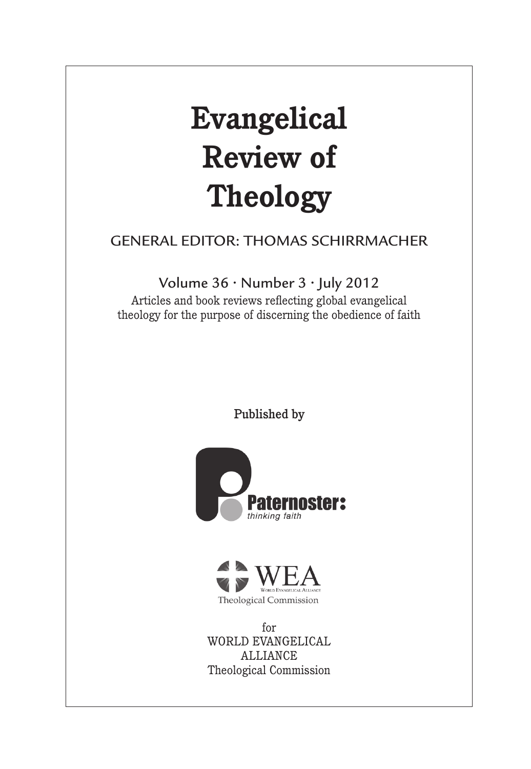# **Evangelical Review of Theology**

## GENERAL EDITOR: THOMAS SCHIRRMACHER

Volume 36 • Number 3 • July 2012

Articles and book reviews reflecting global evangelical theology for the purpose of discerning the obedience of faith

Published by





for WORLD EVANGELICAL ALLIANCE Theological Commission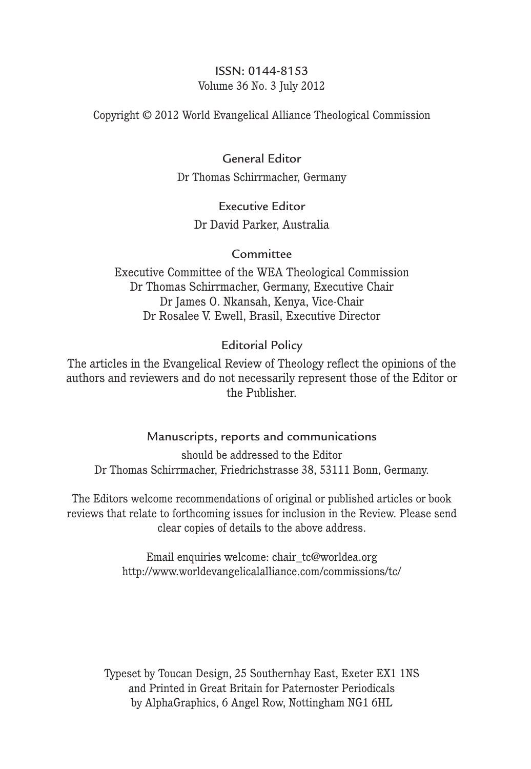#### ISSN: 0144-8153 Volume 36 No. 3 July 2012

Copyright © 2012 World Evangelical Alliance Theological Commission

## General Editor

Dr Thomas Schirrmacher, Germany

## Executive Editor Dr David Parker, Australia

#### Committee

Executive Committee of the WEA Theological Commission Dr Thomas Schirrmacher, Germany, Executive Chair Dr James O. Nkansah, Kenya, Vice-Chair Dr Rosalee V. Ewell, Brasil, Executive Director

## Editorial Policy

The articles in the Evangelical Review of Theology reflect the opinions of the authors and reviewers and do not necessarily represent those of the Editor or the Publisher.

## Manuscripts, reports and communications

should be addressed to the Editor Dr Thomas Schirrmacher, Friedrichstrasse 38, 53111 Bonn, Germany.

The Editors welcome recommendations of original or published articles or book reviews that relate to forthcoming issues for inclusion in the Review. Please send clear copies of details to the above address.

> Email enquiries welcome: chair\_tc@worldea.org http://www.worldevangelicalalliance.com/commissions/tc/

Typeset by Toucan Design, 25 Southernhay East, Exeter EX1 1NS and Printed in Great Britain for Paternoster Periodicals by AlphaGraphics, 6 Angel Row, Nottingham NG1 6HL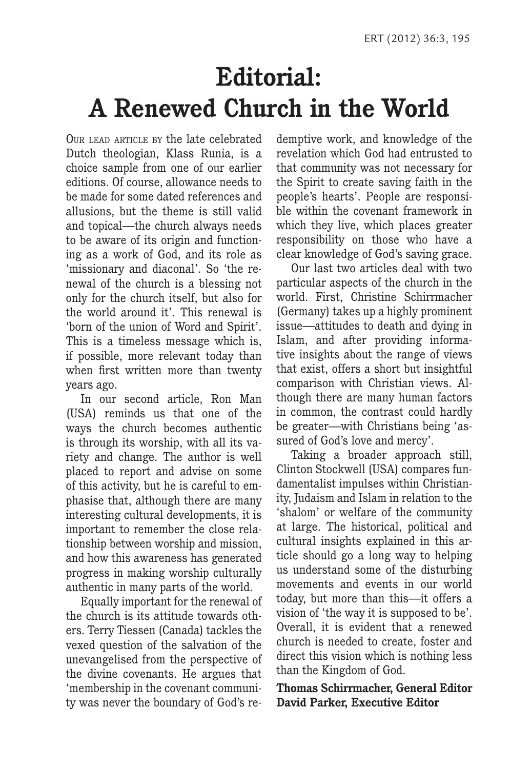# **Editorial: A Renewed Church in the World**

OUR LEAD ARTICLE BY the late celebrated Dutch theologian, Klass Runia, is a choice sample from one of our earlier editions. Of course, allowance needs to be made for some dated references and allusions, but the theme is still valid and topical—the church always needs to be aware of its origin and functioning as a work of God, and its role as 'missionary and diaconal'. So 'the renewal of the church is a blessing not only for the church itself, but also for the world around it'. This renewal is 'born of the union of Word and Spirit'. This is a timeless message which is, if possible, more relevant today than when first written more than twenty years ago.

In our second article, Ron Man (USA) reminds us that one of the ways the church becomes authentic is through its worship, with all its variety and change. The author is well placed to report and advise on some of this activity, but he is careful to emphasise that, although there are many interesting cultural developments, it is important to remember the close relationship between worship and mission, and how this awareness has generated progress in making worship culturally authentic in many parts of the world.

Equally important for the renewal of the church is its attitude towards others. Terry Tiessen (Canada) tackles the vexed question of the salvation of the unevangelised from the perspective of the divine covenants. He argues that 'membership in the covenant community was never the boundary of God's redemptive work, and knowledge of the revelation which God had entrusted to that community was not necessary for the Spirit to create saving faith in the people's hearts'. People are responsible within the covenant framework in which they live, which places greater responsibility on those who have a clear knowledge of God's saving grace.

Our last two articles deal with two particular aspects of the church in the world. First, Christine Schirrmacher (Germany) takes up a highly prominent issue—attitudes to death and dying in Islam, and after providing informative insights about the range of views that exist, offers a short but insightful comparison with Christian views. Although there are many human factors in common, the contrast could hardly be greater—with Christians being 'assured of God's love and mercy'.

Taking a broader approach still, Clinton Stockwell (USA) compares fundamentalist impulses within Christianity, Judaism and Islam in relation to the 'shalom' or welfare of the community at large. The historical, political and cultural insights explained in this article should go a long way to helping us understand some of the disturbing movements and events in our world today, but more than this—it offers a vision of 'the way it is supposed to be'. Overall, it is evident that a renewed church is needed to create, foster and direct this vision which is nothing less than the Kingdom of God.

**Thomas Schirrmacher, General Editor David Parker, Executive Editor**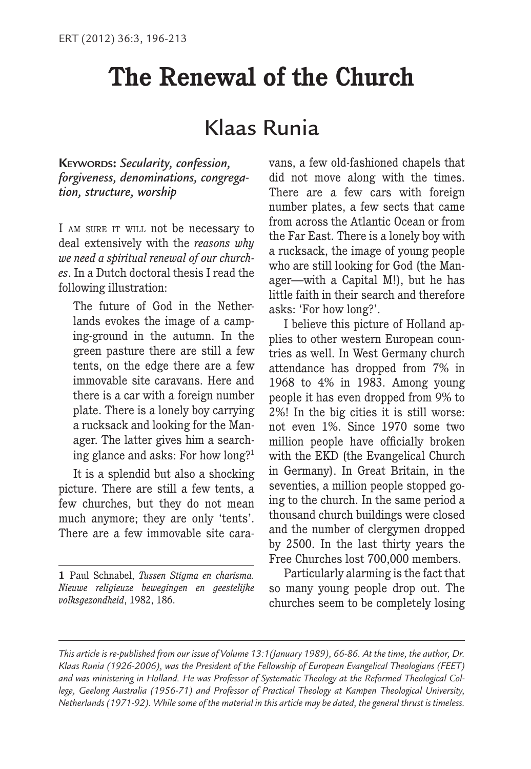# **The Renewal of the Church**

# Klaas Runia

**KEYWORDS:** *Secularity, confession, forgiveness, denominations, congregation, structure, worship*

I AM SURE IT WILL not be necessary to deal extensively with the *reasons why we need a spiritual renewal of our churches*. In a Dutch doctoral thesis I read the following illustration:

The future of God in the Netherlands evokes the image of a camping-ground in the autumn. In the green pasture there are still a few tents, on the edge there are a few immovable site caravans. Here and there is a car with a foreign number plate. There is a lonely boy carrying a rucksack and looking for the Manager. The latter gives him a searching glance and asks: For how long?1

It is a splendid but also a shocking picture. There are still a few tents, a few churches, but they do not mean much anymore; they are only 'tents'. There are a few immovable site caravans, a few old-fashioned chapels that did not move along with the times. There are a few cars with foreign number plates, a few sects that came from across the Atlantic Ocean or from the Far East. There is a lonely boy with a rucksack, the image of young people who are still looking for God (the Manager—with a Capital M!), but he has little faith in their search and therefore asks: 'For how long?'.

I believe this picture of Holland applies to other western European countries as well. In West Germany church attendance has dropped from 7% in 1968 to 4% in 1983. Among young people it has even dropped from 9% to 2%! In the big cities it is still worse: not even 1%. Since 1970 some two million people have officially broken with the EKD (the Evangelical Church in Germany). In Great Britain, in the seventies, a million people stopped going to the church. In the same period a thousand church buildings were closed and the number of clergymen dropped by 2500. In the last thirty years the Free Churches lost 700,000 members.

Particularly alarming is the fact that so many young people drop out. The churches seem to be completely losing

**<sup>1</sup>** Paul Schnabel, *Tussen Stigma en charisma. Nieuwe religieuze bewegingen en geestelijke volksgezondheid*, 1982, 186.

*This article is re-published from our issue of Volume 13:1(January 1989), 66-86. At the time, the author, Dr. Klaas Runia (1926-2006), was the President of the Fellowship of European Evangelical Theologians (FEET) and was ministering in Holland. He was Professor of Systematic Theology at the Reformed Theological College, Geelong Australia (1956-71) and Professor of Practical Theology at Kampen Theological University, Netherlands (1971-92). While some of the material in this article may be dated, the general thrust is timeless.*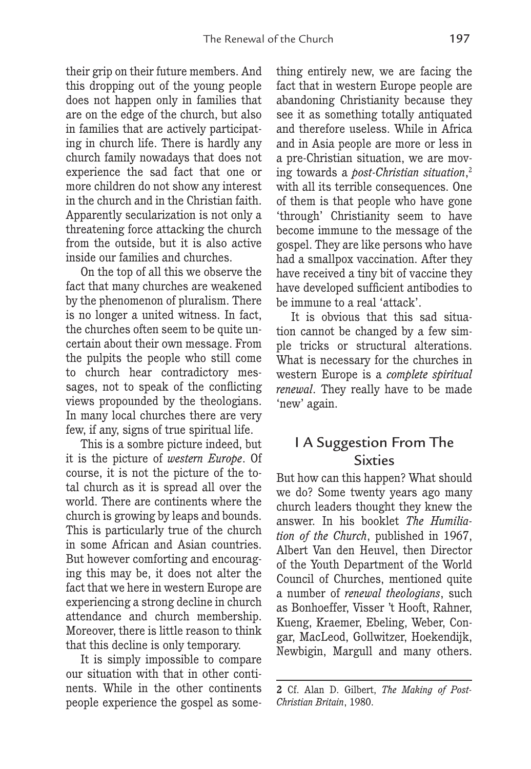their grip on their future members. And this dropping out of the young people does not happen only in families that are on the edge of the church, but also in families that are actively participating in church life. There is hardly any church family nowadays that does not experience the sad fact that one or more children do not show any interest in the church and in the Christian faith. Apparently secularization is not only a threatening force attacking the church from the outside, but it is also active inside our families and churches.

On the top of all this we observe the fact that many churches are weakened by the phenomenon of pluralism. There is no longer a united witness. In fact, the churches often seem to be quite uncertain about their own message. From the pulpits the people who still come to church hear contradictory messages, not to speak of the conflicting views propounded by the theologians. In many local churches there are very few, if any, signs of true spiritual life.

This is a sombre picture indeed, but it is the picture of *western Europe*. Of course, it is not the picture of the total church as it is spread all over the world. There are continents where the church is growing by leaps and bounds. This is particularly true of the church in some African and Asian countries. But however comforting and encouraging this may be, it does not alter the fact that we here in western Europe are experiencing a strong decline in church attendance and church membership. Moreover, there is little reason to think that this decline is only temporary.

It is simply impossible to compare our situation with that in other continents. While in the other continents people experience the gospel as something entirely new, we are facing the fact that in western Europe people are abandoning Christianity because they see it as something totally antiquated and therefore useless. While in Africa and in Asia people are more or less in a pre-Christian situation, we are moving towards a *post-Christian situation*, 2 with all its terrible consequences. One of them is that people who have gone 'through' Christianity seem to have become immune to the message of the gospel. They are like persons who have had a smallpox vaccination. After they have received a tiny bit of vaccine they have developed sufficient antibodies to be immune to a real 'attack'.

It is obvious that this sad situation cannot be changed by a few simple tricks or structural alterations. What is necessary for the churches in western Europe is a *complete spiritual renewal*. They really have to be made 'new' again.

## I A Suggestion From The Sixties

But how can this happen? What should we do? Some twenty years ago many church leaders thought they knew the answer. In his booklet *The Humiliation of the Church*, published in 1967, Albert Van den Heuvel, then Director of the Youth Department of the World Council of Churches, mentioned quite a number of *renewal theologians*, such as Bonhoeffer, Visser 't Hooft, Rahner, Kueng, Kraemer, Ebeling, Weber, Congar, MacLeod, Gollwitzer, Hoekendijk, Newbigin, Margull and many others.

**<sup>2</sup>** Cf. Alan D. Gilbert, *The Making of Post-Christian Britain*, 1980.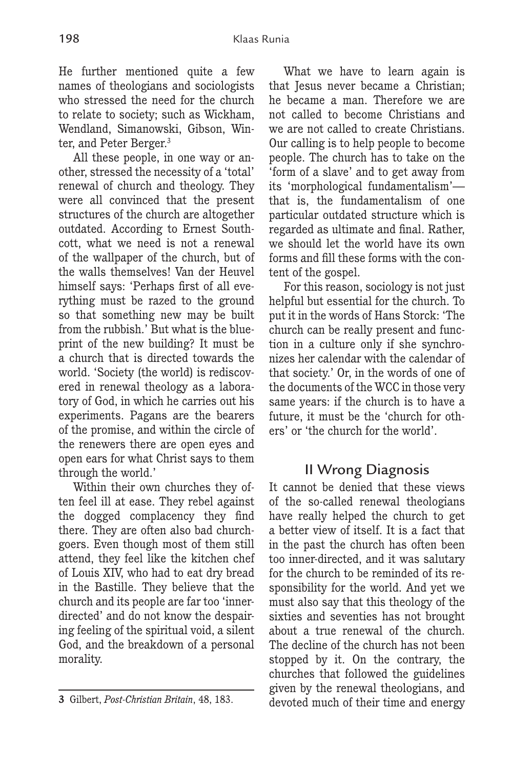He further mentioned quite a few names of theologians and sociologists who stressed the need for the church to relate to society; such as Wickham, Wendland, Simanowski, Gibson, Winter, and Peter Berger.3

All these people, in one way or another, stressed the necessity of a 'total' renewal of church and theology. They were all convinced that the present structures of the church are altogether outdated. According to Ernest Southcott, what we need is not a renewal of the wallpaper of the church, but of the walls themselves! Van der Heuvel himself says: 'Perhaps first of all everything must be razed to the ground so that something new may be built from the rubbish.' But what is the blueprint of the new building? It must be a church that is directed towards the world. 'Society (the world) is rediscovered in renewal theology as a laboratory of God, in which he carries out his experiments. Pagans are the bearers of the promise, and within the circle of the renewers there are open eyes and open ears for what Christ says to them through the world.'

Within their own churches they often feel ill at ease. They rebel against the dogged complacency they find there. They are often also bad churchgoers. Even though most of them still attend, they feel like the kitchen chef of Louis XIV, who had to eat dry bread in the Bastille. They believe that the church and its people are far too 'innerdirected' and do not know the despairing feeling of the spiritual void, a silent God, and the breakdown of a personal morality.

What we have to learn again is that Jesus never became a Christian; he became a man. Therefore we are not called to become Christians and we are not called to create Christians. Our calling is to help people to become people. The church has to take on the 'form of a slave' and to get away from its 'morphological fundamentalism' that is, the fundamentalism of one particular outdated structure which is regarded as ultimate and final. Rather, we should let the world have its own forms and fill these forms with the content of the gospel.

For this reason, sociology is not just helpful but essential for the church. To put it in the words of Hans Storck: 'The church can be really present and function in a culture only if she synchronizes her calendar with the calendar of that society.' Or, in the words of one of the documents of the WCC in those very same years: if the church is to have a future, it must be the 'church for others' or 'the church for the world'.

## II Wrong Diagnosis

It cannot be denied that these views of the so-called renewal theologians have really helped the church to get a better view of itself. It is a fact that in the past the church has often been too inner-directed, and it was salutary for the church to be reminded of its responsibility for the world. And yet we must also say that this theology of the sixties and seventies has not brought about a true renewal of the church. The decline of the church has not been stopped by it. On the contrary, the churches that followed the guidelines given by the renewal theologians, and devoted much of their time and energy

**<sup>3</sup>** Gilbert, *Post-Christian Britain*, 48, 183.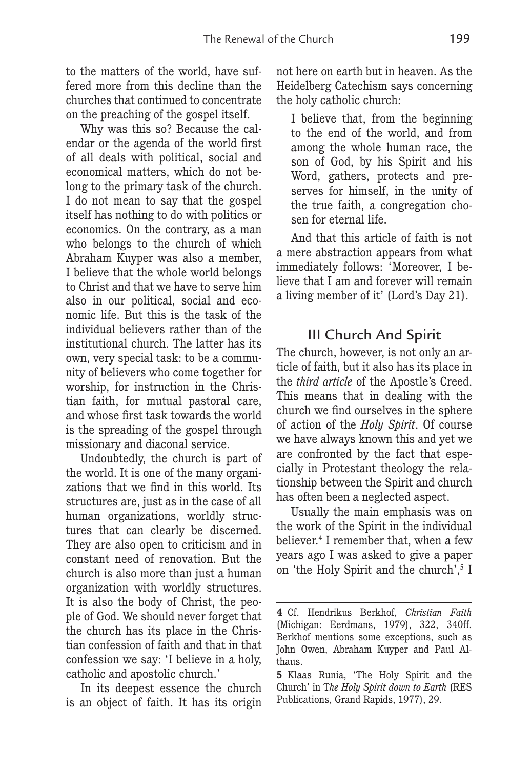to the matters of the world, have suffered more from this decline than the churches that continued to concentrate on the preaching of the gospel itself.

Why was this so? Because the calendar or the agenda of the world first of all deals with political, social and economical matters, which do not belong to the primary task of the church. I do not mean to say that the gospel itself has nothing to do with politics or economics. On the contrary, as a man who belongs to the church of which Abraham Kuyper was also a member, I believe that the whole world belongs to Christ and that we have to serve him also in our political, social and economic life. But this is the task of the individual believers rather than of the institutional church. The latter has its own, very special task: to be a community of believers who come together for worship, for instruction in the Christian faith, for mutual pastoral care, and whose first task towards the world is the spreading of the gospel through missionary and diaconal service.

Undoubtedly, the church is part of the world. It is one of the many organizations that we find in this world. Its structures are, just as in the case of all human organizations, worldly structures that can clearly be discerned. They are also open to criticism and in constant need of renovation. But the church is also more than just a human organization with worldly structures. It is also the body of Christ, the people of God. We should never forget that the church has its place in the Christian confession of faith and that in that confession we say: 'I believe in a holy, catholic and apostolic church.'

In its deepest essence the church is an object of faith. It has its origin

not here on earth but in heaven. As the Heidelberg Catechism says concerning the holy catholic church:

I believe that, from the beginning to the end of the world, and from among the whole human race, the son of God, by his Spirit and his Word, gathers, protects and preserves for himself, in the unity of the true faith, a congregation chosen for eternal life.

And that this article of faith is not a mere abstraction appears from what immediately follows: 'Moreover, I believe that I am and forever will remain a living member of it' (Lord's Day 21).

## III Church And Spirit

The church, however, is not only an article of faith, but it also has its place in the *third article* of the Apostle's Creed. This means that in dealing with the church we find ourselves in the sphere of action of the *Holy Spirit*. Of course we have always known this and yet we are confronted by the fact that especially in Protestant theology the relationship between the Spirit and church has often been a neglected aspect.

Usually the main emphasis was on the work of the Spirit in the individual believer.<sup>4</sup> I remember that, when a few years ago I was asked to give a paper on 'the Holy Spirit and the church',<sup>5</sup> I

**<sup>4</sup>** Cf. Hendrikus Berkhof, *Christian Faith* (Michigan: Eerdmans, 1979), 322, 340ff. Berkhof mentions some exceptions, such as John Owen, Abraham Kuyper and Paul Althaus.

**<sup>5</sup>** Klaas Runia, 'The Holy Spirit and the Church' in T*he Holy Spirit down to Earth* (RES Publications, Grand Rapids, 1977), 29.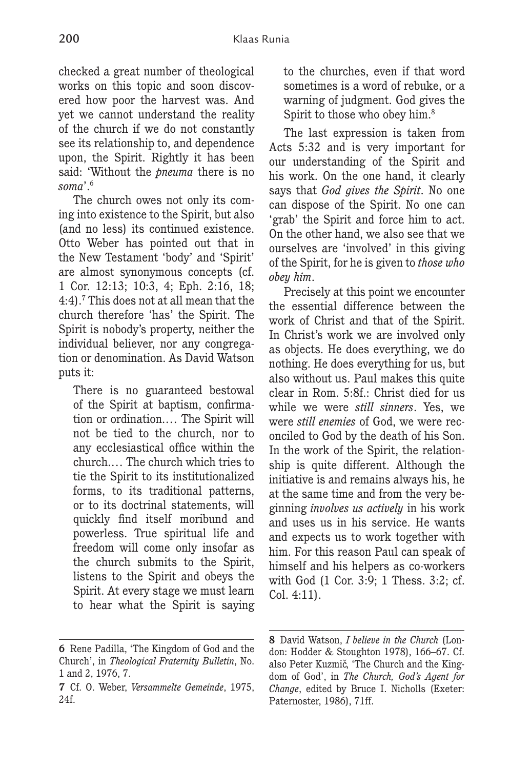checked a great number of theological works on this topic and soon discovered how poor the harvest was. And yet we cannot understand the reality of the church if we do not constantly see its relationship to, and dependence upon, the Spirit. Rightly it has been said: 'Without the *pneuma* there is no *soma*'.6

The church owes not only its coming into existence to the Spirit, but also (and no less) its continued existence. Otto Weber has pointed out that in the New Testament 'body' and 'Spirit' are almost synonymous concepts (cf. 1 Cor. 12:13; 10:3, 4; Eph. 2:16, 18; 4:4).7 This does not at all mean that the church therefore 'has' the Spirit. The Spirit is nobody's property, neither the individual believer, nor any congregation or denomination. As David Watson puts it:

There is no guaranteed bestowal of the Spirit at baptism, confirmation or ordination.… The Spirit will not be tied to the church, nor to any ecclesiastical office within the church.… The church which tries to tie the Spirit to its institutionalized forms, to its traditional patterns, or to its doctrinal statements, will quickly find itself moribund and powerless. True spiritual life and freedom will come only insofar as the church submits to the Spirit, listens to the Spirit and obeys the Spirit. At every stage we must learn to hear what the Spirit is saying

**6** Rene Padilla, 'The Kingdom of God and the Church', in *Theological Fraternity Bulletin*, No. 1 and 2, 1976, 7.

to the churches, even if that word sometimes is a word of rebuke, or a warning of judgment. God gives the Spirit to those who obey him.<sup>8</sup>

The last expression is taken from Acts 5:32 and is very important for our understanding of the Spirit and his work. On the one hand, it clearly says that *God gives the Spirit*. No one can dispose of the Spirit. No one can 'grab' the Spirit and force him to act. On the other hand, we also see that we ourselves are 'involved' in this giving of the Spirit, for he is given to *those who obey him*.

Precisely at this point we encounter the essential difference between the work of Christ and that of the Spirit. In Christ's work we are involved only as objects. He does everything, we do nothing. He does everything for us, but also without us. Paul makes this quite clear in Rom. 5:8f.: Christ died for us while we were *still sinners*. Yes, we were *still enemies* of God, we were reconciled to God by the death of his Son. In the work of the Spirit, the relationship is quite different. Although the initiative is and remains always his, he at the same time and from the very beginning *involves us actively* in his work and uses us in his service. He wants and expects us to work together with him. For this reason Paul can speak of himself and his helpers as co-workers with God (1 Cor. 3:9; 1 Thess. 3:2; cf. Col. 4:11).

**<sup>7</sup>** Cf. O. Weber, *Versammelte Gemeinde*, 1975, 24f.

**<sup>8</sup>** David Watson, *I believe in the Church* (London: Hodder & Stoughton 1978), 166–67. Cf. also Peter Kuzmič, 'The Church and the Kingdom of God', in *The Church, God's Agent for Change*, edited by Bruce I. Nicholls (Exeter: Paternoster, 1986), 71ff.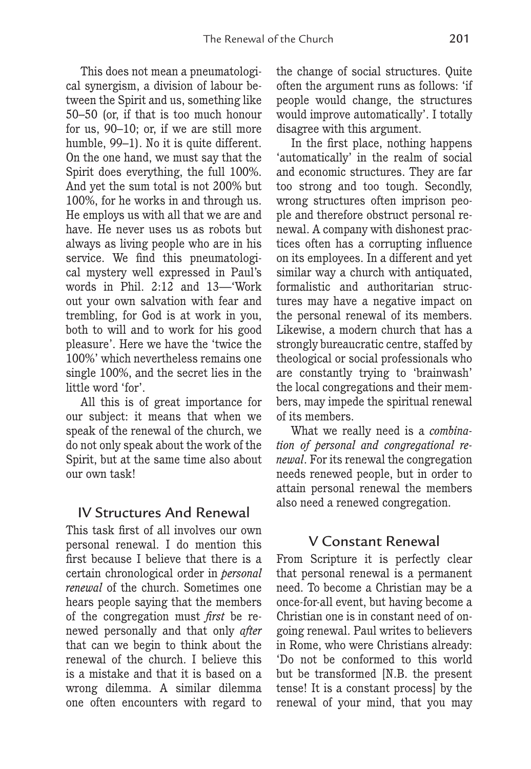This does not mean a pneumatological synergism, a division of labour between the Spirit and us, something like 50–50 (or, if that is too much honour for us, 90–10; or, if we are still more humble, 99–1). No it is quite different. On the one hand, we must say that the Spirit does everything, the full 100%. And yet the sum total is not 200% but 100%, for he works in and through us. He employs us with all that we are and have. He never uses us as robots but always as living people who are in his service. We find this pneumatological mystery well expressed in Paul's words in Phil. 2:12 and 13—'Work out your own salvation with fear and trembling, for God is at work in you, both to will and to work for his good pleasure'. Here we have the 'twice the 100%' which nevertheless remains one single 100%, and the secret lies in the little word 'for'.

All this is of great importance for our subject: it means that when we speak of the renewal of the church, we do not only speak about the work of the Spirit, but at the same time also about our own task!

## IV Structures And Renewal

This task first of all involves our own personal renewal. I do mention this first because I believe that there is a certain chronological order in *personal renewal* of the church. Sometimes one hears people saying that the members of the congregation must *first* be renewed personally and that only *after* that can we begin to think about the renewal of the church. I believe this is a mistake and that it is based on a wrong dilemma. A similar dilemma one often encounters with regard to

the change of social structures. Quite often the argument runs as follows: 'if people would change, the structures would improve automatically'. I totally disagree with this argument.

In the first place, nothing happens 'automatically' in the realm of social and economic structures. They are far too strong and too tough. Secondly, wrong structures often imprison people and therefore obstruct personal renewal. A company with dishonest practices often has a corrupting influence on its employees. In a different and yet similar way a church with antiquated, formalistic and authoritarian structures may have a negative impact on the personal renewal of its members. Likewise, a modern church that has a strongly bureaucratic centre, staffed by theological or social professionals who are constantly trying to 'brainwash' the local congregations and their members, may impede the spiritual renewal of its members.

What we really need is a *combination of personal and congregational renewal*. For its renewal the congregation needs renewed people, but in order to attain personal renewal the members also need a renewed congregation.

## V Constant Renewal

From Scripture it is perfectly clear that personal renewal is a permanent need. To become a Christian may be a once-for-all event, but having become a Christian one is in constant need of ongoing renewal. Paul writes to believers in Rome, who were Christians already: 'Do not be conformed to this world but be transformed [N.B. the present tense! It is a constant process] by the renewal of your mind, that you may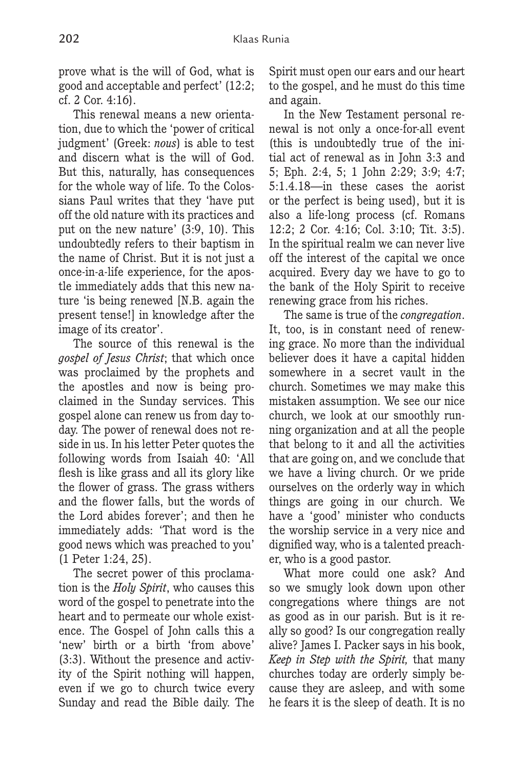prove what is the will of God, what is good and acceptable and perfect' (12:2; cf. 2 Cor. 4:16).

This renewal means a new orientation, due to which the 'power of critical judgment' (Greek: *nous*) is able to test and discern what is the will of God. But this, naturally, has consequences for the whole way of life. To the Colossians Paul writes that they 'have put off the old nature with its practices and put on the new nature' (3:9, 10). This undoubtedly refers to their baptism in the name of Christ. But it is not just a once-in-a-life experience, for the apostle immediately adds that this new nature 'is being renewed [N.B. again the present tense!] in knowledge after the image of its creator'.

The source of this renewal is the *gospel of Jesus Christ*; that which once was proclaimed by the prophets and the apostles and now is being proclaimed in the Sunday services. This gospel alone can renew us from day today. The power of renewal does not reside in us. In his letter Peter quotes the following words from Isaiah 40: 'All flesh is like grass and all its glory like the flower of grass. The grass withers and the flower falls, but the words of the Lord abides forever'; and then he immediately adds: 'That word is the good news which was preached to you' (1 Peter 1:24, 25).

The secret power of this proclamation is the *Holy Spirit*, who causes this word of the gospel to penetrate into the heart and to permeate our whole existence. The Gospel of John calls this a 'new' birth or a birth 'from above' (3:3). Without the presence and activity of the Spirit nothing will happen, even if we go to church twice every Sunday and read the Bible daily. The Spirit must open our ears and our heart to the gospel, and he must do this time and again.

In the New Testament personal renewal is not only a once-for-all event (this is undoubtedly true of the initial act of renewal as in John 3:3 and 5; Eph. 2:4, 5; 1 John 2:29; 3:9; 4:7; 5:1.4.18—in these cases the aorist or the perfect is being used), but it is also a life-long process (cf. Romans 12:2; 2 Cor. 4:16; Col. 3:10; Tit. 3:5). In the spiritual realm we can never live off the interest of the capital we once acquired. Every day we have to go to the bank of the Holy Spirit to receive renewing grace from his riches.

The same is true of the *congregation*. It, too, is in constant need of renewing grace. No more than the individual believer does it have a capital hidden somewhere in a secret vault in the church. Sometimes we may make this mistaken assumption. We see our nice church, we look at our smoothly running organization and at all the people that belong to it and all the activities that are going on, and we conclude that we have a living church. Or we pride ourselves on the orderly way in which things are going in our church. We have a 'good' minister who conducts the worship service in a very nice and dignified way, who is a talented preacher, who is a good pastor.

What more could one ask? And so we smugly look down upon other congregations where things are not as good as in our parish. But is it really so good? Is our congregation really alive? James I. Packer says in his book, *Keep in Step with the Spirit,* that many churches today are orderly simply because they are asleep, and with some he fears it is the sleep of death. It is no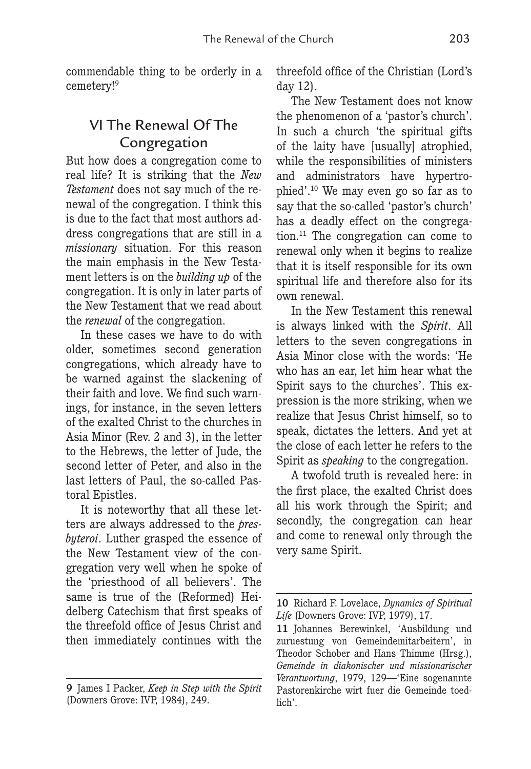commendable thing to be orderly in a cemetery!<sup>9</sup>

## VI The Renewal Of The Congregation

But how does a congregation come to real life? It is striking that the *New Testament* does not say much of the renewal of the congregation. I think this is due to the fact that most authors address congregations that are still in a *missionary* situation. For this reason the main emphasis in the New Testament letters is on the *building up* of the congregation. It is only in later parts of the New Testament that we read about the *renewal* of the congregation.

In these cases we have to do with older, sometimes second generation congregations, which already have to be warned against the slackening of their faith and love. We find such warnings, for instance, in the seven letters of the exalted Christ to the churches in Asia Minor (Rev. 2 and 3), in the letter to the Hebrews, the letter of Jude, the second letter of Peter, and also in the last letters of Paul, the so-called Pastoral Epistles.

It is noteworthy that all these letters are always addressed to the *presbyteroi*. Luther grasped the essence of the New Testament view of the congregation very well when he spoke of the 'priesthood of all believers'. The same is true of the (Reformed) Heidelberg Catechism that first speaks of the threefold office of Jesus Christ and then immediately continues with the threefold office of the Christian (Lord's day 12).

The New Testament does not know the phenomenon of a 'pastor's church'. In such a church 'the spiritual gifts of the laity have [usually] atrophied, while the responsibilities of ministers and administrators have hypertrophied'.10 We may even go so far as to say that the so-called 'pastor's church' has a deadly effect on the congregation.11 The congregation can come to renewal only when it begins to realize that it is itself responsible for its own spiritual life and therefore also for its own renewal.

In the New Testament this renewal is always linked with the *Spirit*. All letters to the seven congregations in Asia Minor close with the words: 'He who has an ear, let him hear what the Spirit says to the churches'. This expression is the more striking, when we realize that Jesus Christ himself, so to speak, dictates the letters. And yet at the close of each letter he refers to the Spirit as *speaking* to the congregation.

A twofold truth is revealed here: in the first place, the exalted Christ does all his work through the Spirit; and secondly, the congregation can hear and come to renewal only through the very same Spirit.

**<sup>9</sup>** James I Packer, *Keep in Step with the Spirit* (Downers Grove: IVP, 1984), 249.

**<sup>10</sup>** Richard F. Lovelace, *Dynamics of Spiritual Life* (Downers Grove: IVP, 1979), 17.

**<sup>11</sup>** Johannes Berewinkel, 'Ausbildung und zuruestung von Gemeindemitarbeitern', in Theodor Schober and Hans Thimme (Hrsg.), *Gemeinde in diakonischer und missionarischer Verantwortung*, 1979, 129—'Eine sogenannte Pastorenkirche wirt fuer die Gemeinde toedlich'.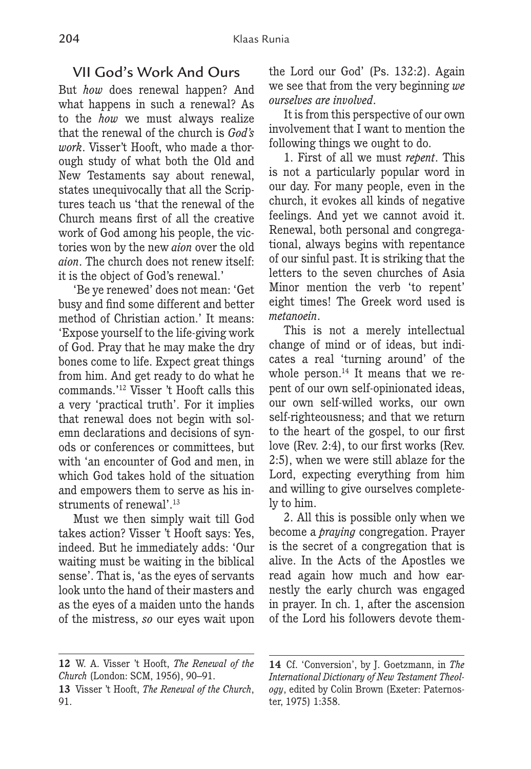## VII God's Work And Ours

But *how* does renewal happen? And what happens in such a renewal? As to the *how* we must always realize that the renewal of the church is *God's work*. Visser't Hooft, who made a thorough study of what both the Old and New Testaments say about renewal, states unequivocally that all the Scriptures teach us 'that the renewal of the Church means first of all the creative work of God among his people, the victories won by the new *aion* over the old *aion*. The church does not renew itself: it is the object of God's renewal.'

'Be ye renewed' does not mean: 'Get busy and find some different and better method of Christian action.' It means: 'Expose yourself to the life-giving work of God. Pray that he may make the dry bones come to life. Expect great things from him. And get ready to do what he commands.'12 Visser 't Hooft calls this a very 'practical truth'. For it implies that renewal does not begin with solemn declarations and decisions of synods or conferences or committees, but with 'an encounter of God and men, in which God takes hold of the situation and empowers them to serve as his instruments of renewal'.<sup>13</sup>

Must we then simply wait till God takes action? Visser 't Hooft says: Yes, indeed. But he immediately adds: 'Our waiting must be waiting in the biblical sense'. That is, 'as the eyes of servants look unto the hand of their masters and as the eyes of a maiden unto the hands of the mistress, *so* our eyes wait upon the Lord our God' (Ps. 132:2). Again we see that from the very beginning *we ourselves are involved*.

It is from this perspective of our own involvement that I want to mention the following things we ought to do.

1. First of all we must *repent*. This is not a particularly popular word in our day. For many people, even in the church, it evokes all kinds of negative feelings. And yet we cannot avoid it. Renewal, both personal and congregational, always begins with repentance of our sinful past. It is striking that the letters to the seven churches of Asia Minor mention the verb 'to repent' eight times! The Greek word used is *metanoein*.

This is not a merely intellectual change of mind or of ideas, but indicates a real 'turning around' of the whole person.<sup>14</sup> It means that we repent of our own self-opinionated ideas, our own self-willed works, our own self-righteousness; and that we return to the heart of the gospel, to our first love (Rev. 2:4), to our first works (Rev. 2:5), when we were still ablaze for the Lord, expecting everything from him and willing to give ourselves completely to him.

2. All this is possible only when we become a *praying* congregation. Prayer is the secret of a congregation that is alive. In the Acts of the Apostles we read again how much and how earnestly the early church was engaged in prayer. In ch. 1, after the ascension of the Lord his followers devote them-

**<sup>12</sup>** W. A. Visser 't Hooft, *The Renewal of the Church* (London: SCM, 1956), 90–91.

**<sup>13</sup>** Visser 't Hooft, *The Renewal of the Church*, 91.

**<sup>14</sup>** Cf. 'Conversion', by J. Goetzmann, in *The International Dictionary of New Testament Theology*, edited by Colin Brown (Exeter: Paternoster, 1975) 1:358.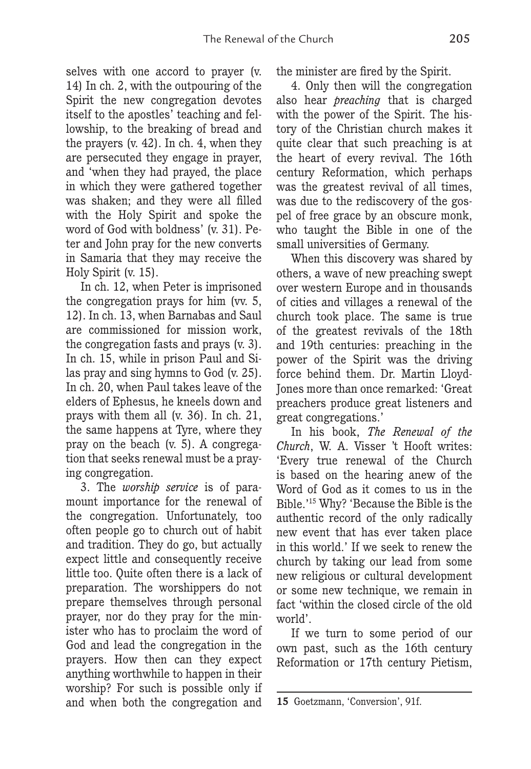selves with one accord to prayer (v. 14) In ch. 2, with the outpouring of the Spirit the new congregation devotes itself to the apostles' teaching and fellowship, to the breaking of bread and the prayers (v. 42). In ch. 4, when they are persecuted they engage in prayer, and 'when they had prayed, the place in which they were gathered together was shaken; and they were all filled with the Holy Spirit and spoke the word of God with boldness' (v. 31). Peter and John pray for the new converts in Samaria that they may receive the Holy Spirit (v. 15).

In ch. 12, when Peter is imprisoned the congregation prays for him (vv. 5, 12). In ch. 13, when Barnabas and Saul are commissioned for mission work, the congregation fasts and prays (v. 3). In ch. 15, while in prison Paul and Silas pray and sing hymns to God (v. 25). In ch. 20, when Paul takes leave of the elders of Ephesus, he kneels down and prays with them all (v. 36). In ch. 21, the same happens at Tyre, where they pray on the beach (v. 5). A congregation that seeks renewal must be a praying congregation.

3. The *worship service* is of paramount importance for the renewal of the congregation. Unfortunately, too often people go to church out of habit and tradition. They do go, but actually expect little and consequently receive little too. Quite often there is a lack of preparation. The worshippers do not prepare themselves through personal prayer, nor do they pray for the minister who has to proclaim the word of God and lead the congregation in the prayers. How then can they expect anything worthwhile to happen in their worship? For such is possible only if and when both the congregation and the minister are fired by the Spirit.

4. Only then will the congregation also hear *preaching* that is charged with the power of the Spirit. The history of the Christian church makes it quite clear that such preaching is at the heart of every revival. The 16th century Reformation, which perhaps was the greatest revival of all times, was due to the rediscovery of the gospel of free grace by an obscure monk, who taught the Bible in one of the small universities of Germany.

When this discovery was shared by others, a wave of new preaching swept over western Europe and in thousands of cities and villages a renewal of the church took place. The same is true of the greatest revivals of the 18th and 19th centuries: preaching in the power of the Spirit was the driving force behind them. Dr. Martin Lloyd-Jones more than once remarked: 'Great preachers produce great listeners and great congregations.'

In his book, *The Renewal of the Church*, W. A. Visser 't Hooft writes: 'Every true renewal of the Church is based on the hearing anew of the Word of God as it comes to us in the Bible.'15 Why? 'Because the Bible is the authentic record of the only radically new event that has ever taken place in this world.' If we seek to renew the church by taking our lead from some new religious or cultural development or some new technique, we remain in fact 'within the closed circle of the old world'.

If we turn to some period of our own past, such as the 16th century Reformation or 17th century Pietism,

**<sup>15</sup>** Goetzmann, 'Conversion', 91f.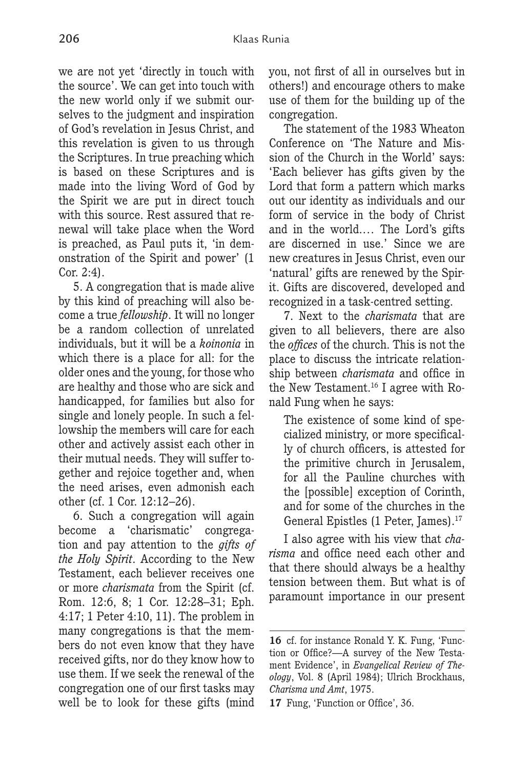we are not yet 'directly in touch with the source'. We can get into touch with the new world only if we submit ourselves to the judgment and inspiration of God's revelation in Jesus Christ, and this revelation is given to us through the Scriptures. In true preaching which

is based on these Scriptures and is made into the living Word of God by the Spirit we are put in direct touch with this source. Rest assured that renewal will take place when the Word is preached, as Paul puts it, 'in demonstration of the Spirit and power' (1 Cor. 2:4).

5. A congregation that is made alive by this kind of preaching will also become a true *fellowship*. It will no longer be a random collection of unrelated individuals, but it will be a *koinonia* in which there is a place for all: for the older ones and the young, for those who are healthy and those who are sick and handicapped, for families but also for single and lonely people. In such a fellowship the members will care for each other and actively assist each other in their mutual needs. They will suffer together and rejoice together and, when the need arises, even admonish each other (cf. 1 Cor. 12:12–26).

6. Such a congregation will again become a 'charismatic' congregation and pay attention to the *gifts of the Holy Spirit*. According to the New Testament, each believer receives one or more *charismata* from the Spirit (cf. Rom. 12:6, 8; 1 Cor. 12:28–31; Eph. 4:17; 1 Peter 4:10, 11). The problem in many congregations is that the members do not even know that they have received gifts, nor do they know how to use them. If we seek the renewal of the congregation one of our first tasks may well be to look for these gifts (mind

you, not first of all in ourselves but in others!) and encourage others to make use of them for the building up of the congregation.

The statement of the 1983 Wheaton Conference on 'The Nature and Mission of the Church in the World' says: 'Each believer has gifts given by the Lord that form a pattern which marks out our identity as individuals and our form of service in the body of Christ and in the world.… The Lord's gifts are discerned in use.' Since we are new creatures in Jesus Christ, even our 'natural' gifts are renewed by the Spirit. Gifts are discovered, developed and recognized in a task-centred setting.

7. Next to the *charismata* that are given to all believers, there are also the *offices* of the church. This is not the place to discuss the intricate relationship between *charismata* and office in the New Testament.16 I agree with Ronald Fung when he says:

The existence of some kind of specialized ministry, or more specifically of church officers, is attested for the primitive church in Jerusalem, for all the Pauline churches with the [possible] exception of Corinth, and for some of the churches in the General Epistles (1 Peter, James).17

I also agree with his view that *charisma* and office need each other and that there should always be a healthy tension between them. But what is of paramount importance in our present

**<sup>16</sup>** cf. for instance Ronald Y. K. Fung, 'Function or Office?—A survey of the New Testament Evidence', in *Evangelical Review of Theology*, Vol. 8 (April 1984); Ulrich Brockhaus, *Charisma und Amt*, 1975.

**<sup>17</sup>** Fung, 'Function or Office', 36.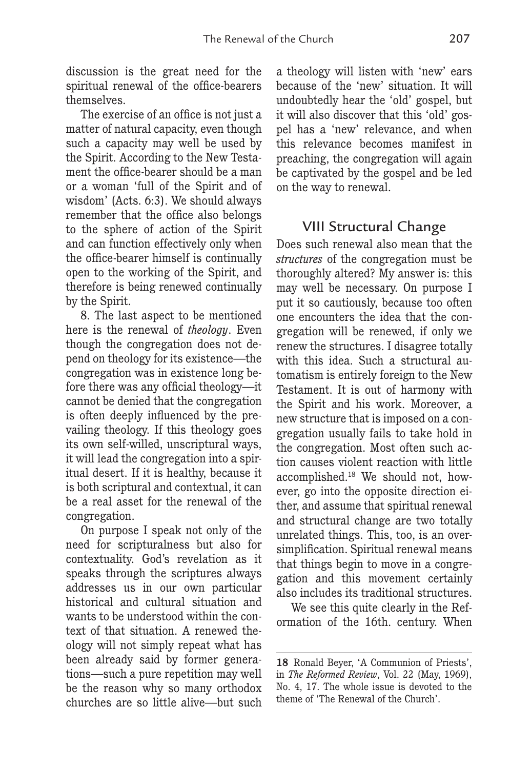discussion is the great need for the spiritual renewal of the office-bearers themselves.

The exercise of an office is not just a matter of natural capacity, even though such a capacity may well be used by the Spirit. According to the New Testament the office-bearer should be a man or a woman 'full of the Spirit and of wisdom' (Acts. 6:3). We should always remember that the office also belongs to the sphere of action of the Spirit and can function effectively only when the office-bearer himself is continually open to the working of the Spirit, and therefore is being renewed continually by the Spirit.

8. The last aspect to be mentioned here is the renewal of *theology*. Even though the congregation does not depend on theology for its existence—the congregation was in existence long before there was any official theology—it cannot be denied that the congregation is often deeply influenced by the prevailing theology. If this theology goes its own self-willed, unscriptural ways, it will lead the congregation into a spiritual desert. If it is healthy, because it is both scriptural and contextual, it can be a real asset for the renewal of the congregation.

On purpose I speak not only of the need for scripturalness but also for contextuality. God's revelation as it speaks through the scriptures always addresses us in our own particular historical and cultural situation and wants to be understood within the context of that situation. A renewed theology will not simply repeat what has been already said by former generations—such a pure repetition may well be the reason why so many orthodox churches are so little alive—but such

a theology will listen with 'new' ears because of the 'new' situation. It will undoubtedly hear the 'old' gospel, but it will also discover that this 'old' gospel has a 'new' relevance, and when this relevance becomes manifest in preaching, the congregation will again be captivated by the gospel and be led on the way to renewal.

## VIII Structural Change

Does such renewal also mean that the *structures* of the congregation must be thoroughly altered? My answer is: this may well be necessary. On purpose I put it so cautiously, because too often one encounters the idea that the congregation will be renewed, if only we renew the structures. I disagree totally with this idea. Such a structural automatism is entirely foreign to the New Testament. It is out of harmony with the Spirit and his work. Moreover, a new structure that is imposed on a congregation usually fails to take hold in the congregation. Most often such action causes violent reaction with little accomplished.18 We should not, however, go into the opposite direction either, and assume that spiritual renewal and structural change are two totally unrelated things. This, too, is an oversimplification. Spiritual renewal means that things begin to move in a congregation and this movement certainly also includes its traditional structures.

We see this quite clearly in the Reformation of the 16th. century. When

**<sup>18</sup>** Ronald Beyer, 'A Communion of Priests', in *The Reformed Review*, Vol. 22 (May, 1969), No. 4, 17. The whole issue is devoted to the theme of 'The Renewal of the Church'.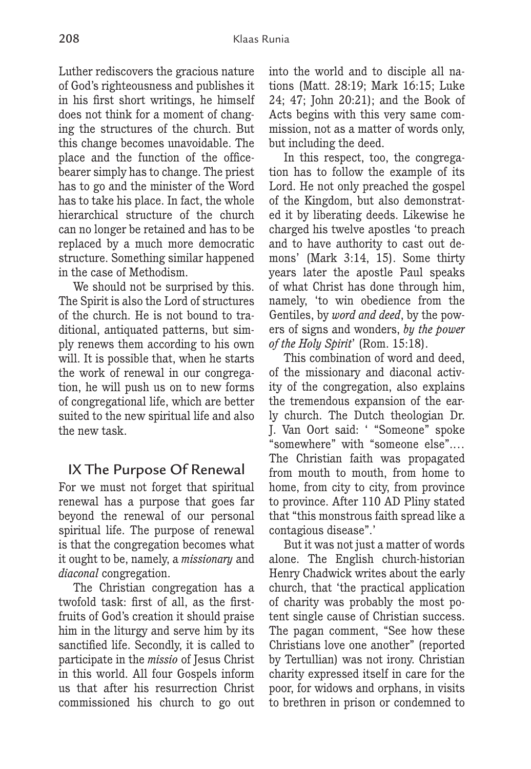Luther rediscovers the gracious nature of God's righteousness and publishes it in his first short writings, he himself does not think for a moment of changing the structures of the church. But this change becomes unavoidable. The place and the function of the officebearer simply has to change. The priest has to go and the minister of the Word has to take his place. In fact, the whole hierarchical structure of the church can no longer be retained and has to be replaced by a much more democratic structure. Something similar happened in the case of Methodism.

We should not be surprised by this. The Spirit is also the Lord of structures of the church. He is not bound to traditional, antiquated patterns, but simply renews them according to his own will. It is possible that, when he starts the work of renewal in our congregation, he will push us on to new forms of congregational life, which are better suited to the new spiritual life and also the new task.

#### IX The Purpose Of Renewal

For we must not forget that spiritual renewal has a purpose that goes far beyond the renewal of our personal spiritual life. The purpose of renewal is that the congregation becomes what it ought to be, namely, a *missionary* and *diaconal* congregation.

The Christian congregation has a twofold task: first of all, as the firstfruits of God's creation it should praise him in the liturgy and serve him by its sanctified life. Secondly, it is called to participate in the *missio* of Jesus Christ in this world. All four Gospels inform us that after his resurrection Christ commissioned his church to go out into the world and to disciple all nations (Matt. 28:19; Mark 16:15; Luke 24; 47; John 20:21); and the Book of Acts begins with this very same commission, not as a matter of words only, but including the deed.

In this respect, too, the congregation has to follow the example of its Lord. He not only preached the gospel of the Kingdom, but also demonstrated it by liberating deeds. Likewise he charged his twelve apostles 'to preach and to have authority to cast out demons' (Mark 3:14, 15). Some thirty years later the apostle Paul speaks of what Christ has done through him, namely, 'to win obedience from the Gentiles, by *word and deed*, by the powers of signs and wonders, *by the power of the Holy Spirit*' (Rom. 15:18).

This combination of word and deed, of the missionary and diaconal activity of the congregation, also explains the tremendous expansion of the early church. The Dutch theologian Dr. J. Van Oort said: ' "Someone" spoke "somewhere" with "someone else".… The Christian faith was propagated from mouth to mouth, from home to home, from city to city, from province to province. After 110 AD Pliny stated that "this monstrous faith spread like a contagious disease".'

But it was not just a matter of words alone. The English church-historian Henry Chadwick writes about the early church, that 'the practical application of charity was probably the most potent single cause of Christian success. The pagan comment, "See how these Christians love one another" (reported by Tertullian) was not irony. Christian charity expressed itself in care for the poor, for widows and orphans, in visits to brethren in prison or condemned to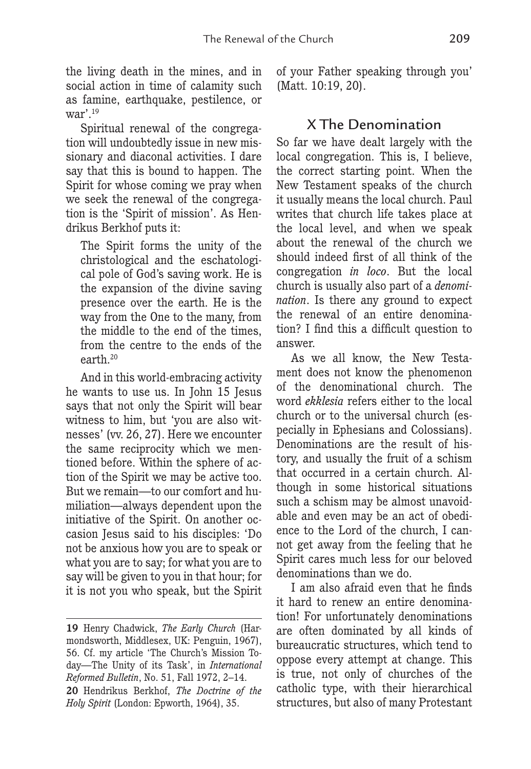the living death in the mines, and in social action in time of calamity such as famine, earthquake, pestilence, or war'.19

Spiritual renewal of the congregation will undoubtedly issue in new missionary and diaconal activities. I dare say that this is bound to happen. The Spirit for whose coming we pray when we seek the renewal of the congregation is the 'Spirit of mission'. As Hendrikus Berkhof puts it:

The Spirit forms the unity of the christological and the eschatological pole of God's saving work. He is the expansion of the divine saving presence over the earth. He is the way from the One to the many, from the middle to the end of the times, from the centre to the ends of the earth.20

And in this world-embracing activity he wants to use us. In John 15 Jesus says that not only the Spirit will bear witness to him, but 'you are also witnesses' (vv. 26, 27). Here we encounter the same reciprocity which we mentioned before. Within the sphere of action of the Spirit we may be active too. But we remain—to our comfort and humiliation—always dependent upon the initiative of the Spirit. On another occasion Jesus said to his disciples: 'Do not be anxious how you are to speak or what you are to say; for what you are to say will be given to you in that hour; for it is not you who speak, but the Spirit of your Father speaking through you' (Matt. 10:19, 20).

## X The Denomination

So far we have dealt largely with the local congregation. This is, I believe, the correct starting point. When the New Testament speaks of the church it usually means the local church. Paul writes that church life takes place at the local level, and when we speak about the renewal of the church we should indeed first of all think of the congregation *in loco*. But the local church is usually also part of a *denomination*. Is there any ground to expect the renewal of an entire denomination? I find this a difficult question to answer.

As we all know, the New Testament does not know the phenomenon of the denominational church. The word *ekklesia* refers either to the local church or to the universal church (especially in Ephesians and Colossians). Denominations are the result of history, and usually the fruit of a schism that occurred in a certain church. Although in some historical situations such a schism may be almost unavoidable and even may be an act of obedience to the Lord of the church, I cannot get away from the feeling that he Spirit cares much less for our beloved denominations than we do.

I am also afraid even that he finds it hard to renew an entire denomination! For unfortunately denominations are often dominated by all kinds of bureaucratic structures, which tend to oppose every attempt at change. This is true, not only of churches of the catholic type, with their hierarchical structures, but also of many Protestant

**<sup>19</sup>** Henry Chadwick, *The Early Church* (Harmondsworth, Middlesex, UK: Penguin, 1967), 56. Cf. my article 'The Church's Mission Today—The Unity of its Task', in *International Reformed Bulletin*, No. 51, Fall 1972, 2–14. **20** Hendrikus Berkhof, *The Doctrine of the Holy Spirit* (London: Epworth, 1964), 35.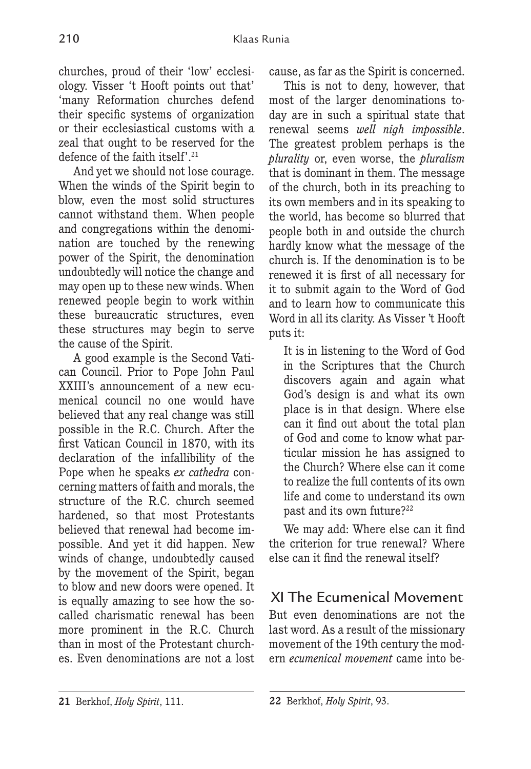churches, proud of their 'low' ecclesiology. Visser 't Hooft points out that' 'many Reformation churches defend their specific systems of organization or their ecclesiastical customs with a zeal that ought to be reserved for the defence of the faith itself'.21

And yet we should not lose courage. When the winds of the Spirit begin to blow, even the most solid structures cannot withstand them. When people and congregations within the denomination are touched by the renewing power of the Spirit, the denomination undoubtedly will notice the change and may open up to these new winds. When renewed people begin to work within these bureaucratic structures, even these structures may begin to serve the cause of the Spirit.

A good example is the Second Vatican Council. Prior to Pope John Paul XXIII's announcement of a new ecumenical council no one would have believed that any real change was still possible in the R.C. Church. After the first Vatican Council in 1870, with its declaration of the infallibility of the Pope when he speaks *ex cathedra* concerning matters of faith and morals, the structure of the R.C. church seemed hardened, so that most Protestants believed that renewal had become impossible. And yet it did happen. New winds of change, undoubtedly caused by the movement of the Spirit, began to blow and new doors were opened. It is equally amazing to see how the socalled charismatic renewal has been more prominent in the R.C. Church than in most of the Protestant churches. Even denominations are not a lost

cause, as far as the Spirit is concerned.

This is not to deny, however, that most of the larger denominations today are in such a spiritual state that renewal seems *well nigh impossible*. The greatest problem perhaps is the *plurality* or, even worse, the *pluralism* that is dominant in them. The message of the church, both in its preaching to its own members and in its speaking to the world, has become so blurred that people both in and outside the church hardly know what the message of the church is. If the denomination is to be renewed it is first of all necessary for it to submit again to the Word of God and to learn how to communicate this Word in all its clarity. As Visser 't Hooft puts it:

It is in listening to the Word of God in the Scriptures that the Church discovers again and again what God's design is and what its own place is in that design. Where else can it find out about the total plan of God and come to know what particular mission he has assigned to the Church? Where else can it come to realize the full contents of its own life and come to understand its own past and its own future?<sup>22</sup>

We may add: Where else can it find the criterion for true renewal? Where else can it find the renewal itself?

XI The Ecumenical Movement But even denominations are not the last word. As a result of the missionary movement of the 19th century the modern *ecumenical movement* came into be-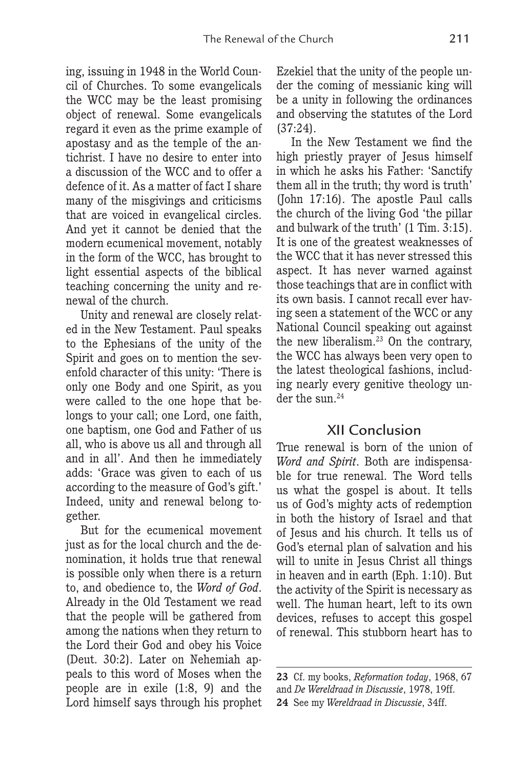ing, issuing in 1948 in the World Council of Churches. To some evangelicals the WCC may be the least promising object of renewal. Some evangelicals regard it even as the prime example of apostasy and as the temple of the antichrist. I have no desire to enter into a discussion of the WCC and to offer a defence of it. As a matter of fact I share many of the misgivings and criticisms that are voiced in evangelical circles. And yet it cannot be denied that the modern ecumenical movement, notably in the form of the WCC, has brought to light essential aspects of the biblical teaching concerning the unity and renewal of the church.

Unity and renewal are closely related in the New Testament. Paul speaks to the Ephesians of the unity of the Spirit and goes on to mention the sevenfold character of this unity: 'There is only one Body and one Spirit, as you were called to the one hope that belongs to your call; one Lord, one faith, one baptism, one God and Father of us all, who is above us all and through all and in all'. And then he immediately adds: 'Grace was given to each of us according to the measure of God's gift.' Indeed, unity and renewal belong together.

But for the ecumenical movement just as for the local church and the denomination, it holds true that renewal is possible only when there is a return to, and obedience to, the *Word of God*. Already in the Old Testament we read that the people will be gathered from among the nations when they return to the Lord their God and obey his Voice (Deut. 30:2). Later on Nehemiah appeals to this word of Moses when the people are in exile (1:8, 9) and the Lord himself says through his prophet Ezekiel that the unity of the people under the coming of messianic king will be a unity in following the ordinances and observing the statutes of the Lord (37:24).

In the New Testament we find the high priestly prayer of Jesus himself in which he asks his Father: 'Sanctify them all in the truth; thy word is truth' (John 17:16). The apostle Paul calls the church of the living God 'the pillar and bulwark of the truth' (1 Tim. 3:15). It is one of the greatest weaknesses of the WCC that it has never stressed this aspect. It has never warned against those teachings that are in conflict with its own basis. I cannot recall ever having seen a statement of the WCC or any National Council speaking out against the new liberalism.23 On the contrary, the WCC has always been very open to the latest theological fashions, including nearly every genitive theology under the sun.<sup>24</sup>

## XII Conclusion

True renewal is born of the union of *Word and Spirit*. Both are indispensable for true renewal. The Word tells us what the gospel is about. It tells us of God's mighty acts of redemption in both the history of Israel and that of Jesus and his church. It tells us of God's eternal plan of salvation and his will to unite in Jesus Christ all things in heaven and in earth (Eph. 1:10). But the activity of the Spirit is necessary as well. The human heart, left to its own devices, refuses to accept this gospel of renewal. This stubborn heart has to

**<sup>23</sup>** Cf. my books, *Reformation today*, 1968, 67

and *De Wereldraad in Discussie*, 1978, 19ff.

**<sup>24</sup>** See my *Wereldraad in Discussie*, 34ff.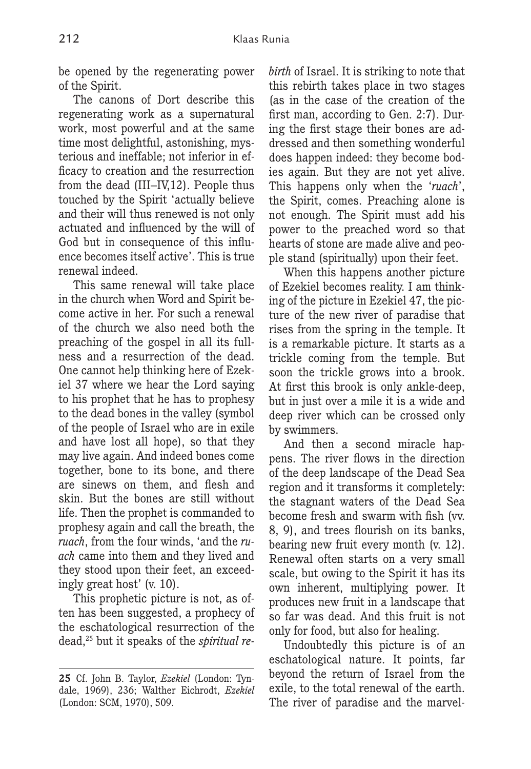be opened by the regenerating power of the Spirit.

The canons of Dort describe this regenerating work as a supernatural work, most powerful and at the same time most delightful, astonishing, mysterious and ineffable; not inferior in efficacy to creation and the resurrection from the dead (III–IV,12). People thus touched by the Spirit 'actually believe and their will thus renewed is not only actuated and influenced by the will of God but in consequence of this influence becomes itself active'. This is true renewal indeed.

This same renewal will take place in the church when Word and Spirit become active in her. For such a renewal of the church we also need both the preaching of the gospel in all its fullness and a resurrection of the dead. One cannot help thinking here of Ezekiel 37 where we hear the Lord saying to his prophet that he has to prophesy to the dead bones in the valley (symbol of the people of Israel who are in exile and have lost all hope), so that they may live again. And indeed bones come together, bone to its bone, and there are sinews on them, and flesh and skin. But the bones are still without life. Then the prophet is commanded to prophesy again and call the breath, the *ruach*, from the four winds, 'and the *ruach* came into them and they lived and they stood upon their feet, an exceedingly great host' (v. 10).

This prophetic picture is not, as often has been suggested, a prophecy of the eschatological resurrection of the dead,25 but it speaks of the *spiritual re-* *birth* of Israel. It is striking to note that this rebirth takes place in two stages (as in the case of the creation of the first man, according to Gen. 2:7). During the first stage their bones are addressed and then something wonderful does happen indeed: they become bodies again. But they are not yet alive. This happens only when the '*ruach*', the Spirit, comes. Preaching alone is not enough. The Spirit must add his power to the preached word so that hearts of stone are made alive and people stand (spiritually) upon their feet.

When this happens another picture of Ezekiel becomes reality. I am thinking of the picture in Ezekiel 47, the picture of the new river of paradise that rises from the spring in the temple. It is a remarkable picture. It starts as a trickle coming from the temple. But soon the trickle grows into a brook. At first this brook is only ankle-deep, but in just over a mile it is a wide and deep river which can be crossed only by swimmers.

And then a second miracle happens. The river flows in the direction of the deep landscape of the Dead Sea region and it transforms it completely: the stagnant waters of the Dead Sea become fresh and swarm with fish (vv. 8, 9), and trees flourish on its banks, bearing new fruit every month (v. 12). Renewal often starts on a very small scale, but owing to the Spirit it has its own inherent, multiplying power. It produces new fruit in a landscape that so far was dead. And this fruit is not only for food, but also for healing.

Undoubtedly this picture is of an eschatological nature. It points, far beyond the return of Israel from the exile, to the total renewal of the earth. The river of paradise and the marvel-

**<sup>25</sup>** Cf. John B. Taylor, *Ezekiel* (London: Tyndale, 1969), 236; Walther Eichrodt, *Ezekiel* (London: SCM, 1970), 509.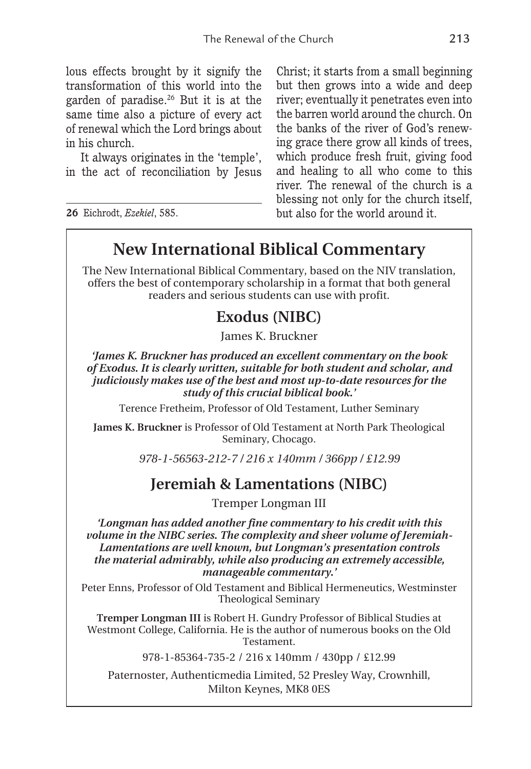lous effects brought by it signify the transformation of this world into the garden of paradise.26 But it is at the same time also a picture of every act of renewal which the Lord brings about in his church.

It always originates in the 'temple', in the act of reconciliation by Jesus

**26** Eichrodt, *Ezekiel*, 585.

Christ; it starts from a small beginning but then grows into a wide and deep river; eventually it penetrates even into the barren world around the church. On the banks of the river of God's renewing grace there grow all kinds of trees, which produce fresh fruit, giving food and healing to all who come to this river. The renewal of the church is a blessing not only for the church itself, but also for the world around it.

## **New International Biblical Commentary**

The New International Biblical Commentary, based on the NIV translation, offers the best of contemporary scholarship in a format that both general readers and serious students can use with profit.

## **Exodus (NIBC)**

James K. Bruckner

*'James K. Bruckner has produced an excellent commentary on the book of Exodus. It is clearly written, suitable for both student and scholar, and judiciously makes use of the best and most up-to-date resources for the study of this crucial biblical book.'*

Terence Fretheim, Professor of Old Testament, Luther Seminary

**James K. Bruckner** is Professor of Old Testament at North Park Theological Seminary, Chocago.

*978-1-56563-212-7 / 216 x 140mm / 366pp / £12.99*

## **Jeremiah & Lamentations (NIBC)**

Tremper Longman III

*'Longman has added another fine commentary to his credit with this volume in the NIBC series. The complexity and sheer volume of Jeremiah-Lamentations are well known, but Longman's presentation controls the material admirably, while also producing an extremely accessible, manageable commentary.'*

Peter Enns, Professor of Old Testament and Biblical Hermeneutics, Westminster Theological Seminary

**Tremper Longman III** is Robert H. Gundry Professor of Biblical Studies at Westmont College, California. He is the author of numerous books on the Old Testament.

978-1-85364-735-2 / 216 x 140mm / 430pp / £12.99

Paternoster, Authenticmedia Limited, 52 Presley Way, Crownhill, Milton Keynes, MK8 0ES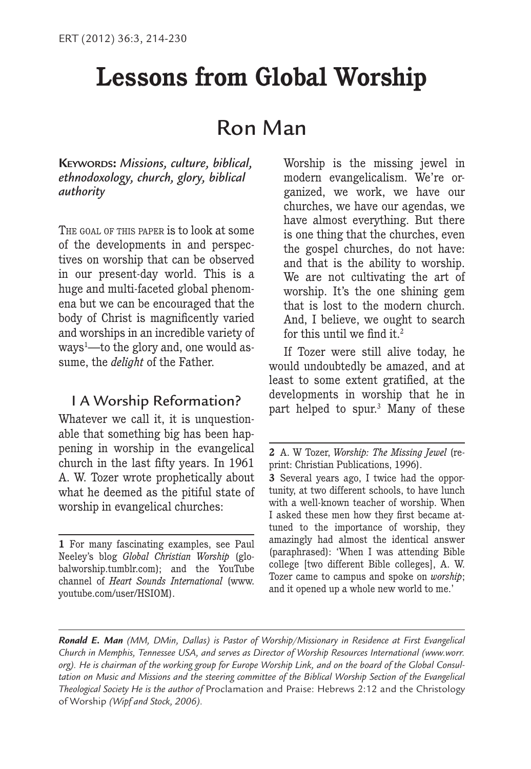# **Lessons from Global Worship**

# Ron Man

**KEYWORDS:** *Missions, culture, biblical, ethnodoxology, church, glory, biblical authority*

THE GOAL OF THIS PAPER is to look at some of the developments in and perspectives on worship that can be observed in our present-day world. This is a huge and multi-faceted global phenomena but we can be encouraged that the body of Christ is magnificently varied and worships in an incredible variety of ways1 —to the glory and, one would assume, the *delight* of the Father.

## I A Worship Reformation?

Whatever we call it, it is unquestionable that something big has been happening in worship in the evangelical church in the last fifty years. In 1961 A. W. Tozer wrote prophetically about what he deemed as the pitiful state of worship in evangelical churches:

Worship is the missing jewel in modern evangelicalism. We're organized, we work, we have our churches, we have our agendas, we have almost everything. But there is one thing that the churches, even the gospel churches, do not have: and that is the ability to worship. We are not cultivating the art of worship. It's the one shining gem that is lost to the modern church. And, I believe, we ought to search for this until we find it.2

If Tozer were still alive today, he would undoubtedly be amazed, and at least to some extent gratified, at the developments in worship that he in part helped to spur.3 Many of these

*Ronald E. Man (MM, DMin, Dallas) is Pastor of Worship/Missionary in Residence at First Evangelical Church in Memphis, Tennessee USA, and serves as Director of Worship Resources International (www.worr. org). He is chairman of the working group for Europe Worship Link, and on the board of the Global Consultation on Music and Missions and the steering committee of the Biblical Worship Section of the Evangelical Theological Society He is the author of* Proclamation and Praise: Hebrews 2:12 and the Christology of Worship *(Wipf and Stock, 2006).*

**<sup>1</sup>** For many fascinating examples, see Paul Neeley's blog *Global Christian Worship* (globalworship.tumblr.com); and the YouTube channel of *Heart Sounds International* (www. youtube.com/user/HSIOM).

**<sup>2</sup>** A. W Tozer, *Worship: The Missing Jewel* (reprint: Christian Publications, 1996).

**<sup>3</sup>** Several years ago, I twice had the opportunity, at two different schools, to have lunch with a well-known teacher of worship. When I asked these men how they first became attuned to the importance of worship, they amazingly had almost the identical answer (paraphrased): 'When I was attending Bible college [two different Bible colleges], A. W. Tozer came to campus and spoke on *worship*; and it opened up a whole new world to me.'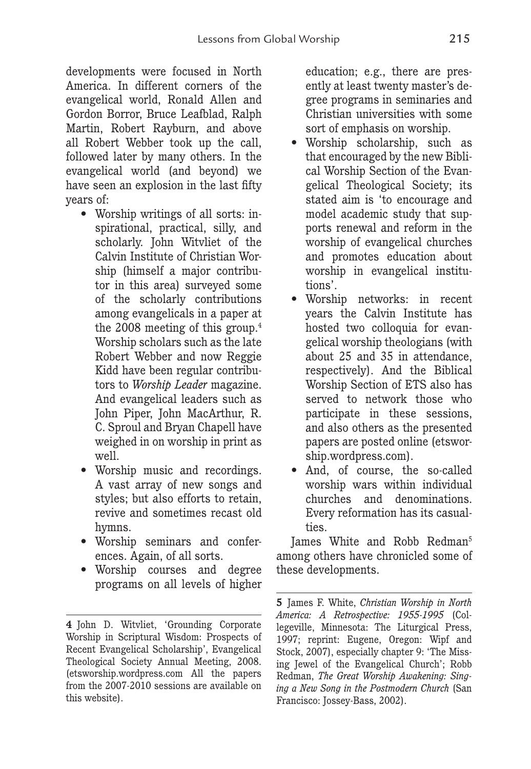developments were focused in North America. In different corners of the evangelical world, Ronald Allen and Gordon Borror, Bruce Leafblad, Ralph Martin, Robert Rayburn, and above all Robert Webber took up the call, followed later by many others. In the evangelical world (and beyond) we have seen an explosion in the last fifty years of:

- Worship writings of all sorts: inspirational, practical, silly, and scholarly. John Witvliet of the Calvin Institute of Christian Worship (himself a major contributor in this area) surveyed some of the scholarly contributions among evangelicals in a paper at the 2008 meeting of this group.4 Worship scholars such as the late Robert Webber and now Reggie Kidd have been regular contributors to *Worship Leader* magazine. And evangelical leaders such as John Piper, John MacArthur, R. C. Sproul and Bryan Chapell have weighed in on worship in print as well.
- Worship music and recordings. A vast array of new songs and styles; but also efforts to retain, revive and sometimes recast old hymns.
- Worship seminars and conferences. Again, of all sorts.
- Worship courses and degree programs on all levels of higher

education; e.g., there are presently at least twenty master's degree programs in seminaries and Christian universities with some sort of emphasis on worship.

- Worship scholarship, such as that encouraged by the new Biblical Worship Section of the Evangelical Theological Society; its stated aim is 'to encourage and model academic study that supports renewal and reform in the worship of evangelical churches and promotes education about worship in evangelical institutions'.
- Worship networks: in recent years the Calvin Institute has hosted two colloquia for evangelical worship theologians (with about 25 and 35 in attendance, respectively). And the Biblical Worship Section of ETS also has served to network those who participate in these sessions, and also others as the presented papers are posted online (etsworship.wordpress.com).
- And, of course, the so-called worship wars within individual churches and denominations. Every reformation has its casualties.

James White and Robb Redman5 among others have chronicled some of these developments.

**<sup>4</sup>** John D. Witvliet, 'Grounding Corporate Worship in Scriptural Wisdom: Prospects of Recent Evangelical Scholarship', Evangelical Theological Society Annual Meeting, 2008. (etsworship.wordpress.com All the papers from the 2007-2010 sessions are available on this website).

**<sup>5</sup>** James F. White, *Christian Worship in North America: A Retrospective: 1955-1995* (Collegeville, Minnesota: The Liturgical Press, 1997; reprint: Eugene, Oregon: Wipf and Stock, 2007), especially chapter 9: 'The Missing Jewel of the Evangelical Church'; Robb Redman, *The Great Worship Awakening: Singing a New Song in the Postmodern Church* (San Francisco: Jossey-Bass, 2002).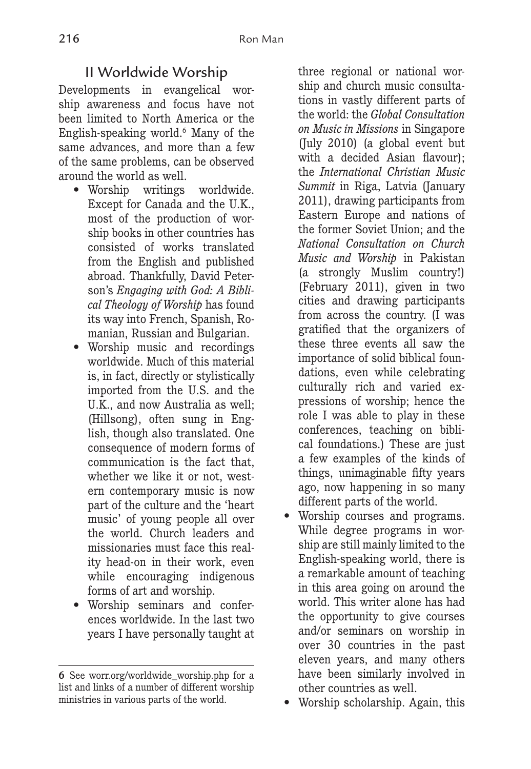## II Worldwide Worship

Developments in evangelical worship awareness and focus have not been limited to North America or the English-speaking world.6 Many of the same advances, and more than a few of the same problems, can be observed around the world as well.

- Worship writings worldwide. Except for Canada and the U.K., most of the production of worship books in other countries has consisted of works translated from the English and published abroad. Thankfully, David Peterson's *Engaging with God: A Biblical Theology of Worship* has found its way into French, Spanish, Romanian, Russian and Bulgarian.
- Worship music and recordings worldwide. Much of this material is, in fact, directly or stylistically imported from the U.S. and the U.K., and now Australia as well; (Hillsong), often sung in English, though also translated. One consequence of modern forms of communication is the fact that, whether we like it or not, western contemporary music is now part of the culture and the 'heart music' of young people all over the world. Church leaders and missionaries must face this reality head-on in their work, even while encouraging indigenous forms of art and worship.
- Worship seminars and conferences worldwide. In the last two years I have personally taught at

three regional or national worship and church music consultations in vastly different parts of the world: the *Global Consultation on Music in Missions* in Singapore (July 2010) (a global event but with a decided Asian flavour); the *International Christian Music Summit* in Riga, Latvia (January 2011), drawing participants from Eastern Europe and nations of the former Soviet Union; and the *National Consultation on Church Music and Worship* in Pakistan (a strongly Muslim country!) (February 2011), given in two cities and drawing participants from across the country. (I was gratified that the organizers of these three events all saw the importance of solid biblical foundations, even while celebrating culturally rich and varied expressions of worship; hence the role I was able to play in these conferences, teaching on biblical foundations.) These are just a few examples of the kinds of things, unimaginable fifty years ago, now happening in so many different parts of the world.

- Worship courses and programs. While degree programs in worship are still mainly limited to the English-speaking world, there is a remarkable amount of teaching in this area going on around the world. This writer alone has had the opportunity to give courses and/or seminars on worship in over 30 countries in the past eleven years, and many others have been similarly involved in other countries as well.
- Worship scholarship. Again, this

**<sup>6</sup>** See worr.org/worldwide\_worship.php for a list and links of a number of different worship ministries in various parts of the world.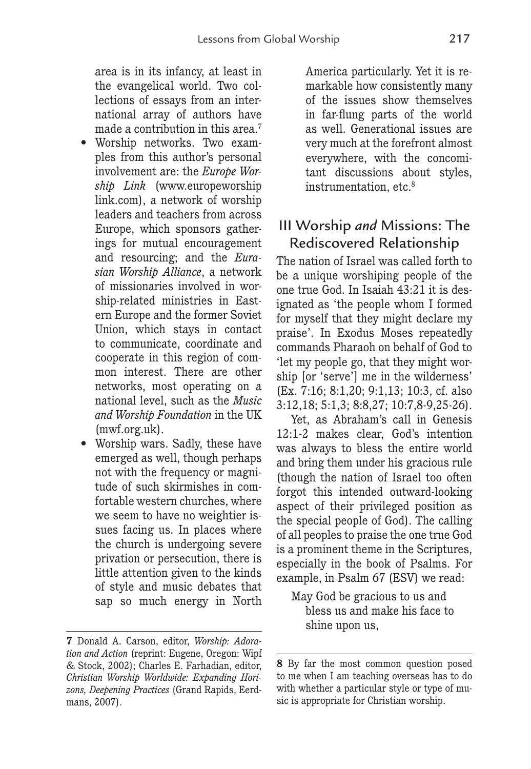area is in its infancy, at least in the evangelical world. Two collections of essays from an international array of authors have made a contribution in this area.<sup>7</sup>

- Worship networks. Two examples from this author's personal involvement are: the *Europe Worship Link* (www.europeworship link.com), a network of worship leaders and teachers from across Europe, which sponsors gatherings for mutual encouragement and resourcing; and the *Eurasian Worship Alliance*, a network of missionaries involved in worship-related ministries in Eastern Europe and the former Soviet Union, which stays in contact to communicate, coordinate and cooperate in this region of common interest. There are other networks, most operating on a national level, such as the *Music and Worship Foundation* in the UK (mwf.org.uk).
- Worship wars. Sadly, these have emerged as well, though perhaps not with the frequency or magnitude of such skirmishes in comfortable western churches, where we seem to have no weightier issues facing us. In places where the church is undergoing severe privation or persecution, there is little attention given to the kinds of style and music debates that sap so much energy in North

America particularly. Yet it is remarkable how consistently many of the issues show themselves in far-flung parts of the world as well. Generational issues are very much at the forefront almost everywhere, with the concomitant discussions about styles, instrumentation, etc.8

## III Worship *and* Missions: The Rediscovered Relationship

The nation of Israel was called forth to be a unique worshiping people of the one true God. In Isaiah 43:21 it is designated as 'the people whom I formed for myself that they might declare my praise'. In Exodus Moses repeatedly commands Pharaoh on behalf of God to 'let my people go, that they might worship [or 'serve'] me in the wilderness' (Ex. 7:16; 8:1,20; 9:1,13; 10:3, cf. also 3:12,18; 5:1,3; 8:8,27; 10:7,8-9,25-26).

Yet, as Abraham's call in Genesis 12:1-2 makes clear, God's intention was always to bless the entire world and bring them under his gracious rule (though the nation of Israel too often forgot this intended outward-looking aspect of their privileged position as the special people of God). The calling of all peoples to praise the one true God is a prominent theme in the Scriptures, especially in the book of Psalms. For example, in Psalm 67 (ESV) we read:

May God be gracious to us and bless us and make his face to shine upon us,

**<sup>7</sup>** Donald A. Carson, editor, *Worship: Adoration and Action* (reprint: Eugene, Oregon: Wipf & Stock, 2002); Charles E. Farhadian, editor, *Christian Worship Worldwide: Expanding Horizons, Deepening Practices* (Grand Rapids, Eerdmans, 2007).

**<sup>8</sup>** By far the most common question posed to me when I am teaching overseas has to do with whether a particular style or type of music is appropriate for Christian worship.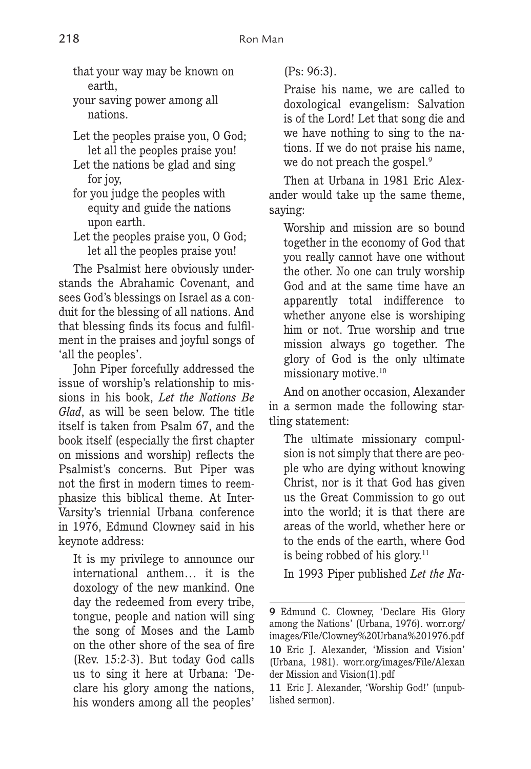that your way may be known on earth,

your saving power among all nations.

Let the peoples praise you, O God; let all the peoples praise you!

Let the nations be glad and sing for joy,

for you judge the peoples with equity and guide the nations upon earth.

Let the peoples praise you, O God; let all the peoples praise you!

The Psalmist here obviously understands the Abrahamic Covenant, and sees God's blessings on Israel as a conduit for the blessing of all nations. And that blessing finds its focus and fulfilment in the praises and joyful songs of 'all the peoples'.

John Piper forcefully addressed the issue of worship's relationship to missions in his book, *Let the Nations Be Glad*, as will be seen below. The title itself is taken from Psalm 67, and the book itself (especially the first chapter on missions and worship) reflects the Psalmist's concerns. But Piper was not the first in modern times to reemphasize this biblical theme. At Inter-Varsity's triennial Urbana conference in 1976, Edmund Clowney said in his keynote address:

It is my privilege to announce our international anthem… it is the doxology of the new mankind. One day the redeemed from every tribe, tongue, people and nation will sing the song of Moses and the Lamb on the other shore of the sea of fire (Rev. 15:2-3). But today God calls us to sing it here at Urbana: 'Declare his glory among the nations, his wonders among all the peoples'

(Ps: 96:3).

Praise his name, we are called to doxological evangelism: Salvation is of the Lord! Let that song die and we have nothing to sing to the nations. If we do not praise his name, we do not preach the gospel.<sup>9</sup>

Then at Urbana in 1981 Eric Alexander would take up the same theme, saying:

Worship and mission are so bound together in the economy of God that you really cannot have one without the other. No one can truly worship God and at the same time have an apparently total indifference to whether anyone else is worshiping him or not. True worship and true mission always go together. The glory of God is the only ultimate missionary motive.10

And on another occasion, Alexander in a sermon made the following startling statement:

The ultimate missionary compulsion is not simply that there are people who are dying without knowing Christ, nor is it that God has given us the Great Commission to go out into the world; it is that there are areas of the world, whether here or to the ends of the earth, where God is being robbed of his glory.<sup>11</sup>

In 1993 Piper published *Let the Na-*

**<sup>9</sup>** Edmund C. Clowney, 'Declare His Glory among the Nations' (Urbana, 1976). worr.org/ images/File/Clowney%20Urbana%201976.pdf **10** Eric J. Alexander, 'Mission and Vision' (Urbana, 1981). worr.org/images/File/Alexan der Mission and Vision(1).pdf

**<sup>11</sup>** Eric J. Alexander, 'Worship God!' (unpublished sermon).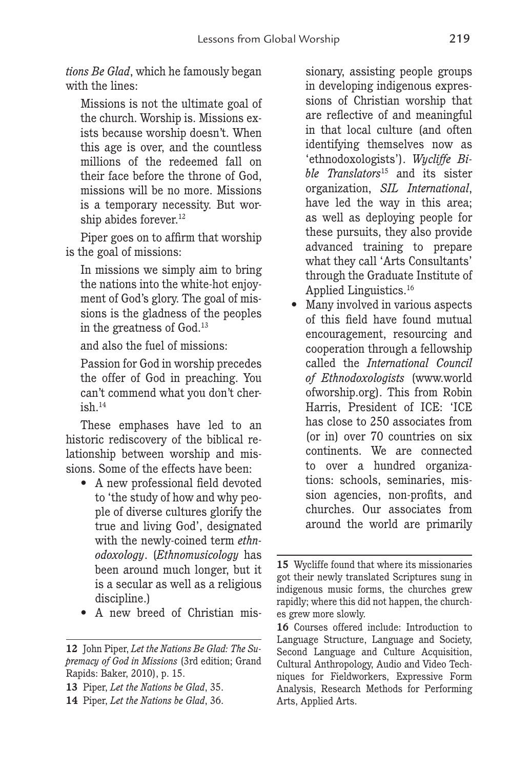*tions Be Glad*, which he famously began with the lines:

Missions is not the ultimate goal of the church. Worship is. Missions exists because worship doesn't. When this age is over, and the countless millions of the redeemed fall on their face before the throne of God, missions will be no more. Missions is a temporary necessity. But worship abides forever.<sup>12</sup>

Piper goes on to affirm that worship is the goal of missions:

In missions we simply aim to bring the nations into the white-hot enjoyment of God's glory. The goal of missions is the gladness of the peoples in the greatness of God.13

and also the fuel of missions:

Passion for God in worship precedes the offer of God in preaching. You can't commend what you don't cherish.14

These emphases have led to an historic rediscovery of the biblical relationship between worship and missions. Some of the effects have been:

- A new professional field devoted to 'the study of how and why people of diverse cultures glorify the true and living God', designated with the newly-coined term *ethnodoxology*. (*Ethnomusicology* has been around much longer, but it is a secular as well as a religious discipline.)
- A new breed of Christian mis-

sionary, assisting people groups in developing indigenous expressions of Christian worship that are reflective of and meaningful in that local culture (and often identifying themselves now as 'ethnodoxologists'). *Wycliffe Bible Translators*15 and its sister organization, *SIL International*, have led the way in this area; as well as deploying people for these pursuits, they also provide advanced training to prepare what they call 'Arts Consultants' through the Graduate Institute of Applied Linguistics.16

• Many involved in various aspects of this field have found mutual encouragement, resourcing and cooperation through a fellowship called the *International Council of Ethnodoxologists* (www.world ofworship.org). This from Robin Harris, President of ICE: 'ICE has close to 250 associates from (or in) over 70 countries on six continents. We are connected to over a hundred organizations: schools, seminaries, mission agencies, non-profits, and churches. Our associates from around the world are primarily

**<sup>12</sup>** John Piper, *Let the Nations Be Glad: The Supremacy of God in Missions* (3rd edition; Grand Rapids: Baker, 2010), p. 15.

**<sup>13</sup>** Piper, *Let the Nations be Glad*, 35.

**<sup>14</sup>** Piper, *Let the Nations be Glad*, 36.

**<sup>15</sup>** Wycliffe found that where its missionaries got their newly translated Scriptures sung in indigenous music forms, the churches grew rapidly; where this did not happen, the churches grew more slowly.

**<sup>16</sup>** Courses offered include: Introduction to Language Structure, Language and Society, Second Language and Culture Acquisition, Cultural Anthropology, Audio and Video Techniques for Fieldworkers, Expressive Form Analysis, Research Methods for Performing Arts, Applied Arts.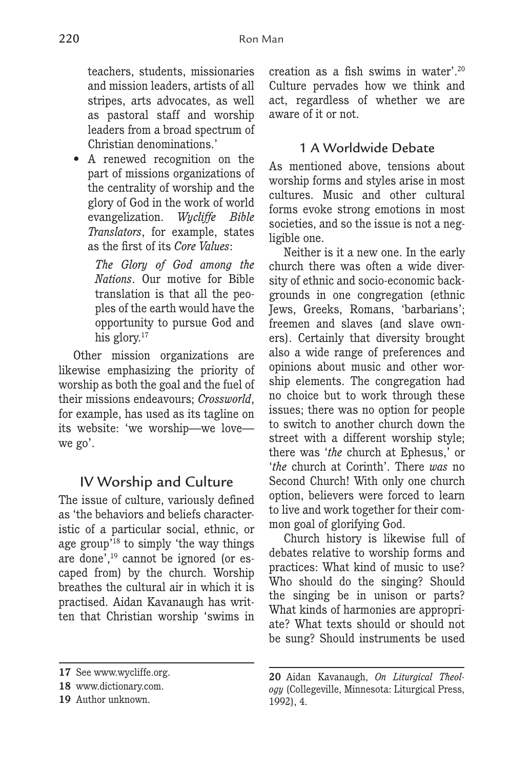teachers, students, missionaries and mission leaders, artists of all stripes, arts advocates, as well as pastoral staff and worship leaders from a broad spectrum of Christian denominations.'

• A renewed recognition on the part of missions organizations of the centrality of worship and the glory of God in the work of world evangelization. *Wycliffe Bible Translators*, for example, states as the first of its *Core Values*:

> *The Glory of God among the Nations*. Our motive for Bible translation is that all the peoples of the earth would have the opportunity to pursue God and his glory.<sup>17</sup>

Other mission organizations are likewise emphasizing the priority of worship as both the goal and the fuel of their missions endeavours; *Crossworld*, for example, has used as its tagline on its website: 'we worship—we love we go'.

## IV Worship and Culture

The issue of culture, variously defined as 'the behaviors and beliefs characteristic of a particular social, ethnic, or age group'18 to simply 'the way things are done',19 cannot be ignored (or escaped from) by the church. Worship breathes the cultural air in which it is practised. Aidan Kavanaugh has written that Christian worship 'swims in creation as a fish swims in water'.20 Culture pervades how we think and act, regardless of whether we are aware of it or not.

## 1 A Worldwide Debate

As mentioned above, tensions about worship forms and styles arise in most cultures. Music and other cultural forms evoke strong emotions in most societies, and so the issue is not a negligible one.

Neither is it a new one. In the early church there was often a wide diversity of ethnic and socio-economic backgrounds in one congregation (ethnic Jews, Greeks, Romans, 'barbarians'; freemen and slaves (and slave owners). Certainly that diversity brought also a wide range of preferences and opinions about music and other worship elements. The congregation had no choice but to work through these issues; there was no option for people to switch to another church down the street with a different worship style; there was '*the* church at Ephesus,' or '*the* church at Corinth'. There *was* no Second Church! With only one church option, believers were forced to learn to live and work together for their common goal of glorifying God.

Church history is likewise full of debates relative to worship forms and practices: What kind of music to use? Who should do the singing? Should the singing be in unison or parts? What kinds of harmonies are appropriate? What texts should or should not be sung? Should instruments be used

**<sup>17</sup>** See www.wycliffe.org.

**<sup>18</sup>** www.dictionary.com.

**<sup>19</sup>** Author unknown.

**<sup>20</sup>** Aidan Kavanaugh, *On Liturgical Theology* (Collegeville, Minnesota: Liturgical Press, 1992), 4.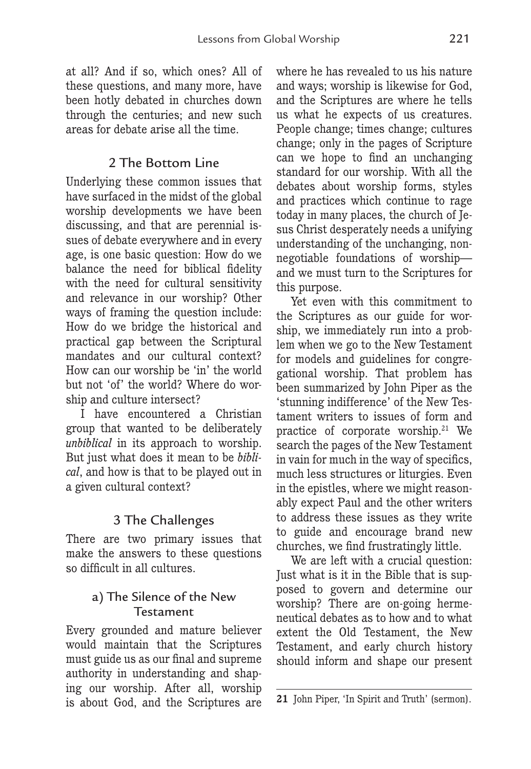at all? And if so, which ones? All of these questions, and many more, have been hotly debated in churches down through the centuries; and new such areas for debate arise all the time.

## 2 The Bottom Line

Underlying these common issues that have surfaced in the midst of the global worship developments we have been discussing, and that are perennial issues of debate everywhere and in every age, is one basic question: How do we balance the need for biblical fidelity with the need for cultural sensitivity and relevance in our worship? Other ways of framing the question include: How do we bridge the historical and practical gap between the Scriptural mandates and our cultural context? How can our worship be 'in' the world but not 'of' the world? Where do worship and culture intersect?

I have encountered a Christian group that wanted to be deliberately *unbiblical* in its approach to worship. But just what does it mean to be *biblical*, and how is that to be played out in a given cultural context?

## 3 The Challenges

There are two primary issues that make the answers to these questions so difficult in all cultures.

## a) The Silence of the New Testament

Every grounded and mature believer would maintain that the Scriptures must guide us as our final and supreme authority in understanding and shaping our worship. After all, worship is about God, and the Scriptures are

where he has revealed to us his nature and ways; worship is likewise for God, and the Scriptures are where he tells us what he expects of us creatures. People change; times change; cultures change; only in the pages of Scripture can we hope to find an unchanging standard for our worship. With all the debates about worship forms, styles and practices which continue to rage today in many places, the church of Jesus Christ desperately needs a unifying understanding of the unchanging, nonnegotiable foundations of worship and we must turn to the Scriptures for this purpose.

Yet even with this commitment to the Scriptures as our guide for worship, we immediately run into a problem when we go to the New Testament for models and guidelines for congregational worship. That problem has been summarized by John Piper as the 'stunning indifference' of the New Testament writers to issues of form and practice of corporate worship.<sup>21</sup> We search the pages of the New Testament in vain for much in the way of specifics, much less structures or liturgies. Even in the epistles, where we might reasonably expect Paul and the other writers to address these issues as they write to guide and encourage brand new churches, we find frustratingly little.

We are left with a crucial question: Just what is it in the Bible that is supposed to govern and determine our worship? There are on-going hermeneutical debates as to how and to what extent the Old Testament, the New Testament, and early church history should inform and shape our present

**<sup>21</sup>** John Piper, 'In Spirit and Truth' (sermon).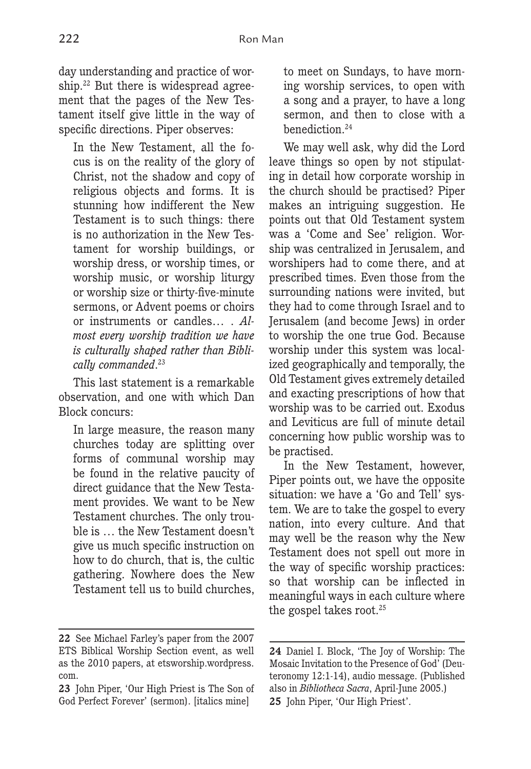day understanding and practice of worship.<sup>22</sup> But there is widespread agreement that the pages of the New Testament itself give little in the way of specific directions. Piper observes:

In the New Testament, all the focus is on the reality of the glory of Christ, not the shadow and copy of religious objects and forms. It is stunning how indifferent the New Testament is to such things: there is no authorization in the New Testament for worship buildings, or worship dress, or worship times, or worship music, or worship liturgy or worship size or thirty-five-minute sermons, or Advent poems or choirs or instruments or candles… . *Almost every worship tradition we have is culturally shaped rather than Biblically commanded*. 23

This last statement is a remarkable observation, and one with which Dan Block concurs:

In large measure, the reason many churches today are splitting over forms of communal worship may be found in the relative paucity of direct guidance that the New Testament provides. We want to be New Testament churches. The only trouble is … the New Testament doesn't give us much specific instruction on how to do church, that is, the cultic gathering. Nowhere does the New Testament tell us to build churches,

to meet on Sundays, to have morning worship services, to open with a song and a prayer, to have a long sermon, and then to close with a benediction.24

We may well ask, why did the Lord leave things so open by not stipulating in detail how corporate worship in the church should be practised? Piper makes an intriguing suggestion. He points out that Old Testament system was a 'Come and See' religion. Worship was centralized in Jerusalem, and worshipers had to come there, and at prescribed times. Even those from the surrounding nations were invited, but they had to come through Israel and to Jerusalem (and become Jews) in order to worship the one true God. Because worship under this system was localized geographically and temporally, the Old Testament gives extremely detailed and exacting prescriptions of how that worship was to be carried out. Exodus and Leviticus are full of minute detail concerning how public worship was to be practised.

In the New Testament, however, Piper points out, we have the opposite situation: we have a 'Go and Tell' system. We are to take the gospel to every nation, into every culture. And that may well be the reason why the New Testament does not spell out more in the way of specific worship practices: so that worship can be inflected in meaningful ways in each culture where the gospel takes root.<sup>25</sup>

**<sup>22</sup>** See Michael Farley's paper from the 2007 ETS Biblical Worship Section event, as well as the 2010 papers, at etsworship.wordpress. com.

**<sup>23</sup>** John Piper, 'Our High Priest is The Son of God Perfect Forever' (sermon). [italics mine]

**<sup>24</sup>** Daniel I. Block, 'The Joy of Worship: The Mosaic Invitation to the Presence of God' (Deuteronomy 12:1-14), audio message. (Published also in *Bibliotheca Sacra*, April-June 2005.) **25** John Piper, 'Our High Priest'.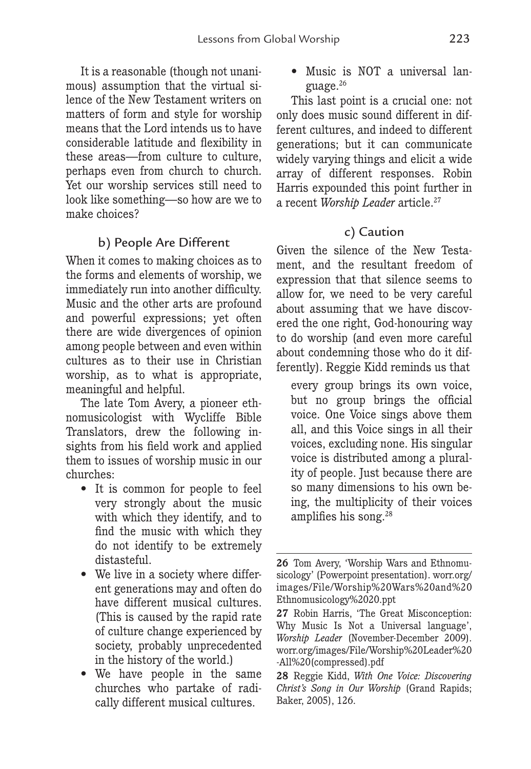It is a reasonable (though not unanimous) assumption that the virtual silence of the New Testament writers on matters of form and style for worship means that the Lord intends us to have considerable latitude and flexibility in these areas—from culture to culture, perhaps even from church to church. Yet our worship services still need to look like something—so how are we to make choices?

## b) People Are Different

When it comes to making choices as to the forms and elements of worship, we immediately run into another difficulty. Music and the other arts are profound and powerful expressions; yet often there are wide divergences of opinion among people between and even within cultures as to their use in Christian worship, as to what is appropriate, meaningful and helpful.

The late Tom Avery, a pioneer ethnomusicologist with Wycliffe Bible Translators, drew the following insights from his field work and applied them to issues of worship music in our churches:

- It is common for people to feel very strongly about the music with which they identify, and to find the music with which they do not identify to be extremely distasteful.
- We live in a society where different generations may and often do have different musical cultures. (This is caused by the rapid rate of culture change experienced by society, probably unprecedented in the history of the world.)
- We have people in the same churches who partake of radically different musical cultures.

• Music is NOT a universal language.26

This last point is a crucial one: not only does music sound different in different cultures, and indeed to different generations; but it can communicate widely varying things and elicit a wide array of different responses. Robin Harris expounded this point further in a recent *Worship Leader* article.27

#### c) Caution

Given the silence of the New Testament, and the resultant freedom of expression that that silence seems to allow for, we need to be very careful about assuming that we have discovered the one right, God-honouring way to do worship (and even more careful about condemning those who do it differently). Reggie Kidd reminds us that

every group brings its own voice, but no group brings the official voice. One Voice sings above them all, and this Voice sings in all their voices, excluding none. His singular voice is distributed among a plurality of people. Just because there are so many dimensions to his own being, the multiplicity of their voices amplifies his song.28

**<sup>26</sup>** Tom Avery, 'Worship Wars and Ethnomusicology' (Powerpoint presentation). worr.org/ images/File/Worship%20Wars%20and%20 Ethnomusicology%2020.ppt

**<sup>27</sup>** Robin Harris, 'The Great Misconception: Why Music Is Not a Universal language', *Worship Leader* (November-December 2009). worr.org/images/File/Worship%20Leader%20 -All%20(compressed).pdf

**<sup>28</sup>** Reggie Kidd, *With One Voice: Discovering Christ's Song in Our Worship* (Grand Rapids; Baker, 2005), 126.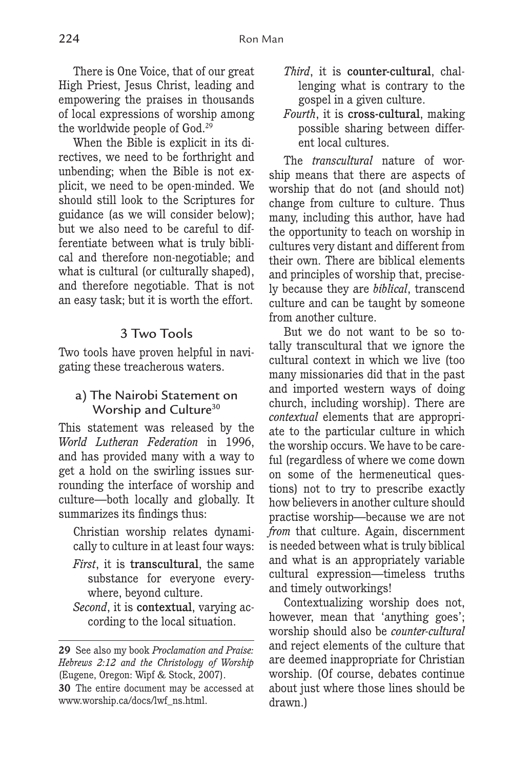There is One Voice, that of our great High Priest, Jesus Christ, leading and empowering the praises in thousands of local expressions of worship among the worldwide people of God.29

When the Bible is explicit in its directives, we need to be forthright and unbending; when the Bible is not explicit, we need to be open-minded. We should still look to the Scriptures for guidance (as we will consider below); but we also need to be careful to differentiate between what is truly biblical and therefore non-negotiable; and what is cultural (or culturally shaped), and therefore negotiable. That is not an easy task; but it is worth the effort.

#### 3 Two Tools

Two tools have proven helpful in navigating these treacherous waters.

#### a) The Nairobi Statement on Worship and Culture<sup>30</sup>

This statement was released by the *World Lutheran Federation* in 1996, and has provided many with a way to get a hold on the swirling issues surrounding the interface of worship and culture—both locally and globally. It summarizes its findings thus:

Christian worship relates dynamically to culture in at least four ways:

- *First*, it is transcultural, the same substance for everyone everywhere, beyond culture.
- *Second*, it is contextual, varying according to the local situation.
- *Third*, it is counter-cultural, challenging what is contrary to the gospel in a given culture.
- *Fourth*, it is cross-cultural, making possible sharing between different local cultures.

The *transcultural* nature of worship means that there are aspects of worship that do not (and should not) change from culture to culture. Thus many, including this author, have had the opportunity to teach on worship in cultures very distant and different from their own. There are biblical elements and principles of worship that, precisely because they are *biblical*, transcend culture and can be taught by someone from another culture.

But we do not want to be so totally transcultural that we ignore the cultural context in which we live (too many missionaries did that in the past and imported western ways of doing church, including worship). There are *contextual* elements that are appropriate to the particular culture in which the worship occurs. We have to be careful (regardless of where we come down on some of the hermeneutical questions) not to try to prescribe exactly how believers in another culture should practise worship—because we are not *from* that culture. Again, discernment is needed between what is truly biblical and what is an appropriately variable cultural expression—timeless truths and timely outworkings!

Contextualizing worship does not, however, mean that 'anything goes'; worship should also be *counter-cultural* and reject elements of the culture that are deemed inappropriate for Christian worship. (Of course, debates continue about just where those lines should be drawn.)

**<sup>29</sup>** See also my book *Proclamation and Praise: Hebrews 2:12 and the Christology of Worship* (Eugene, Oregon: Wipf & Stock, 2007).

**<sup>30</sup>** The entire document may be accessed at www.worship.ca/docs/lwf\_ns.html.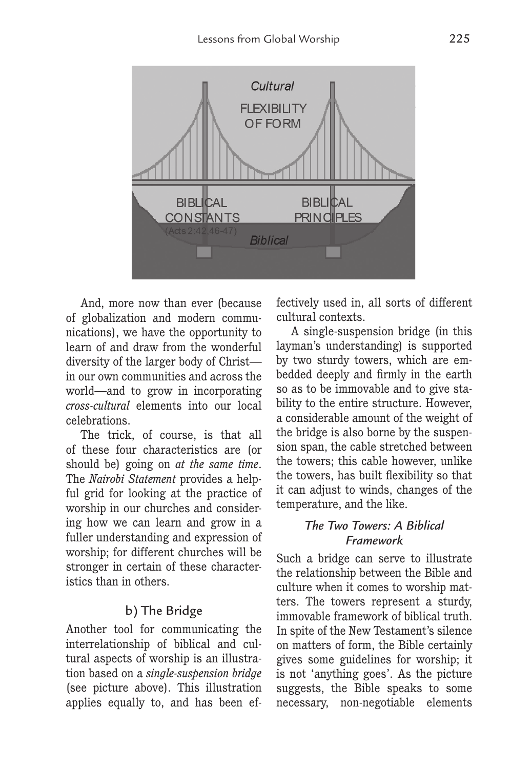

And, more now than ever (because of globalization and modern communications), we have the opportunity to learn of and draw from the wonderful diversity of the larger body of Christ in our own communities and across the world—and to grow in incorporating *cross-cultural* elements into our local celebrations.

The trick, of course, is that all of these four characteristics are (or should be) going on *at the same time*. The *Nairobi Statement* provides a helpful grid for looking at the practice of worship in our churches and considering how we can learn and grow in a fuller understanding and expression of worship; for different churches will be stronger in certain of these characteristics than in others.

## b) The Bridge

Another tool for communicating the interrelationship of biblical and cultural aspects of worship is an illustration based on a *single-suspension bridge* (see picture above). This illustration applies equally to, and has been effectively used in, all sorts of different cultural contexts.

A single-suspension bridge (in this layman's understanding) is supported by two sturdy towers, which are embedded deeply and firmly in the earth so as to be immovable and to give stability to the entire structure. However, a considerable amount of the weight of the bridge is also borne by the suspension span, the cable stretched between the towers; this cable however, unlike the towers, has built flexibility so that it can adjust to winds, changes of the temperature, and the like.

## *The Two Towers: A Biblical Framework*

Such a bridge can serve to illustrate the relationship between the Bible and culture when it comes to worship matters. The towers represent a sturdy, immovable framework of biblical truth. In spite of the New Testament's silence on matters of form, the Bible certainly gives some guidelines for worship; it is not 'anything goes'. As the picture suggests, the Bible speaks to some necessary, non-negotiable elements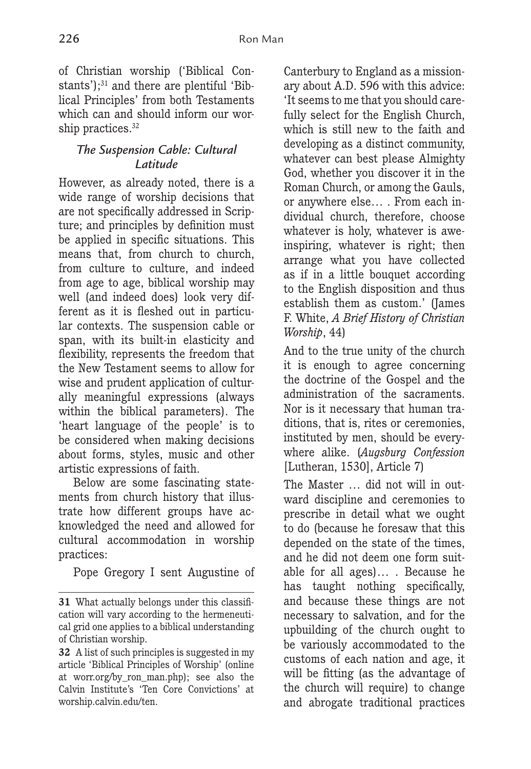of Christian worship ('Biblical Constants');<sup>31</sup> and there are plentiful 'Biblical Principles' from both Testaments which can and should inform our worship practices.<sup>32</sup>

## *The Suspension Cable: Cultural Latitude*

However, as already noted, there is a wide range of worship decisions that are not specifically addressed in Scripture; and principles by definition must be applied in specific situations. This means that, from church to church, from culture to culture, and indeed from age to age, biblical worship may well (and indeed does) look very different as it is fleshed out in particular contexts. The suspension cable or span, with its built-in elasticity and flexibility, represents the freedom that the New Testament seems to allow for wise and prudent application of culturally meaningful expressions (always within the biblical parameters). The 'heart language of the people' is to be considered when making decisions about forms, styles, music and other artistic expressions of faith.

Below are some fascinating statements from church history that illustrate how different groups have acknowledged the need and allowed for cultural accommodation in worship practices:

Pope Gregory I sent Augustine of

Canterbury to England as a missionary about A.D. 596 with this advice: 'It seems to me that you should carefully select for the English Church, which is still new to the faith and developing as a distinct community, whatever can best please Almighty God, whether you discover it in the Roman Church, or among the Gauls, or anywhere else… . From each individual church, therefore, choose whatever is holy, whatever is aweinspiring, whatever is right; then arrange what you have collected as if in a little bouquet according to the English disposition and thus establish them as custom.' (James F. White, *A Brief History of Christian Worship*, 44)

And to the true unity of the church it is enough to agree concerning the doctrine of the Gospel and the administration of the sacraments. Nor is it necessary that human traditions, that is, rites or ceremonies, instituted by men, should be everywhere alike. (*Augsburg Confession* [Lutheran, 1530], Article 7)

The Master … did not will in outward discipline and ceremonies to prescribe in detail what we ought to do (because he foresaw that this depended on the state of the times, and he did not deem one form suitable for all ages)… . Because he has taught nothing specifically, and because these things are not necessary to salvation, and for the upbuilding of the church ought to be variously accommodated to the customs of each nation and age, it will be fitting (as the advantage of the church will require) to change and abrogate traditional practices

**<sup>31</sup>** What actually belongs under this classification will vary according to the hermeneutical grid one applies to a biblical understanding of Christian worship.

**<sup>32</sup>** A list of such principles is suggested in my article 'Biblical Principles of Worship' (online at worr.org/by\_ron\_man.php); see also the Calvin Institute's 'Ten Core Convictions' at worship.calvin.edu/ten.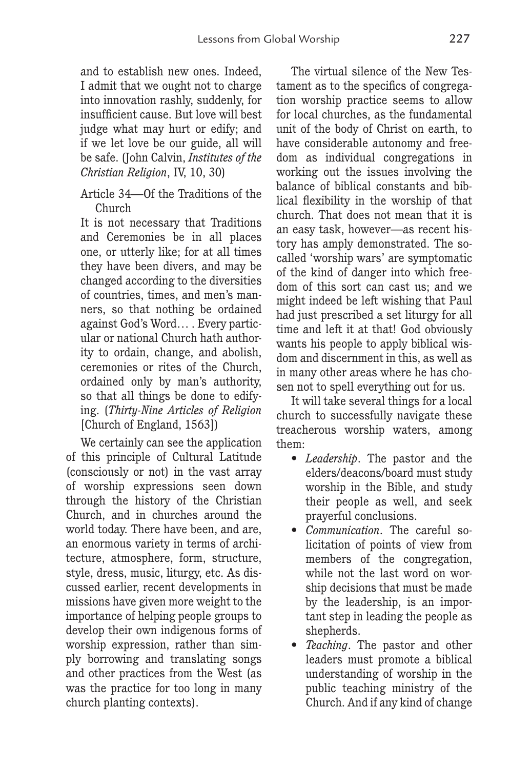and to establish new ones. Indeed, I admit that we ought not to charge into innovation rashly, suddenly, for insufficient cause. But love will best judge what may hurt or edify; and if we let love be our guide, all will be safe. (John Calvin, *Institutes of the Christian Religion*, IV, 10, 30)

Article 34—Of the Traditions of the Church

It is not necessary that Traditions and Ceremonies be in all places one, or utterly like; for at all times they have been divers, and may be changed according to the diversities of countries, times, and men's manners, so that nothing be ordained against God's Word… . Every particular or national Church hath authority to ordain, change, and abolish, ceremonies or rites of the Church, ordained only by man's authority, so that all things be done to edifying. (*Thirty-Nine Articles of Religion* [Church of England, 1563])

We certainly can see the application of this principle of Cultural Latitude (consciously or not) in the vast array of worship expressions seen down through the history of the Christian Church, and in churches around the world today. There have been, and are, an enormous variety in terms of architecture, atmosphere, form, structure, style, dress, music, liturgy, etc. As discussed earlier, recent developments in missions have given more weight to the importance of helping people groups to develop their own indigenous forms of worship expression, rather than simply borrowing and translating songs and other practices from the West (as was the practice for too long in many church planting contexts).

The virtual silence of the New Testament as to the specifics of congregation worship practice seems to allow for local churches, as the fundamental unit of the body of Christ on earth, to have considerable autonomy and freedom as individual congregations in working out the issues involving the balance of biblical constants and biblical flexibility in the worship of that church. That does not mean that it is an easy task, however—as recent history has amply demonstrated. The socalled 'worship wars' are symptomatic of the kind of danger into which freedom of this sort can cast us; and we might indeed be left wishing that Paul had just prescribed a set liturgy for all time and left it at that! God obviously wants his people to apply biblical wisdom and discernment in this, as well as in many other areas where he has chosen not to spell everything out for us.

It will take several things for a local church to successfully navigate these treacherous worship waters, among them:

- *Leadership*. The pastor and the elders/deacons/board must study worship in the Bible, and study their people as well, and seek prayerful conclusions.
- *Communication*. The careful solicitation of points of view from members of the congregation, while not the last word on worship decisions that must be made by the leadership, is an important step in leading the people as shepherds.
- *Teaching*. The pastor and other leaders must promote a biblical understanding of worship in the public teaching ministry of the Church. And if any kind of change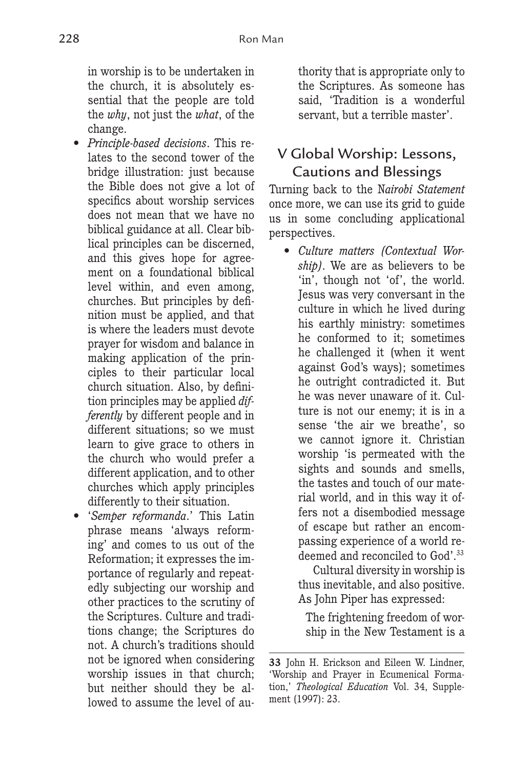in worship is to be undertaken in the church, it is absolutely essential that the people are told the *why*, not just the *what*, of the change.

- *Principle-based decisions*. This relates to the second tower of the bridge illustration: just because the Bible does not give a lot of specifics about worship services does not mean that we have no biblical guidance at all. Clear biblical principles can be discerned, and this gives hope for agreement on a foundational biblical level within, and even among, churches. But principles by definition must be applied, and that is where the leaders must devote prayer for wisdom and balance in making application of the principles to their particular local church situation. Also, by definition principles may be applied *differently* by different people and in different situations; so we must learn to give grace to others in the church who would prefer a different application, and to other churches which apply principles differently to their situation.
- '*Semper reformanda*.' This Latin phrase means 'always reforming' and comes to us out of the Reformation; it expresses the importance of regularly and repeatedly subjecting our worship and other practices to the scrutiny of the Scriptures. Culture and traditions change; the Scriptures do not. A church's traditions should not be ignored when considering worship issues in that church; but neither should they be allowed to assume the level of au-

thority that is appropriate only to the Scriptures. As someone has said, 'Tradition is a wonderful servant, but a terrible master'.

# V Global Worship: Lessons, Cautions and Blessings

Turning back to the N*airobi Statement*  once more, we can use its grid to guide us in some concluding applicational perspectives.

• *Culture matters (Contextual Worship)*. We are as believers to be 'in', though not 'of', the world. Jesus was very conversant in the culture in which he lived during his earthly ministry: sometimes he conformed to it; sometimes he challenged it (when it went against God's ways); sometimes he outright contradicted it. But he was never unaware of it. Culture is not our enemy; it is in a sense 'the air we breathe', so we cannot ignore it. Christian worship 'is permeated with the sights and sounds and smells, the tastes and touch of our material world, and in this way it offers not a disembodied message of escape but rather an encompassing experience of a world redeemed and reconciled to God'.33

Cultural diversity in worship is thus inevitable, and also positive. As John Piper has expressed:

The frightening freedom of worship in the New Testament is a

**<sup>33</sup>** John H. Erickson and Eileen W. Lindner, 'Worship and Prayer in Ecumenical Formation,' *Theological Education* Vol. 34, Supplement (1997): 23.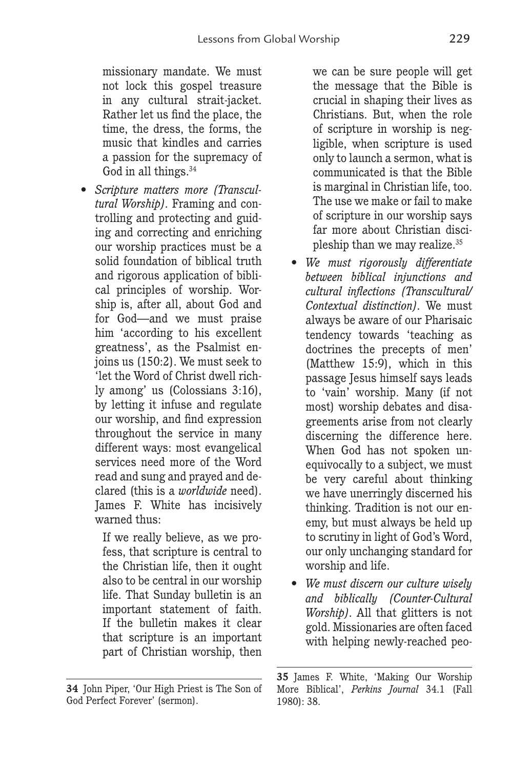missionary mandate. We must not lock this gospel treasure in any cultural strait-jacket. Rather let us find the place, the time, the dress, the forms, the music that kindles and carries a passion for the supremacy of God in all things.<sup>34</sup>

• *Scripture matters more (Transcultural Worship)*. Framing and controlling and protecting and guiding and correcting and enriching our worship practices must be a solid foundation of biblical truth and rigorous application of biblical principles of worship. Worship is, after all, about God and for God—and we must praise him 'according to his excellent greatness', as the Psalmist enjoins us (150:2). We must seek to 'let the Word of Christ dwell richly among' us (Colossians 3:16), by letting it infuse and regulate our worship, and find expression throughout the service in many different ways: most evangelical services need more of the Word read and sung and prayed and declared (this is a *worldwide* need). James F. White has incisively warned thus:

> If we really believe, as we profess, that scripture is central to the Christian life, then it ought also to be central in our worship life. That Sunday bulletin is an important statement of faith. If the bulletin makes it clear that scripture is an important part of Christian worship, then

we can be sure people will get the message that the Bible is crucial in shaping their lives as Christians. But, when the role of scripture in worship is negligible, when scripture is used only to launch a sermon, what is communicated is that the Bible is marginal in Christian life, too. The use we make or fail to make of scripture in our worship says far more about Christian discipleship than we may realize.35

- *We must rigorously differentiate between biblical injunctions and cultural inflections (Transcultural/ Contextual distinction)*. We must always be aware of our Pharisaic tendency towards 'teaching as doctrines the precepts of men' (Matthew 15:9), which in this passage Jesus himself says leads to 'vain' worship. Many (if not most) worship debates and disagreements arise from not clearly discerning the difference here. When God has not spoken unequivocally to a subject, we must be very careful about thinking we have unerringly discerned his thinking. Tradition is not our enemy, but must always be held up to scrutiny in light of God's Word, our only unchanging standard for worship and life.
- *We must discern our culture wisely and biblically (Counter-Cultural Worship)*. All that glitters is not gold. Missionaries are often faced with helping newly-reached peo-

**<sup>34</sup>** John Piper, 'Our High Priest is The Son of God Perfect Forever' (sermon).

**<sup>35</sup>** James F. White, 'Making Our Worship More Biblical', *Perkins Journal* 34.1 (Fall 1980): 38.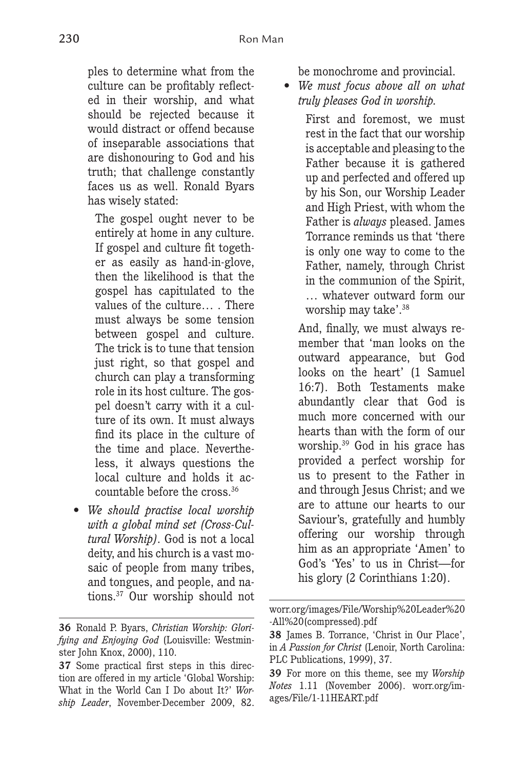ples to determine what from the culture can be profitably reflected in their worship, and what should be rejected because it would distract or offend because of inseparable associations that are dishonouring to God and his truth; that challenge constantly faces us as well. Ronald Byars has wisely stated:

The gospel ought never to be entirely at home in any culture. If gospel and culture fit together as easily as hand-in-glove, then the likelihood is that the gospel has capitulated to the values of the culture… . There must always be some tension between gospel and culture. The trick is to tune that tension just right, so that gospel and church can play a transforming role in its host culture. The gospel doesn't carry with it a culture of its own. It must always find its place in the culture of the time and place. Nevertheless, it always questions the local culture and holds it accountable before the cross.36

• *We should practise local worship with a global mind set (Cross-Cultural Worship)*. God is not a local deity, and his church is a vast mosaic of people from many tribes, and tongues, and people, and nations.37 Our worship should not be monochrome and provincial.

• *We must focus above all on what truly pleases God in worship.*

> First and foremost, we must rest in the fact that our worship is acceptable and pleasing to the Father because it is gathered up and perfected and offered up by his Son, our Worship Leader and High Priest, with whom the Father is *always* pleased. James Torrance reminds us that 'there is only one way to come to the Father, namely, through Christ in the communion of the Spirit, … whatever outward form our worship may take'.38

And, finally, we must always remember that 'man looks on the outward appearance, but God looks on the heart' (1 Samuel 16:7). Both Testaments make abundantly clear that God is much more concerned with our hearts than with the form of our worship.39 God in his grace has provided a perfect worship for us to present to the Father in and through Jesus Christ; and we are to attune our hearts to our Saviour's, gratefully and humbly offering our worship through him as an appropriate 'Amen' to God's 'Yes' to us in Christ—for his glory (2 Corinthians 1:20).

**<sup>36</sup>** Ronald P. Byars, *Christian Worship: Glorifying and Enjoying God* (Louisville: Westminster John Knox, 2000), 110.

**<sup>37</sup>** Some practical first steps in this direction are offered in my article 'Global Worship: What in the World Can I Do about It?' *Worship Leader*, November-December 2009, 82.

worr.org/images/File/Worship%20Leader%20 -All%20(compressed).pdf

**<sup>38</sup>** James B. Torrance, 'Christ in Our Place', in *A Passion for Christ* (Lenoir, North Carolina: PLC Publications, 1999), 37.

**<sup>39</sup>** For more on this theme, see my *Worship Notes* 1.11 (November 2006). worr.org/images/File/1-11HEART.pdf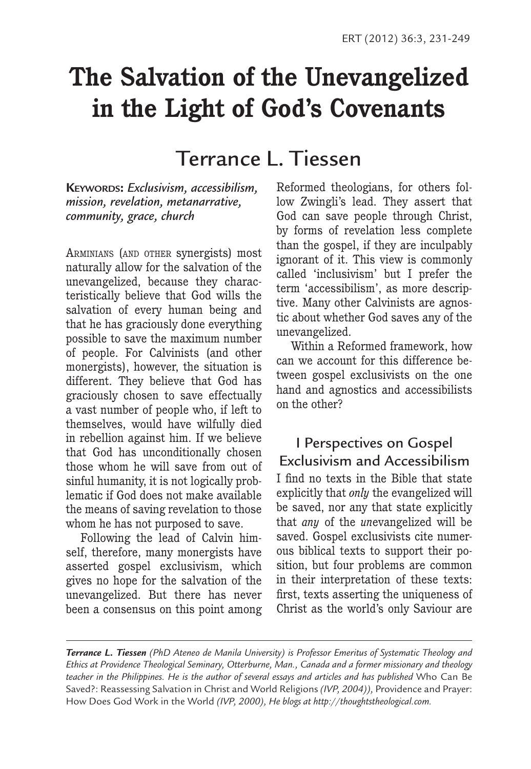# **The Salvation of the Unevangelized in the Light of God's Covenants**

# Terrance L. Tiessen

**KEYWORDS:** *Exclusivism, accessibilism, mission, revelation, metanarrative, community, grace, church*

ARMINIANS (AND OTHER synergists) most naturally allow for the salvation of the unevangelized, because they characteristically believe that God wills the salvation of every human being and that he has graciously done everything possible to save the maximum number of people. For Calvinists (and other monergists), however, the situation is different. They believe that God has graciously chosen to save effectually a vast number of people who, if left to themselves, would have wilfully died in rebellion against him. If we believe that God has unconditionally chosen those whom he will save from out of sinful humanity, it is not logically problematic if God does not make available the means of saving revelation to those whom he has not purposed to save.

Following the lead of Calvin himself, therefore, many monergists have asserted gospel exclusivism, which gives no hope for the salvation of the unevangelized. But there has never been a consensus on this point among Reformed theologians, for others follow Zwingli's lead. They assert that God can save people through Christ, by forms of revelation less complete than the gospel, if they are inculpably ignorant of it. This view is commonly called 'inclusivism' but I prefer the term 'accessibilism', as more descriptive. Many other Calvinists are agnostic about whether God saves any of the unevangelized.

Within a Reformed framework, how can we account for this difference between gospel exclusivists on the one hand and agnostics and accessibilists on the other?

I Perspectives on Gospel Exclusivism and Accessibilism I find no texts in the Bible that state explicitly that *only* the evangelized will be saved, nor any that state explicitly that *any* of the *un*evangelized will be saved. Gospel exclusivists cite numerous biblical texts to support their position, but four problems are common in their interpretation of these texts: first, texts asserting the uniqueness of Christ as the world's only Saviour are

*Terrance L. Tiessen (PhD Ateneo de Manila University) is Professor Emeritus of Systematic Theology and Ethics at Providence Theological Seminary, Otterburne, Man., Canada and a former missionary and theology teacher in the Philippines. He is the author of several essays and articles and has published* Who Can Be Saved?: Reassessing Salvation in Christ and World Religions *(IVP, 2004)),* Providence and Prayer: How Does God Work in the World *(IVP, 2000), He blogs at http://thoughtstheological.com.*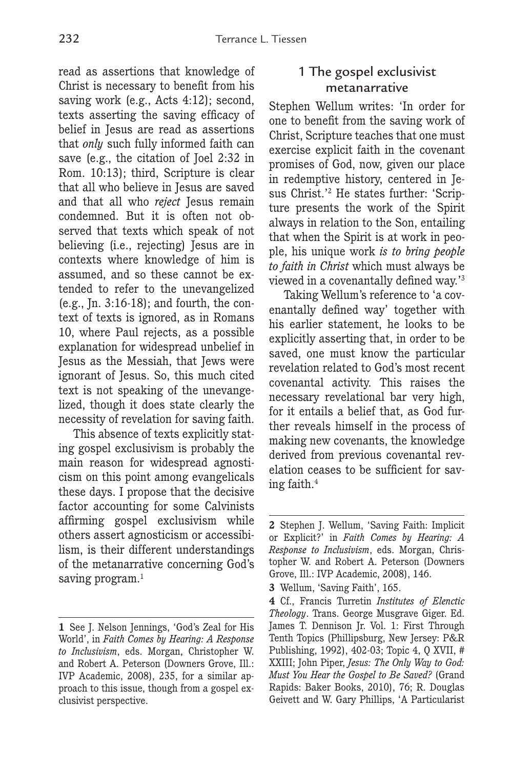read as assertions that knowledge of Christ is necessary to benefit from his saving work (e.g., Acts 4:12); second, texts asserting the saving efficacy of belief in Jesus are read as assertions that *only* such fully informed faith can save (e.g., the citation of Joel 2:32 in Rom. 10:13); third, Scripture is clear that all who believe in Jesus are saved and that all who *reject* Jesus remain condemned. But it is often not observed that texts which speak of not believing (i.e., rejecting) Jesus are in contexts where knowledge of him is assumed, and so these cannot be extended to refer to the unevangelized (e.g., In.  $3:16-18$ ); and fourth, the context of texts is ignored, as in Romans 10, where Paul rejects, as a possible explanation for widespread unbelief in Jesus as the Messiah, that Jews were ignorant of Jesus. So, this much cited text is not speaking of the unevangelized, though it does state clearly the necessity of revelation for saving faith.

This absence of texts explicitly stating gospel exclusivism is probably the main reason for widespread agnosticism on this point among evangelicals these days. I propose that the decisive factor accounting for some Calvinists affirming gospel exclusivism while others assert agnosticism or accessibilism, is their different understandings of the metanarrative concerning God's saving program.<sup>1</sup>

### 1 The gospel exclusivist metanarrative

Stephen Wellum writes: 'In order for one to benefit from the saving work of Christ, Scripture teaches that one must exercise explicit faith in the covenant promises of God, now, given our place in redemptive history, centered in Jesus Christ.'2 He states further: 'Scripture presents the work of the Spirit always in relation to the Son, entailing that when the Spirit is at work in people, his unique work *is to bring people to faith in Christ* which must always be viewed in a covenantally defined way.'3

Taking Wellum's reference to 'a covenantally defined way' together with his earlier statement, he looks to be explicitly asserting that, in order to be saved, one must know the particular revelation related to God's most recent covenantal activity. This raises the necessary revelational bar very high, for it entails a belief that, as God further reveals himself in the process of making new covenants, the knowledge derived from previous covenantal revelation ceases to be sufficient for saving faith.4

**<sup>1</sup>** See J. Nelson Jennings, 'God's Zeal for His World', in *Faith Comes by Hearing: A Response to Inclusivism*, eds. Morgan, Christopher W. and Robert A. Peterson (Downers Grove, Ill.: IVP Academic, 2008), 235, for a similar approach to this issue, though from a gospel exclusivist perspective.

**<sup>2</sup>** Stephen J. Wellum, 'Saving Faith: Implicit or Explicit?' in *Faith Comes by Hearing: A Response to Inclusivism*, eds. Morgan, Christopher W. and Robert A. Peterson (Downers Grove, Ill.: IVP Academic, 2008), 146.

**<sup>3</sup>** Wellum, 'Saving Faith', 165.

**<sup>4</sup>** Cf., Francis Turretin *Institutes of Elenctic Theology*. Trans. George Musgrave Giger. Ed. James T. Dennison Jr. Vol. 1: First Through Tenth Topics (Phillipsburg, New Jersey: P&R Publishing, 1992), 402-03; Topic 4, Q XVII, # XXIII; John Piper, *Jesus: The Only Way to God: Must You Hear the Gospel to Be Saved?* (Grand Rapids: Baker Books, 2010), 76; R. Douglas Geivett and W. Gary Phillips, 'A Particularist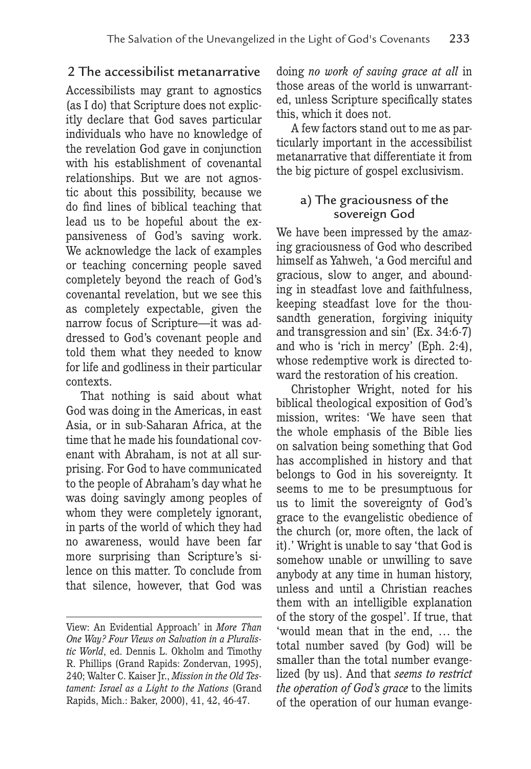## 2 The accessibilist metanarrative

Accessibilists may grant to agnostics (as I do) that Scripture does not explicitly declare that God saves particular individuals who have no knowledge of the revelation God gave in conjunction with his establishment of covenantal relationships. But we are not agnostic about this possibility, because we do find lines of biblical teaching that lead us to be hopeful about the expansiveness of God's saving work. We acknowledge the lack of examples or teaching concerning people saved completely beyond the reach of God's covenantal revelation, but we see this as completely expectable, given the narrow focus of Scripture—it was addressed to God's covenant people and told them what they needed to know for life and godliness in their particular contexts.

That nothing is said about what God was doing in the Americas, in east Asia, or in sub-Saharan Africa, at the time that he made his foundational covenant with Abraham, is not at all surprising. For God to have communicated to the people of Abraham's day what he was doing savingly among peoples of whom they were completely ignorant, in parts of the world of which they had no awareness, would have been far more surprising than Scripture's silence on this matter. To conclude from that silence, however, that God was doing *no work of saving grace at all* in those areas of the world is unwarranted, unless Scripture specifically states this, which it does not.

A few factors stand out to me as particularly important in the accessibilist metanarrative that differentiate it from the big picture of gospel exclusivism.

### a) The graciousness of the sovereign God

We have been impressed by the amazing graciousness of God who described himself as Yahweh, 'a God merciful and gracious, slow to anger, and abounding in steadfast love and faithfulness, keeping steadfast love for the thousandth generation, forgiving iniquity and transgression and sin' (Ex. 34:6-7) and who is 'rich in mercy' (Eph. 2:4), whose redemptive work is directed toward the restoration of his creation.

Christopher Wright, noted for his biblical theological exposition of God's mission, writes: 'We have seen that the whole emphasis of the Bible lies on salvation being something that God has accomplished in history and that belongs to God in his sovereignty. It seems to me to be presumptuous for us to limit the sovereignty of God's grace to the evangelistic obedience of the church (or, more often, the lack of it).' Wright is unable to say 'that God is somehow unable or unwilling to save anybody at any time in human history, unless and until a Christian reaches them with an intelligible explanation of the story of the gospel'. If true, that 'would mean that in the end, … the total number saved (by God) will be smaller than the total number evangelized (by us). And that *seems to restrict the operation of God's grace* to the limits of the operation of our human evange-

View: An Evidential Approach' in *More Than One Way? Four Views on Salvation in a Pluralistic World*, ed. Dennis L. Okholm and Timothy R. Phillips (Grand Rapids: Zondervan, 1995), 240; Walter C. Kaiser Jr., *Mission in the Old Testament: Israel as a Light to the Nations* (Grand Rapids, Mich.: Baker, 2000), 41, 42, 46-47.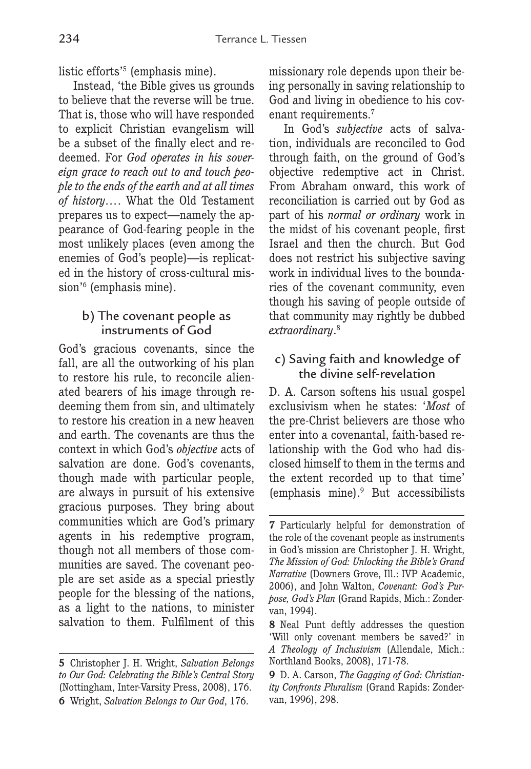listic efforts'5 (emphasis mine).

Instead, 'the Bible gives us grounds to believe that the reverse will be true. That is, those who will have responded to explicit Christian evangelism will be a subset of the finally elect and redeemed. For *God operates in his sovereign grace to reach out to and touch people to the ends of the earth and at all times of history…*. What the Old Testament prepares us to expect—namely the appearance of God-fearing people in the most unlikely places (even among the enemies of God's people)—is replicated in the history of cross-cultural mission<sup>'6</sup> (emphasis mine).

### b) The covenant people as instruments of God

God's gracious covenants, since the fall, are all the outworking of his plan to restore his rule, to reconcile alienated bearers of his image through redeeming them from sin, and ultimately to restore his creation in a new heaven and earth. The covenants are thus the context in which God's *objective* acts of salvation are done. God's covenants, though made with particular people, are always in pursuit of his extensive gracious purposes. They bring about communities which are God's primary agents in his redemptive program, though not all members of those communities are saved. The covenant people are set aside as a special priestly people for the blessing of the nations, as a light to the nations, to minister salvation to them. Fulfilment of this missionary role depends upon their being personally in saving relationship to God and living in obedience to his covenant requirements.7

In God's *subjective* acts of salvation, individuals are reconciled to God through faith, on the ground of God's objective redemptive act in Christ. From Abraham onward, this work of reconciliation is carried out by God as part of his *normal or ordinary* work in the midst of his covenant people, first Israel and then the church. But God does not restrict his subjective saving work in individual lives to the boundaries of the covenant community, even though his saving of people outside of that community may rightly be dubbed *extraordinary*. 8

### c) Saving faith and knowledge of the divine self-revelation

D. A. Carson softens his usual gospel exclusivism when he states: '*Most* of the pre-Christ believers are those who enter into a covenantal, faith-based relationship with the God who had disclosed himself to them in the terms and the extent recorded up to that time' (emphasis mine).9 But accessibilists

**<sup>5</sup>** Christopher J. H. Wright, *Salvation Belongs to Our God: Celebrating the Bible's Central Story* (Nottingham, Inter-Varsity Press, 2008), 176. **6** Wright, *Salvation Belongs to Our God*, 176.

**<sup>7</sup>** Particularly helpful for demonstration of the role of the covenant people as instruments in God's mission are Christopher J. H. Wright, *The Mission of God: Unlocking the Bible's Grand Narrative* (Downers Grove, Ill.: IVP Academic, 2006), and John Walton, *Covenant: God's Purpose, God's Plan* (Grand Rapids, Mich.: Zondervan, 1994).

**<sup>8</sup>** Neal Punt deftly addresses the question 'Will only covenant members be saved?' in *A Theology of Inclusivism* (Allendale, Mich.: Northland Books, 2008), 171-78.

**<sup>9</sup>** D. A. Carson, *The Gagging of God: Christianity Confronts Pluralism* (Grand Rapids: Zondervan, 1996), 298.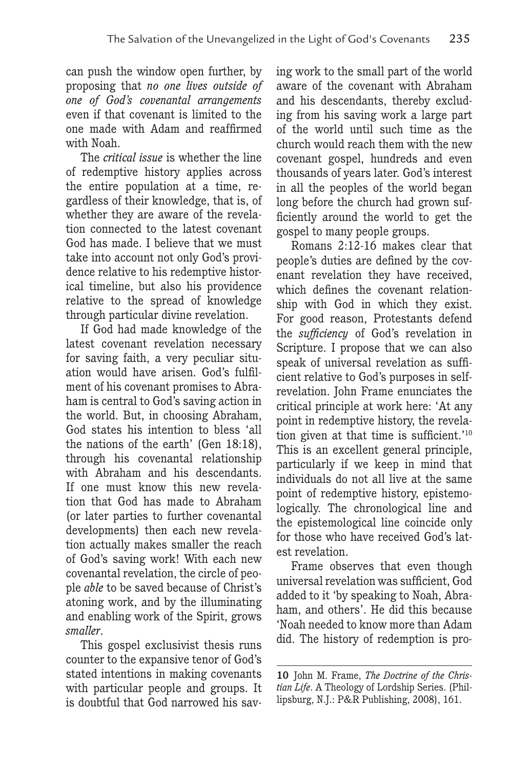can push the window open further, by proposing that *no one lives outside of one of God's covenantal arrangements* even if that covenant is limited to the one made with Adam and reaffirmed with Noah.

The *critical issue* is whether the line of redemptive history applies across the entire population at a time, regardless of their knowledge, that is, of whether they are aware of the revelation connected to the latest covenant God has made. I believe that we must take into account not only God's providence relative to his redemptive historical timeline, but also his providence relative to the spread of knowledge through particular divine revelation.

If God had made knowledge of the latest covenant revelation necessary for saving faith, a very peculiar situation would have arisen. God's fulfilment of his covenant promises to Abraham is central to God's saving action in the world. But, in choosing Abraham, God states his intention to bless 'all the nations of the earth' (Gen 18:18), through his covenantal relationship with Abraham and his descendants. If one must know this new revelation that God has made to Abraham (or later parties to further covenantal developments) then each new revelation actually makes smaller the reach of God's saving work! With each new covenantal revelation, the circle of people *able* to be saved because of Christ's atoning work, and by the illuminating and enabling work of the Spirit, grows *smaller*.

This gospel exclusivist thesis runs counter to the expansive tenor of God's stated intentions in making covenants with particular people and groups. It is doubtful that God narrowed his saving work to the small part of the world aware of the covenant with Abraham and his descendants, thereby excluding from his saving work a large part of the world until such time as the church would reach them with the new covenant gospel, hundreds and even thousands of years later. God's interest in all the peoples of the world began long before the church had grown sufficiently around the world to get the gospel to many people groups.

Romans 2:12-16 makes clear that people's duties are defined by the covenant revelation they have received, which defines the covenant relationship with God in which they exist. For good reason, Protestants defend the *sufficiency* of God's revelation in Scripture. I propose that we can also speak of universal revelation as sufficient relative to God's purposes in selfrevelation. John Frame enunciates the critical principle at work here: 'At any point in redemptive history, the revelation given at that time is sufficient.'10 This is an excellent general principle, particularly if we keep in mind that individuals do not all live at the same point of redemptive history, epistemologically. The chronological line and the epistemological line coincide only for those who have received God's latest revelation.

Frame observes that even though universal revelation was sufficient, God added to it 'by speaking to Noah, Abraham, and others'. He did this because 'Noah needed to know more than Adam did. The history of redemption is pro-

**<sup>10</sup>** John M. Frame, *The Doctrine of the Christian Life*. A Theology of Lordship Series. (Phillipsburg, N.J.: P&R Publishing, 2008), 161.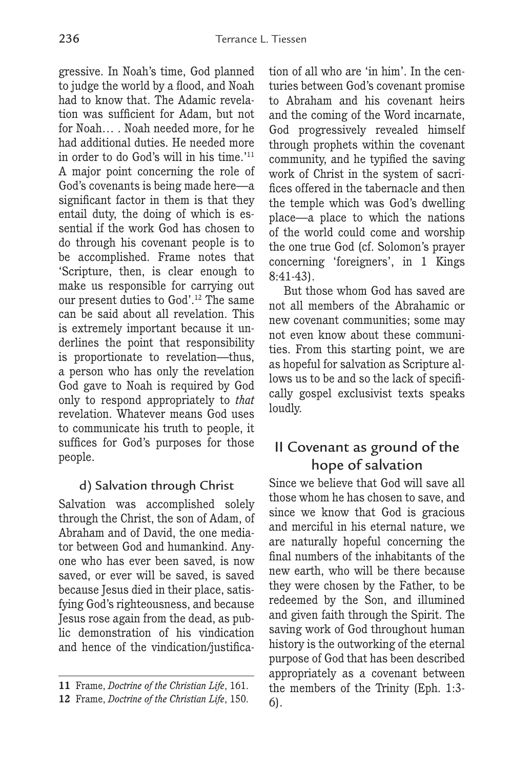gressive. In Noah's time, God planned to judge the world by a flood, and Noah had to know that. The Adamic revelation was sufficient for Adam, but not for Noah… . Noah needed more, for he had additional duties. He needed more in order to do God's will in his time.'11 A major point concerning the role of God's covenants is being made here—a significant factor in them is that they entail duty, the doing of which is essential if the work God has chosen to do through his covenant people is to be accomplished. Frame notes that 'Scripture, then, is clear enough to make us responsible for carrying out our present duties to God'.12 The same can be said about all revelation. This is extremely important because it underlines the point that responsibility is proportionate to revelation—thus, a person who has only the revelation God gave to Noah is required by God only to respond appropriately to *that* revelation. Whatever means God uses to communicate his truth to people, it suffices for God's purposes for those people.

### d) Salvation through Christ

Salvation was accomplished solely through the Christ, the son of Adam, of Abraham and of David, the one mediator between God and humankind. Anyone who has ever been saved, is now saved, or ever will be saved, is saved because Jesus died in their place, satisfying God's righteousness, and because Jesus rose again from the dead, as public demonstration of his vindication and hence of the vindication/justification of all who are 'in him'. In the centuries between God's covenant promise to Abraham and his covenant heirs and the coming of the Word incarnate, God progressively revealed himself through prophets within the covenant community, and he typified the saving work of Christ in the system of sacrifices offered in the tabernacle and then the temple which was God's dwelling place—a place to which the nations of the world could come and worship the one true God (cf. Solomon's prayer concerning 'foreigners', in 1 Kings 8:41-43).

But those whom God has saved are not all members of the Abrahamic or new covenant communities; some may not even know about these communities. From this starting point, we are as hopeful for salvation as Scripture allows us to be and so the lack of specifically gospel exclusivist texts speaks loudly.

## II Covenant as ground of the hope of salvation

Since we believe that God will save all those whom he has chosen to save, and since we know that God is gracious and merciful in his eternal nature, we are naturally hopeful concerning the final numbers of the inhabitants of the new earth, who will be there because they were chosen by the Father, to be redeemed by the Son, and illumined and given faith through the Spirit. The saving work of God throughout human history is the outworking of the eternal purpose of God that has been described appropriately as a covenant between the members of the Trinity (Eph. 1:3- 6).

**<sup>11</sup>** Frame, *Doctrine of the Christian Life*, 161.

**<sup>12</sup>** Frame, *Doctrine of the Christian Life*, 150.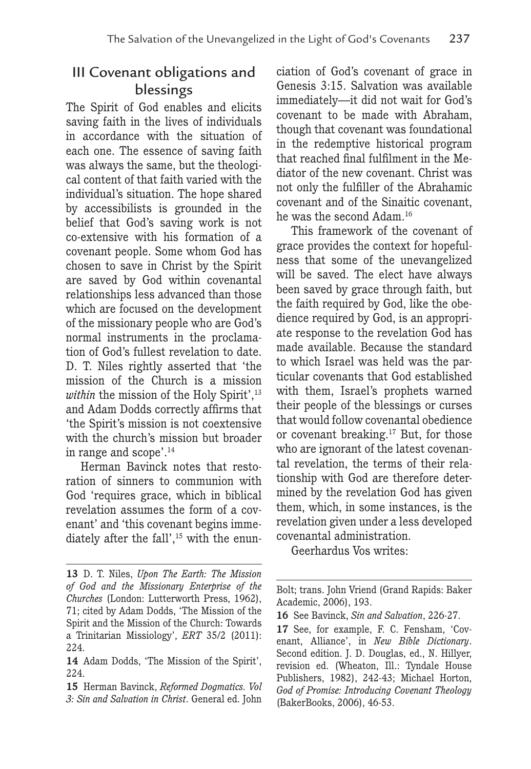# III Covenant obligations and blessings

The Spirit of God enables and elicits saving faith in the lives of individuals in accordance with the situation of each one. The essence of saving faith was always the same, but the theological content of that faith varied with the individual's situation. The hope shared by accessibilists is grounded in the belief that God's saving work is not co-extensive with his formation of a covenant people. Some whom God has chosen to save in Christ by the Spirit are saved by God within covenantal relationships less advanced than those which are focused on the development of the missionary people who are God's normal instruments in the proclamation of God's fullest revelation to date. D. T. Niles rightly asserted that 'the mission of the Church is a mission *within* the mission of the Holy Spirit',<sup>13</sup> and Adam Dodds correctly affirms that 'the Spirit's mission is not coextensive with the church's mission but broader in range and scope'.14

Herman Bavinck notes that restoration of sinners to communion with God 'requires grace, which in biblical revelation assumes the form of a covenant' and 'this covenant begins immediately after the fall',<sup>15</sup> with the enunciation of God's covenant of grace in Genesis 3:15. Salvation was available immediately—it did not wait for God's covenant to be made with Abraham, though that covenant was foundational in the redemptive historical program that reached final fulfilment in the Mediator of the new covenant. Christ was not only the fulfiller of the Abrahamic covenant and of the Sinaitic covenant, he was the second Adam.16

This framework of the covenant of grace provides the context for hopefulness that some of the unevangelized will be saved. The elect have always been saved by grace through faith, but the faith required by God, like the obedience required by God, is an appropriate response to the revelation God has made available. Because the standard to which Israel was held was the particular covenants that God established with them, Israel's prophets warned their people of the blessings or curses that would follow covenantal obedience or covenant breaking.17 But, for those who are ignorant of the latest covenantal revelation, the terms of their relationship with God are therefore determined by the revelation God has given them, which, in some instances, is the revelation given under a less developed covenantal administration.

Geerhardus Vos writes:

**<sup>13</sup>** D. T. Niles, *Upon The Earth: The Mission of God and the Missionary Enterprise of the Churches* (London: Lutterworth Press, 1962), 71; cited by Adam Dodds, 'The Mission of the Spirit and the Mission of the Church: Towards a Trinitarian Missiology', *ERT* 35/2 (2011): 224.

**<sup>14</sup>** Adam Dodds, 'The Mission of the Spirit', 224.

**<sup>15</sup>** Herman Bavinck, *Reformed Dogmatics. Vol 3: Sin and Salvation in Christ*. General ed. John

Bolt; trans. John Vriend (Grand Rapids: Baker Academic, 2006), 193.

**<sup>16</sup>** See Bavinck, *Sin and Salvation*, 226-27.

**<sup>17</sup>** See, for example, F. C. Fensham, 'Covenant, Alliance', in *New Bible Dictionary*. Second edition. J. D. Douglas, ed., N. Hillyer, revision ed. (Wheaton, Ill.: Tyndale House Publishers, 1982), 242-43; Michael Horton, *God of Promise: Introducing Covenant Theology* (BakerBooks, 2006), 46-53.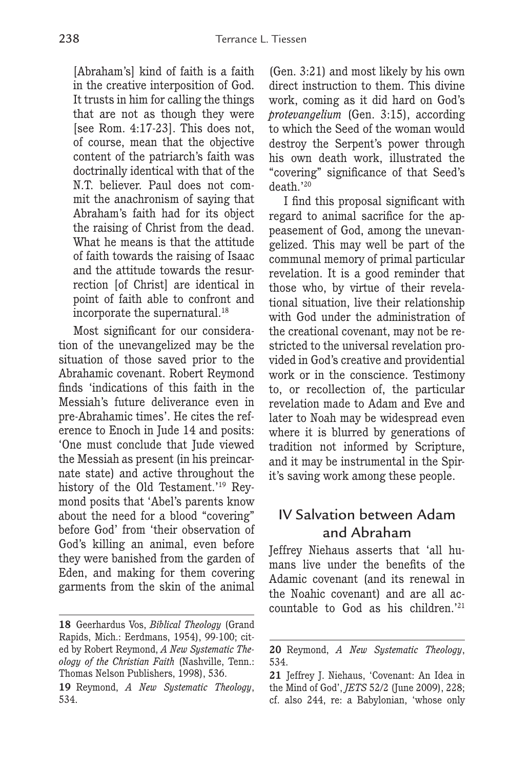[Abraham's] kind of faith is a faith in the creative interposition of God. It trusts in him for calling the things that are not as though they were [see Rom. 4:17-23]. This does not, of course, mean that the objective content of the patriarch's faith was doctrinally identical with that of the N.T. believer. Paul does not commit the anachronism of saying that Abraham's faith had for its object the raising of Christ from the dead. What he means is that the attitude of faith towards the raising of Isaac and the attitude towards the resurrection [of Christ] are identical in point of faith able to confront and incorporate the supernatural.<sup>18</sup>

Most significant for our consideration of the unevangelized may be the situation of those saved prior to the Abrahamic covenant. Robert Reymond finds 'indications of this faith in the Messiah's future deliverance even in pre-Abrahamic times'. He cites the reference to Enoch in Jude 14 and posits: 'One must conclude that Jude viewed the Messiah as present (in his preincarnate state) and active throughout the history of the Old Testament.'19 Reymond posits that 'Abel's parents know about the need for a blood "covering" before God' from 'their observation of God's killing an animal, even before they were banished from the garden of Eden, and making for them covering garments from the skin of the animal

(Gen. 3:21) and most likely by his own direct instruction to them. This divine work, coming as it did hard on God's *protevangelium* (Gen. 3:15), according to which the Seed of the woman would destroy the Serpent's power through his own death work, illustrated the "covering" significance of that Seed's death.'20

I find this proposal significant with regard to animal sacrifice for the appeasement of God, among the unevangelized. This may well be part of the communal memory of primal particular revelation. It is a good reminder that those who, by virtue of their revelational situation, live their relationship with God under the administration of the creational covenant, may not be restricted to the universal revelation provided in God's creative and providential work or in the conscience. Testimony to, or recollection of, the particular revelation made to Adam and Eve and later to Noah may be widespread even where it is blurred by generations of tradition not informed by Scripture, and it may be instrumental in the Spirit's saving work among these people.

### IV Salvation between Adam and Abraham

Jeffrey Niehaus asserts that 'all humans live under the benefits of the Adamic covenant (and its renewal in the Noahic covenant) and are all accountable to God as his children.'21

**<sup>18</sup>** Geerhardus Vos, *Biblical Theology* (Grand Rapids, Mich.: Eerdmans, 1954), 99-100; cited by Robert Reymond, *A New Systematic Theology of the Christian Faith* (Nashville, Tenn.: Thomas Nelson Publishers, 1998), 536.

**<sup>19</sup>** Reymond, *A New Systematic Theology*, 534.

**<sup>20</sup>** Reymond, *A New Systematic Theology*, 534.

**<sup>21</sup>** Jeffrey J. Niehaus, 'Covenant: An Idea in the Mind of God', *JETS* 52/2 (June 2009), 228; cf. also 244, re: a Babylonian, 'whose only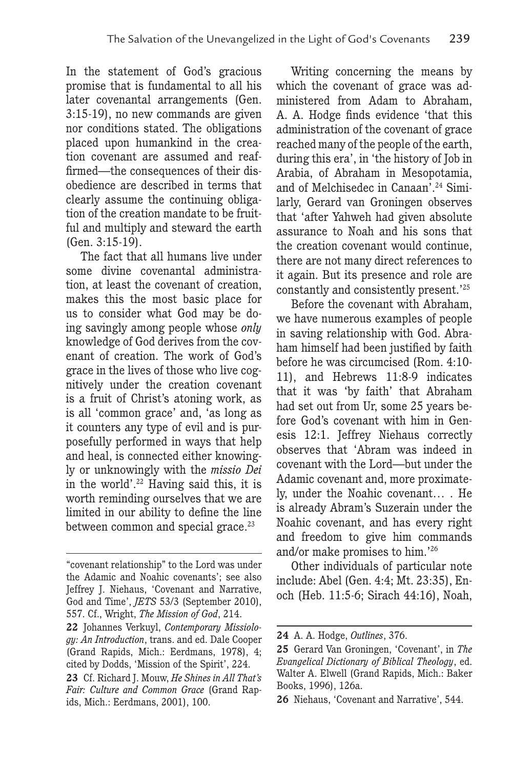In the statement of God's gracious promise that is fundamental to all his later covenantal arrangements (Gen. 3:15-19), no new commands are given nor conditions stated. The obligations placed upon humankind in the creation covenant are assumed and reaffirmed—the consequences of their disobedience are described in terms that clearly assume the continuing obligation of the creation mandate to be fruitful and multiply and steward the earth (Gen. 3:15-19).

The fact that all humans live under some divine covenantal administration, at least the covenant of creation, makes this the most basic place for us to consider what God may be doing savingly among people whose *only* knowledge of God derives from the covenant of creation. The work of God's grace in the lives of those who live cognitively under the creation covenant is a fruit of Christ's atoning work, as is all 'common grace' and, 'as long as it counters any type of evil and is purposefully performed in ways that help and heal, is connected either knowingly or unknowingly with the *missio Dei* in the world'.22 Having said this, it is worth reminding ourselves that we are limited in our ability to define the line between common and special grace.<sup>23</sup>

Writing concerning the means by which the covenant of grace was administered from Adam to Abraham, A. A. Hodge finds evidence 'that this administration of the covenant of grace reached many of the people of the earth, during this era', in 'the history of Job in Arabia, of Abraham in Mesopotamia, and of Melchisedec in Canaan'.24 Similarly, Gerard van Groningen observes that 'after Yahweh had given absolute assurance to Noah and his sons that the creation covenant would continue, there are not many direct references to it again. But its presence and role are constantly and consistently present.'25

Before the covenant with Abraham, we have numerous examples of people in saving relationship with God. Abraham himself had been justified by faith before he was circumcised (Rom. 4:10- 11), and Hebrews 11:8-9 indicates that it was 'by faith' that Abraham had set out from Ur, some 25 years before God's covenant with him in Genesis 12:1. Jeffrey Niehaus correctly observes that 'Abram was indeed in covenant with the Lord—but under the Adamic covenant and, more proximately, under the Noahic covenant… . He is already Abram's Suzerain under the Noahic covenant, and has every right and freedom to give him commands and/or make promises to him.'26

Other individuals of particular note include: Abel (Gen. 4:4; Mt. 23:35), Enoch (Heb. 11:5-6; Sirach 44:16), Noah,

<sup>&</sup>quot;covenant relationship" to the Lord was under the Adamic and Noahic covenants'; see also Jeffrey J. Niehaus, 'Covenant and Narrative, God and Time', *JETS* 53/3 (September 2010), 557. Cf., Wright, *The Mission of God*, 214.

**<sup>22</sup>** Johannes Verkuyl, *Contemporary Missiology: An Introduction*, trans. and ed. Dale Cooper (Grand Rapids, Mich.: Eerdmans, 1978), 4; cited by Dodds, 'Mission of the Spirit', 224.

**<sup>23</sup>** Cf. Richard J. Mouw, *He Shines in All That's Fair: Culture and Common Grace* (Grand Rapids, Mich.: Eerdmans, 2001), 100.

**<sup>24</sup>** A. A. Hodge, *Outlines*, 376.

**<sup>25</sup>** Gerard Van Groningen, 'Covenant', in *The Evangelical Dictionary of Biblical Theology*, ed. Walter A. Elwell (Grand Rapids, Mich.: Baker Books, 1996), 126a.

**<sup>26</sup>** Niehaus, 'Covenant and Narrative', 544.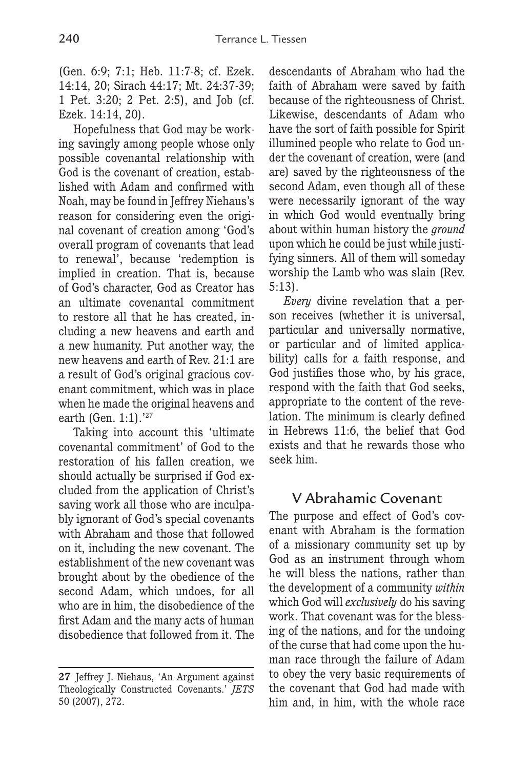(Gen. 6:9; 7:1; Heb. 11:7-8; cf. Ezek. 14:14, 20; Sirach 44:17; Mt. 24:37-39; 1 Pet. 3:20; 2 Pet. 2:5), and Job (cf. Ezek. 14:14, 20).

Hopefulness that God may be working savingly among people whose only possible covenantal relationship with God is the covenant of creation, established with Adam and confirmed with Noah, may be found in Jeffrey Niehaus's reason for considering even the original covenant of creation among 'God's overall program of covenants that lead to renewal', because 'redemption is implied in creation. That is, because of God's character, God as Creator has an ultimate covenantal commitment to restore all that he has created, including a new heavens and earth and a new humanity. Put another way, the new heavens and earth of Rev. 21:1 are a result of God's original gracious covenant commitment, which was in place when he made the original heavens and earth (Gen. 1:1).'27

Taking into account this 'ultimate covenantal commitment' of God to the restoration of his fallen creation, we should actually be surprised if God excluded from the application of Christ's saving work all those who are inculpably ignorant of God's special covenants with Abraham and those that followed on it, including the new covenant. The establishment of the new covenant was brought about by the obedience of the second Adam, which undoes, for all who are in him, the disobedience of the first Adam and the many acts of human disobedience that followed from it. The descendants of Abraham who had the faith of Abraham were saved by faith because of the righteousness of Christ. Likewise, descendants of Adam who have the sort of faith possible for Spirit illumined people who relate to God under the covenant of creation, were (and are) saved by the righteousness of the second Adam, even though all of these were necessarily ignorant of the way in which God would eventually bring about within human history the *ground* upon which he could be just while justifying sinners. All of them will someday worship the Lamb who was slain (Rev. 5:13).

*Every* divine revelation that a person receives (whether it is universal, particular and universally normative, or particular and of limited applicability) calls for a faith response, and God justifies those who, by his grace, respond with the faith that God seeks, appropriate to the content of the revelation. The minimum is clearly defined in Hebrews 11:6, the belief that God exists and that he rewards those who seek him.

### V Abrahamic Covenant

The purpose and effect of God's covenant with Abraham is the formation of a missionary community set up by God as an instrument through whom he will bless the nations, rather than the development of a community *within* which God will *exclusively* do his saving work. That covenant was for the blessing of the nations, and for the undoing of the curse that had come upon the human race through the failure of Adam to obey the very basic requirements of the covenant that God had made with him and, in him, with the whole race

**<sup>27</sup>** Jeffrey J. Niehaus, 'An Argument against Theologically Constructed Covenants.' *JETS* 50 (2007), 272.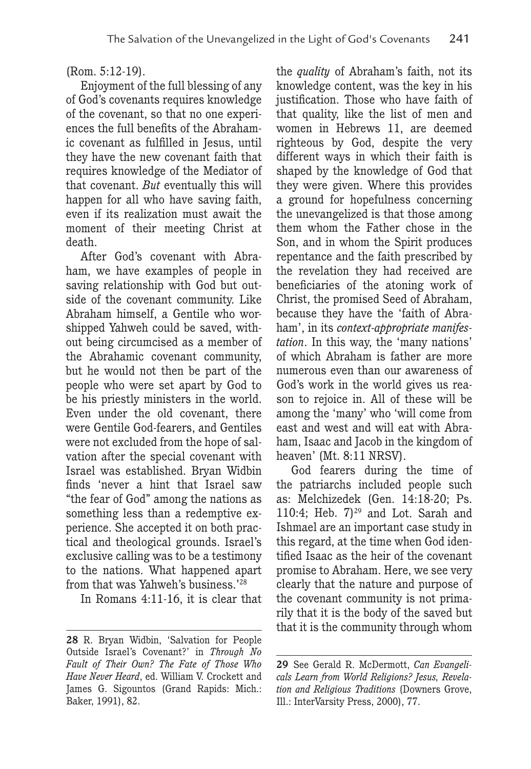#### (Rom. 5:12-19).

Enjoyment of the full blessing of any of God's covenants requires knowledge of the covenant, so that no one experiences the full benefits of the Abrahamic covenant as fulfilled in Jesus, until they have the new covenant faith that requires knowledge of the Mediator of that covenant. *But* eventually this will happen for all who have saving faith, even if its realization must await the moment of their meeting Christ at death.

After God's covenant with Abraham, we have examples of people in saving relationship with God but outside of the covenant community. Like Abraham himself, a Gentile who worshipped Yahweh could be saved, without being circumcised as a member of the Abrahamic covenant community, but he would not then be part of the people who were set apart by God to be his priestly ministers in the world. Even under the old covenant, there were Gentile God-fearers, and Gentiles were not excluded from the hope of salvation after the special covenant with Israel was established. Bryan Widbin finds 'never a hint that Israel saw "the fear of God" among the nations as something less than a redemptive experience. She accepted it on both practical and theological grounds. Israel's exclusive calling was to be a testimony to the nations. What happened apart from that was Yahweh's business.'28

In Romans 4:11-16, it is clear that

the *quality* of Abraham's faith, not its knowledge content, was the key in his justification. Those who have faith of that quality, like the list of men and women in Hebrews 11, are deemed righteous by God, despite the very different ways in which their faith is shaped by the knowledge of God that they were given. Where this provides a ground for hopefulness concerning the unevangelized is that those among them whom the Father chose in the Son, and in whom the Spirit produces repentance and the faith prescribed by the revelation they had received are beneficiaries of the atoning work of Christ, the promised Seed of Abraham, because they have the 'faith of Abraham', in its *context-appropriate manifestation*. In this way, the 'many nations' of which Abraham is father are more numerous even than our awareness of God's work in the world gives us reason to rejoice in. All of these will be among the 'many' who 'will come from east and west and will eat with Abraham, Isaac and Jacob in the kingdom of heaven' (Mt. 8:11 NRSV).

God fearers during the time of the patriarchs included people such as: Melchizedek (Gen. 14:18-20; Ps. 110:4; Heb.  $7)^{29}$  and Lot. Sarah and Ishmael are an important case study in this regard, at the time when God identified Isaac as the heir of the covenant promise to Abraham. Here, we see very clearly that the nature and purpose of the covenant community is not primarily that it is the body of the saved but that it is the community through whom

**<sup>28</sup>** R. Bryan Widbin, 'Salvation for People Outside Israel's Covenant?' in *Through No Fault of Their Own? The Fate of Those Who Have Never Heard*, ed. William V. Crockett and James G. Sigountos (Grand Rapids: Mich.: Baker, 1991), 82.

**<sup>29</sup>** See Gerald R. McDermott, *Can Evangelicals Learn from World Religions? Jesus, Revelation and Religious Traditions* (Downers Grove, Ill.: InterVarsity Press, 2000), 77.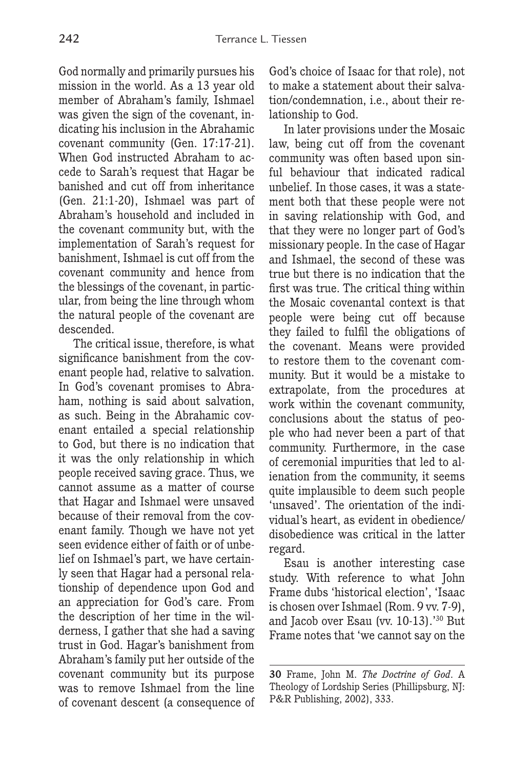God normally and primarily pursues his mission in the world. As a 13 year old member of Abraham's family, Ishmael was given the sign of the covenant, indicating his inclusion in the Abrahamic covenant community (Gen. 17:17-21). When God instructed Abraham to accede to Sarah's request that Hagar be banished and cut off from inheritance (Gen. 21:1-20), Ishmael was part of Abraham's household and included in the covenant community but, with the implementation of Sarah's request for banishment, Ishmael is cut off from the covenant community and hence from the blessings of the covenant, in particular, from being the line through whom the natural people of the covenant are descended.

The critical issue, therefore, is what significance banishment from the covenant people had, relative to salvation. In God's covenant promises to Abraham, nothing is said about salvation, as such. Being in the Abrahamic covenant entailed a special relationship to God, but there is no indication that it was the only relationship in which people received saving grace. Thus, we cannot assume as a matter of course that Hagar and Ishmael were unsaved because of their removal from the covenant family. Though we have not yet seen evidence either of faith or of unbelief on Ishmael's part, we have certainly seen that Hagar had a personal relationship of dependence upon God and an appreciation for God's care. From the description of her time in the wilderness, I gather that she had a saving trust in God. Hagar's banishment from Abraham's family put her outside of the covenant community but its purpose was to remove Ishmael from the line of covenant descent (a consequence of God's choice of Isaac for that role), not to make a statement about their salvation/condemnation, i.e., about their relationship to God.

In later provisions under the Mosaic law, being cut off from the covenant community was often based upon sinful behaviour that indicated radical unbelief. In those cases, it was a statement both that these people were not in saving relationship with God, and that they were no longer part of God's missionary people. In the case of Hagar and Ishmael, the second of these was true but there is no indication that the first was true. The critical thing within the Mosaic covenantal context is that people were being cut off because they failed to fulfil the obligations of the covenant. Means were provided to restore them to the covenant community. But it would be a mistake to extrapolate, from the procedures at work within the covenant community, conclusions about the status of people who had never been a part of that community. Furthermore, in the case of ceremonial impurities that led to alienation from the community, it seems quite implausible to deem such people 'unsaved'. The orientation of the individual's heart, as evident in obedience/ disobedience was critical in the latter regard.

Esau is another interesting case study. With reference to what John Frame dubs 'historical election', 'Isaac is chosen over Ishmael (Rom. 9 vv. 7-9), and Jacob over Esau (vv. 10-13).'30 But Frame notes that 'we cannot say on the

**<sup>30</sup>** Frame, John M. *The Doctrine of God*. A Theology of Lordship Series (Phillipsburg, NJ: P&R Publishing, 2002), 333.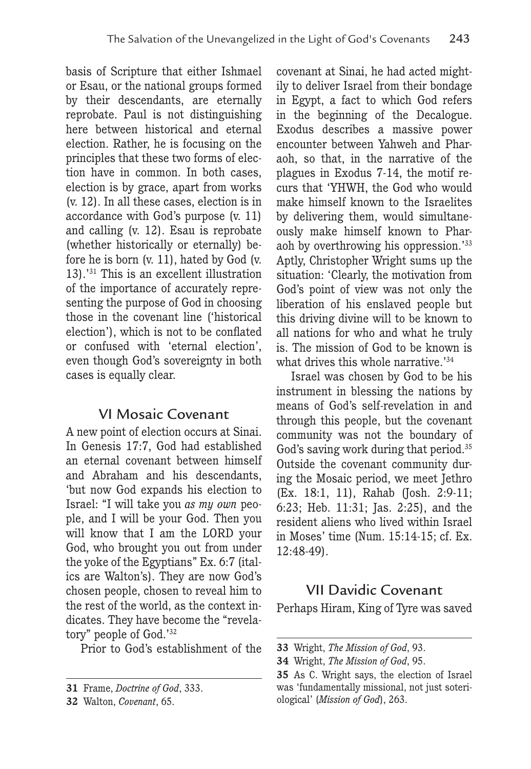basis of Scripture that either Ishmael or Esau, or the national groups formed by their descendants, are eternally reprobate. Paul is not distinguishing here between historical and eternal election. Rather, he is focusing on the principles that these two forms of election have in common. In both cases, election is by grace, apart from works (v. 12). In all these cases, election is in accordance with God's purpose (v. 11) and calling (v. 12). Esau is reprobate (whether historically or eternally) before he is born (v. 11), hated by God (v. 13).'31 This is an excellent illustration of the importance of accurately representing the purpose of God in choosing those in the covenant line ('historical election'), which is not to be conflated or confused with 'eternal election', even though God's sovereignty in both cases is equally clear.

### VI Mosaic Covenant

A new point of election occurs at Sinai. In Genesis 17:7, God had established an eternal covenant between himself and Abraham and his descendants, 'but now God expands his election to Israel: "I will take you *as my own* people, and I will be your God. Then you will know that I am the LORD your God, who brought you out from under the yoke of the Egyptians" Ex. 6:7 (italics are Walton's). They are now God's chosen people, chosen to reveal him to the rest of the world, as the context indicates. They have become the "revelatory" people of God.'32

Prior to God's establishment of the

covenant at Sinai, he had acted mightily to deliver Israel from their bondage in Egypt, a fact to which God refers in the beginning of the Decalogue. Exodus describes a massive power encounter between Yahweh and Pharaoh, so that, in the narrative of the plagues in Exodus 7-14, the motif recurs that 'YHWH, the God who would make himself known to the Israelites by delivering them, would simultaneously make himself known to Pharaoh by overthrowing his oppression.'33 Aptly, Christopher Wright sums up the situation: 'Clearly, the motivation from God's point of view was not only the liberation of his enslaved people but this driving divine will to be known to all nations for who and what he truly is. The mission of God to be known is what drives this whole narrative.<sup>'34</sup>

Israel was chosen by God to be his instrument in blessing the nations by means of God's self-revelation in and through this people, but the covenant community was not the boundary of God's saving work during that period.<sup>35</sup> Outside the covenant community during the Mosaic period, we meet Jethro (Ex. 18:1, 11), Rahab (Josh. 2:9-11; 6:23; Heb. 11:31; Jas. 2:25), and the resident aliens who lived within Israel in Moses' time (Num. 15:14-15; cf. Ex. 12:48-49).

### VII Davidic Covenant

Perhaps Hiram, King of Tyre was saved

**<sup>31</sup>** Frame, *Doctrine of God*, 333.

**<sup>32</sup>** Walton, *Covenant*, 65.

**<sup>33</sup>** Wright, *The Mission of God*, 93.

**<sup>34</sup>** Wright, *The Mission of God*, 95.

**<sup>35</sup>** As C. Wright says, the election of Israel was 'fundamentally missional, not just soteriological' (*Mission of God*), 263.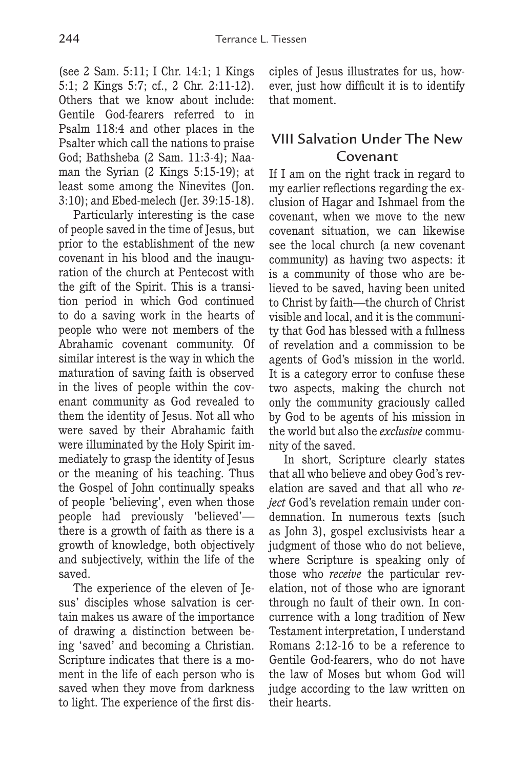(see 2 Sam. 5:11; I Chr. 14:1; 1 Kings 5:1; 2 Kings 5:7; cf., 2 Chr. 2:11-12). Others that we know about include: Gentile God-fearers referred to in Psalm 118:4 and other places in the Psalter which call the nations to praise God; Bathsheba (2 Sam. 11:3-4); Naaman the Syrian (2 Kings 5:15-19); at least some among the Ninevites (Jon. 3:10); and Ebed-melech (Jer. 39:15-18).

Particularly interesting is the case of people saved in the time of Jesus, but prior to the establishment of the new covenant in his blood and the inauguration of the church at Pentecost with the gift of the Spirit. This is a transition period in which God continued to do a saving work in the hearts of people who were not members of the Abrahamic covenant community. Of similar interest is the way in which the maturation of saving faith is observed in the lives of people within the covenant community as God revealed to them the identity of Jesus. Not all who were saved by their Abrahamic faith were illuminated by the Holy Spirit immediately to grasp the identity of Jesus or the meaning of his teaching. Thus the Gospel of John continually speaks of people 'believing', even when those people had previously 'believed' there is a growth of faith as there is a growth of knowledge, both objectively and subjectively, within the life of the saved.

The experience of the eleven of Jesus' disciples whose salvation is certain makes us aware of the importance of drawing a distinction between being 'saved' and becoming a Christian. Scripture indicates that there is a moment in the life of each person who is saved when they move from darkness to light. The experience of the first disciples of Jesus illustrates for us, however, just how difficult it is to identify that moment.

# VIII Salvation Under The New Covenant

If I am on the right track in regard to my earlier reflections regarding the exclusion of Hagar and Ishmael from the covenant, when we move to the new covenant situation, we can likewise see the local church (a new covenant community) as having two aspects: it is a community of those who are believed to be saved, having been united to Christ by faith—the church of Christ visible and local, and it is the community that God has blessed with a fullness of revelation and a commission to be agents of God's mission in the world. It is a category error to confuse these two aspects, making the church not only the community graciously called by God to be agents of his mission in the world but also the *exclusive* community of the saved.

In short, Scripture clearly states that all who believe and obey God's revelation are saved and that all who *reject* God's revelation remain under condemnation. In numerous texts (such as John 3), gospel exclusivists hear a judgment of those who do not believe, where Scripture is speaking only of those who *receive* the particular revelation, not of those who are ignorant through no fault of their own. In concurrence with a long tradition of New Testament interpretation, I understand Romans 2:12-16 to be a reference to Gentile God-fearers, who do not have the law of Moses but whom God will judge according to the law written on their hearts.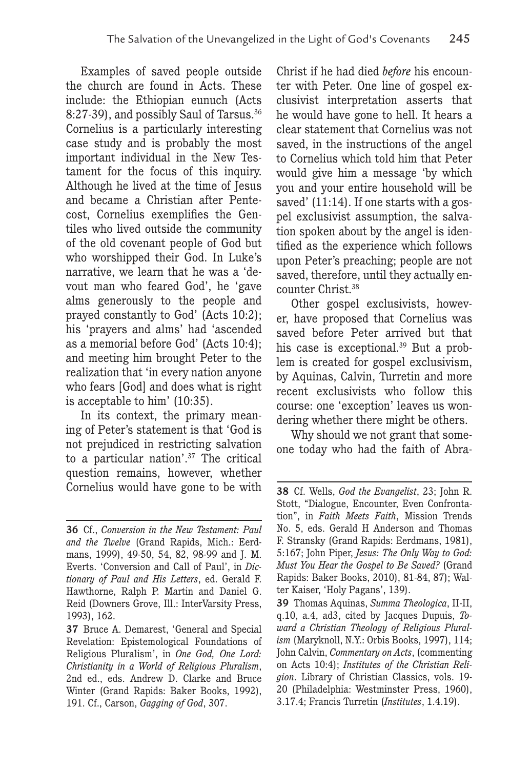Examples of saved people outside the church are found in Acts. These include: the Ethiopian eunuch (Acts 8:27-39), and possibly Saul of Tarsus.36 Cornelius is a particularly interesting case study and is probably the most important individual in the New Testament for the focus of this inquiry. Although he lived at the time of Jesus and became a Christian after Pentecost, Cornelius exemplifies the Gentiles who lived outside the community of the old covenant people of God but who worshipped their God. In Luke's narrative, we learn that he was a 'devout man who feared God', he 'gave alms generously to the people and prayed constantly to God' (Acts 10:2); his 'prayers and alms' had 'ascended as a memorial before God' (Acts 10:4); and meeting him brought Peter to the realization that 'in every nation anyone who fears [God] and does what is right is acceptable to him' (10:35).

In its context, the primary meaning of Peter's statement is that 'God is not prejudiced in restricting salvation to a particular nation'.37 The critical question remains, however, whether Cornelius would have gone to be with Christ if he had died *before* his encounter with Peter. One line of gospel exclusivist interpretation asserts that he would have gone to hell. It hears a clear statement that Cornelius was not saved, in the instructions of the angel to Cornelius which told him that Peter would give him a message 'by which you and your entire household will be saved' (11:14). If one starts with a gospel exclusivist assumption, the salvation spoken about by the angel is identified as the experience which follows upon Peter's preaching; people are not saved, therefore, until they actually encounter Christ.38

Other gospel exclusivists, however, have proposed that Cornelius was saved before Peter arrived but that his case is exceptional.<sup>39</sup> But a problem is created for gospel exclusivism, by Aquinas, Calvin, Turretin and more recent exclusivists who follow this course: one 'exception' leaves us wondering whether there might be others.

Why should we not grant that someone today who had the faith of Abra-

**<sup>36</sup>** Cf., *Conversion in the New Testament: Paul and the Twelve* (Grand Rapids, Mich.: Eerdmans, 1999), 49-50, 54, 82, 98-99 and J. M. Everts. 'Conversion and Call of Paul', in *Dictionary of Paul and His Letters*, ed. Gerald F. Hawthorne, Ralph P. Martin and Daniel G. Reid (Downers Grove, Ill.: InterVarsity Press, 1993), 162.

**<sup>37</sup>** Bruce A. Demarest, 'General and Special Revelation: Epistemological Foundations of Religious Pluralism', in *One God, One Lord: Christianity in a World of Religious Pluralism*, 2nd ed., eds. Andrew D. Clarke and Bruce Winter (Grand Rapids: Baker Books, 1992), 191. Cf., Carson, *Gagging of God*, 307.

**<sup>38</sup>** Cf. Wells, *God the Evangelist*, 23; John R. Stott, "Dialogue, Encounter, Even Confrontation", in *Faith Meets Faith*, Mission Trends No. 5, eds. Gerald H Anderson and Thomas F. Stransky (Grand Rapids: Eerdmans, 1981), 5:167; John Piper, *Jesus: The Only Way to God: Must You Hear the Gospel to Be Saved?* (Grand Rapids: Baker Books, 2010), 81-84, 87); Walter Kaiser, 'Holy Pagans', 139).

**<sup>39</sup>** Thomas Aquinas, *Summa Theologica*, II-II, q.10, a.4, ad3, cited by Jacques Dupuis, *Toward a Christian Theology of Religious Pluralism* (Maryknoll, N.Y.: Orbis Books, 1997), 114; John Calvin, *Commentary on Acts*, (commenting on Acts 10:4); *Institutes of the Christian Religion*. Library of Christian Classics, vols. 19- 20 (Philadelphia: Westminster Press, 1960), 3.17.4; Francis Turretin (*Institutes*, 1.4.19).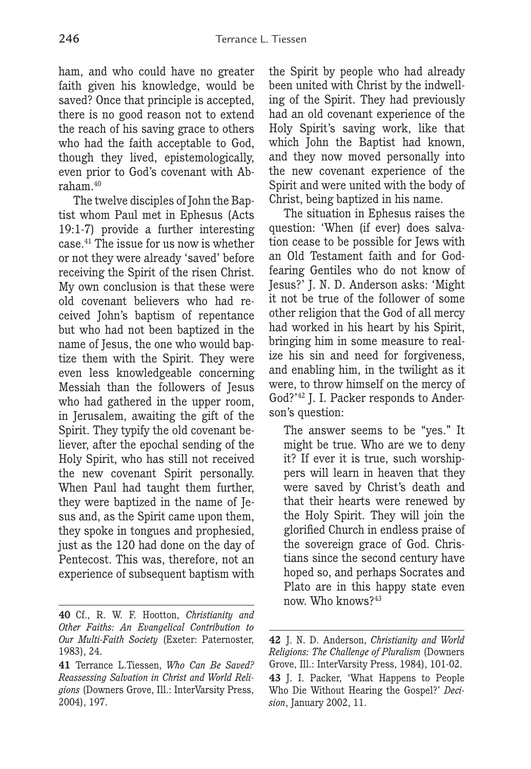ham, and who could have no greater faith given his knowledge, would be saved? Once that principle is accepted, there is no good reason not to extend the reach of his saving grace to others who had the faith acceptable to God, though they lived, epistemologically, even prior to God's covenant with Abraham.40

The twelve disciples of John the Baptist whom Paul met in Ephesus (Acts 19:1-7) provide a further interesting case.41 The issue for us now is whether or not they were already 'saved' before receiving the Spirit of the risen Christ. My own conclusion is that these were old covenant believers who had received John's baptism of repentance but who had not been baptized in the name of Jesus, the one who would baptize them with the Spirit. They were even less knowledgeable concerning Messiah than the followers of Jesus who had gathered in the upper room, in Jerusalem, awaiting the gift of the Spirit. They typify the old covenant believer, after the epochal sending of the Holy Spirit, who has still not received the new covenant Spirit personally. When Paul had taught them further, they were baptized in the name of Jesus and, as the Spirit came upon them, they spoke in tongues and prophesied, just as the 120 had done on the day of Pentecost. This was, therefore, not an experience of subsequent baptism with the Spirit by people who had already been united with Christ by the indwelling of the Spirit. They had previously had an old covenant experience of the Holy Spirit's saving work, like that which John the Baptist had known. and they now moved personally into the new covenant experience of the Spirit and were united with the body of Christ, being baptized in his name.

The situation in Ephesus raises the question: 'When (if ever) does salvation cease to be possible for Jews with an Old Testament faith and for Godfearing Gentiles who do not know of Jesus?' J. N. D. Anderson asks: 'Might it not be true of the follower of some other religion that the God of all mercy had worked in his heart by his Spirit, bringing him in some measure to realize his sin and need for forgiveness, and enabling him, in the twilight as it were, to throw himself on the mercy of God?'42 J. I. Packer responds to Anderson's question:

The answer seems to be "yes." It might be true. Who are we to deny it? If ever it is true, such worshippers will learn in heaven that they were saved by Christ's death and that their hearts were renewed by the Holy Spirit. They will join the glorified Church in endless praise of the sovereign grace of God. Christians since the second century have hoped so, and perhaps Socrates and Plato are in this happy state even now. Who knows?43

**<sup>40</sup>** Cf., R. W. F. Hootton, *Christianity and Other Faiths: An Evangelical Contribution to Our Multi-Faith Society* (Exeter: Paternoster, 1983), 24.

**<sup>41</sup>** Terrance L.Tiessen, *Who Can Be Saved? Reassessing Salvation in Christ and World Religions* (Downers Grove, Ill.: InterVarsity Press, 2004), 197.

**<sup>42</sup>** J. N. D. Anderson, *Christianity and World Religions: The Challenge of Pluralism* (Downers Grove, Ill.: InterVarsity Press, 1984), 101-02.

**<sup>43</sup>** J. I. Packer, 'What Happens to People Who Die Without Hearing the Gospel?' *Decision*, January 2002, 11.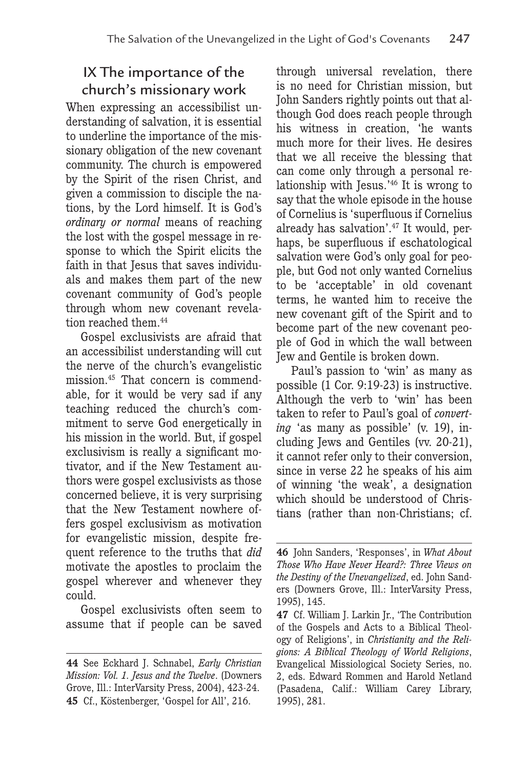# IX The importance of the church's missionary work

When expressing an accessibilist understanding of salvation, it is essential to underline the importance of the missionary obligation of the new covenant community. The church is empowered by the Spirit of the risen Christ, and given a commission to disciple the nations, by the Lord himself. It is God's *ordinary or normal* means of reaching the lost with the gospel message in response to which the Spirit elicits the faith in that Jesus that saves individuals and makes them part of the new covenant community of God's people through whom new covenant revelation reached them.<sup>44</sup>

Gospel exclusivists are afraid that an accessibilist understanding will cut the nerve of the church's evangelistic mission.45 That concern is commendable, for it would be very sad if any teaching reduced the church's commitment to serve God energetically in his mission in the world. But, if gospel exclusivism is really a significant motivator, and if the New Testament authors were gospel exclusivists as those concerned believe, it is very surprising that the New Testament nowhere offers gospel exclusivism as motivation for evangelistic mission, despite frequent reference to the truths that *did* motivate the apostles to proclaim the gospel wherever and whenever they could.

Gospel exclusivists often seem to assume that if people can be saved through universal revelation, there is no need for Christian mission, but John Sanders rightly points out that although God does reach people through his witness in creation, 'he wants much more for their lives. He desires that we all receive the blessing that can come only through a personal relationship with Jesus.'46 It is wrong to say that the whole episode in the house of Cornelius is 'superfluous if Cornelius already has salvation'.47 It would, perhaps, be superfluous if eschatological salvation were God's only goal for people, but God not only wanted Cornelius to be 'acceptable' in old covenant terms, he wanted him to receive the new covenant gift of the Spirit and to become part of the new covenant people of God in which the wall between Jew and Gentile is broken down.

Paul's passion to 'win' as many as possible (1 Cor. 9:19-23) is instructive. Although the verb to 'win' has been taken to refer to Paul's goal of *converting* 'as many as possible' (v. 19), including Jews and Gentiles (vv. 20-21), it cannot refer only to their conversion, since in verse 22 he speaks of his aim of winning 'the weak', a designation which should be understood of Christians (rather than non-Christians; cf.

**<sup>44</sup>** See Eckhard J. Schnabel, *Early Christian Mission: Vol. 1. Jesus and the Twelve*. (Downers Grove, Ill.: InterVarsity Press, 2004), 423-24. **45** Cf., Köstenberger, 'Gospel for All', 216.

**<sup>46</sup>** John Sanders, 'Responses', in *What About Those Who Have Never Heard?: Three Views on the Destiny of the Unevangelized*, ed. John Sanders (Downers Grove, Ill.: InterVarsity Press, 1995), 145.

**<sup>47</sup>** Cf. William J. Larkin Jr., 'The Contribution of the Gospels and Acts to a Biblical Theology of Religions', in *Christianity and the Religions: A Biblical Theology of World Religions*, Evangelical Missiological Society Series, no. 2, eds. Edward Rommen and Harold Netland (Pasadena, Calif.: William Carey Library, 1995), 281.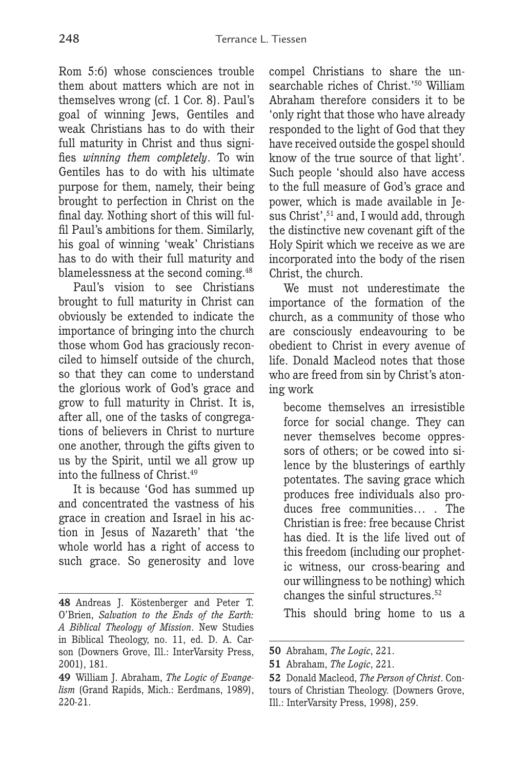Rom 5:6) whose consciences trouble them about matters which are not in themselves wrong (cf. 1 Cor. 8). Paul's goal of winning Jews, Gentiles and weak Christians has to do with their full maturity in Christ and thus signifies *winning them completely*. To win Gentiles has to do with his ultimate purpose for them, namely, their being brought to perfection in Christ on the final day. Nothing short of this will fulfil Paul's ambitions for them. Similarly, his goal of winning 'weak' Christians has to do with their full maturity and blamelessness at the second coming.48

Paul's vision to see Christians brought to full maturity in Christ can obviously be extended to indicate the importance of bringing into the church those whom God has graciously reconciled to himself outside of the church, so that they can come to understand the glorious work of God's grace and grow to full maturity in Christ. It is, after all, one of the tasks of congregations of believers in Christ to nurture one another, through the gifts given to us by the Spirit, until we all grow up into the fullness of Christ.49

It is because 'God has summed up and concentrated the vastness of his grace in creation and Israel in his action in Jesus of Nazareth' that 'the whole world has a right of access to such grace. So generosity and love compel Christians to share the unsearchable riches of Christ.'50 William Abraham therefore considers it to be 'only right that those who have already responded to the light of God that they have received outside the gospel should know of the true source of that light'. Such people 'should also have access to the full measure of God's grace and power, which is made available in Jesus Christ',<sup>51</sup> and, I would add, through the distinctive new covenant gift of the Holy Spirit which we receive as we are incorporated into the body of the risen Christ, the church.

We must not underestimate the importance of the formation of the church, as a community of those who are consciously endeavouring to be obedient to Christ in every avenue of life. Donald Macleod notes that those who are freed from sin by Christ's atoning work

become themselves an irresistible force for social change. They can never themselves become oppressors of others; or be cowed into silence by the blusterings of earthly potentates. The saving grace which produces free individuals also produces free communities… . The Christian is free: free because Christ has died. It is the life lived out of this freedom (including our prophetic witness, our cross-bearing and our willingness to be nothing) which changes the sinful structures.52

This should bring home to us a

**<sup>48</sup>** Andreas J. Köstenberger and Peter T. O'Brien, *Salvation to the Ends of the Earth: A Biblical Theology of Mission*. New Studies in Biblical Theology, no. 11, ed. D. A. Carson (Downers Grove, Ill.: InterVarsity Press, 2001), 181.

**<sup>49</sup>** William J. Abraham, *The Logic of Evangelism* (Grand Rapids, Mich.: Eerdmans, 1989), 220-21.

**<sup>50</sup>** Abraham, *The Logic*, 221.

**<sup>51</sup>** Abraham, *The Logic*, 221.

**<sup>52</sup>** Donald Macleod, *The Person of Christ*. Contours of Christian Theology. (Downers Grove, Ill.: InterVarsity Press, 1998), 259.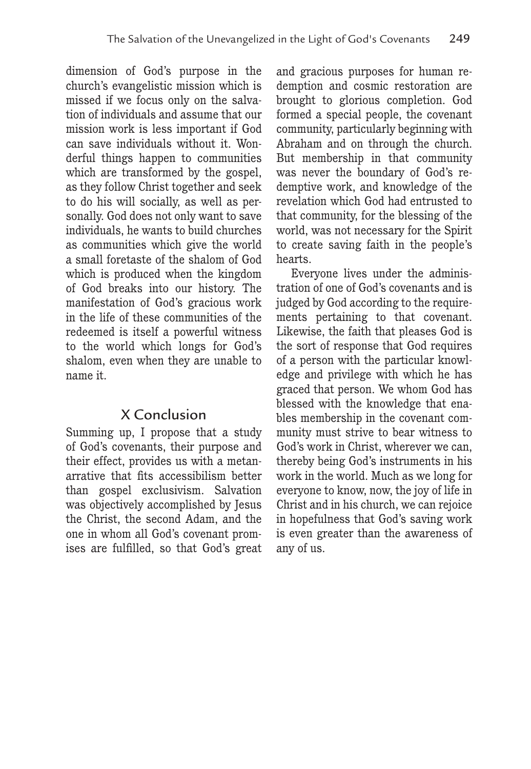dimension of God's purpose in the church's evangelistic mission which is missed if we focus only on the salvation of individuals and assume that our mission work is less important if God can save individuals without it. Wonderful things happen to communities which are transformed by the gospel, as they follow Christ together and seek to do his will socially, as well as personally. God does not only want to save individuals, he wants to build churches as communities which give the world a small foretaste of the shalom of God which is produced when the kingdom of God breaks into our history. The manifestation of God's gracious work in the life of these communities of the redeemed is itself a powerful witness to the world which longs for God's shalom, even when they are unable to name it.

### X Conclusion

Summing up, I propose that a study of God's covenants, their purpose and their effect, provides us with a metanarrative that fits accessibilism better than gospel exclusivism. Salvation was objectively accomplished by Jesus the Christ, the second Adam, and the one in whom all God's covenant promises are fulfilled, so that God's great

and gracious purposes for human redemption and cosmic restoration are brought to glorious completion. God formed a special people, the covenant community, particularly beginning with Abraham and on through the church. But membership in that community was never the boundary of God's redemptive work, and knowledge of the revelation which God had entrusted to that community, for the blessing of the world, was not necessary for the Spirit to create saving faith in the people's hearts.

Everyone lives under the administration of one of God's covenants and is judged by God according to the requirements pertaining to that covenant. Likewise, the faith that pleases God is the sort of response that God requires of a person with the particular knowledge and privilege with which he has graced that person. We whom God has blessed with the knowledge that enables membership in the covenant community must strive to bear witness to God's work in Christ, wherever we can, thereby being God's instruments in his work in the world. Much as we long for everyone to know, now, the joy of life in Christ and in his church, we can rejoice in hopefulness that God's saving work is even greater than the awareness of any of us.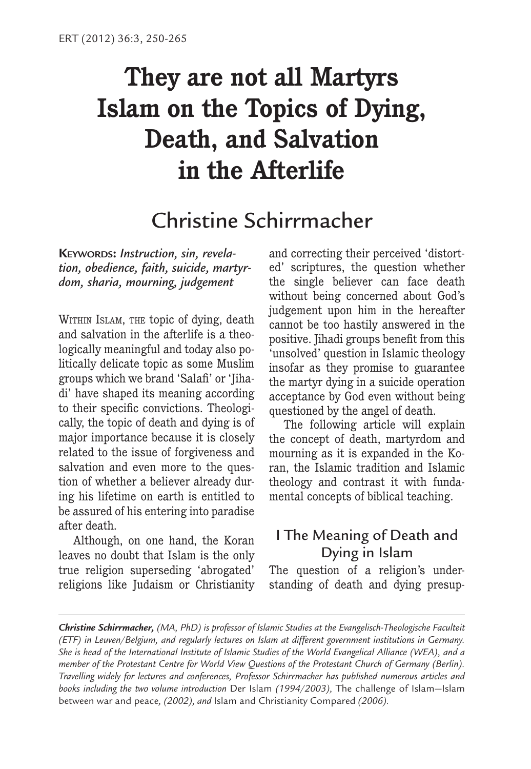# **They are not all Martyrs Islam on the Topics of Dying, Death, and Salvation in the Afterlife**

# Christine Schirrmacher

**KEYWORDS:** *Instruction, sin, revelation, obedience, faith, suicide, martyrdom, sharia, mourning, judgement*

WITHIN ISLAM, THE topic of dying, death and salvation in the afterlife is a theologically meaningful and today also politically delicate topic as some Muslim groups which we brand 'Salafi' or 'Jihadi' have shaped its meaning according to their specific convictions. Theologically, the topic of death and dying is of major importance because it is closely related to the issue of forgiveness and salvation and even more to the question of whether a believer already during his lifetime on earth is entitled to be assured of his entering into paradise after death.

Although, on one hand, the Koran leaves no doubt that Islam is the only true religion superseding 'abrogated' religions like Judaism or Christianity and correcting their perceived 'distorted' scriptures, the question whether the single believer can face death without being concerned about God's judgement upon him in the hereafter cannot be too hastily answered in the positive. Jihadi groups benefit from this 'unsolved' question in Islamic theology insofar as they promise to guarantee the martyr dying in a suicide operation acceptance by God even without being questioned by the angel of death.

The following article will explain the concept of death, martyrdom and mourning as it is expanded in the Koran, the Islamic tradition and Islamic theology and contrast it with fundamental concepts of biblical teaching.

## I The Meaning of Death and Dying in Islam

The question of a religion's understanding of death and dying presup-

*Christine Schirrmacher, (MA, PhD) is professor of Islamic Studies at the Evangelisch-Theologische Faculteit (ETF) in Leuven/Belgium, and regularly lectures on Islam at different government institutions in Germany. She is head of the International Institute of Islamic Studies of the World Evangelical Alliance (WEA), and a member of the Protestant Centre for World View Questions of the Protestant Church of Germany (Berlin). Travelling widely for lectures and conferences, Professor Schirrmacher has published numerous articles and books including the two volume introduction* Der Islam *(1994/2003),* The challenge of Islam—Islam between war and peace*, (2002), and* Islam and Christianity Compared *(2006).*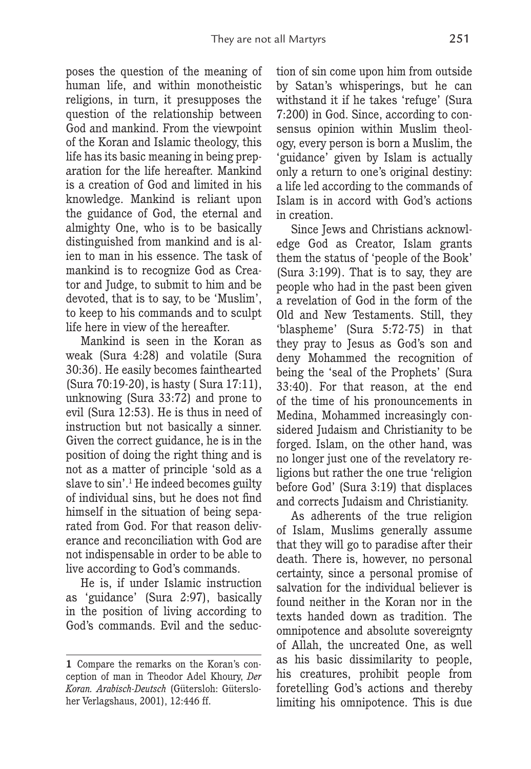poses the question of the meaning of human life, and within monotheistic religions, in turn, it presupposes the question of the relationship between God and mankind. From the viewpoint of the Koran and Islamic theology, this life has its basic meaning in being preparation for the life hereafter. Mankind is a creation of God and limited in his knowledge. Mankind is reliant upon the guidance of God, the eternal and almighty One, who is to be basically distinguished from mankind and is alien to man in his essence. The task of mankind is to recognize God as Creator and Judge, to submit to him and be devoted, that is to say, to be 'Muslim', to keep to his commands and to sculpt life here in view of the hereafter.

Mankind is seen in the Koran as weak (Sura 4:28) and volatile (Sura 30:36). He easily becomes fainthearted (Sura 70:19-20), is hasty ( Sura 17:11), unknowing (Sura 33:72) and prone to evil (Sura 12:53). He is thus in need of instruction but not basically a sinner. Given the correct guidance, he is in the position of doing the right thing and is not as a matter of principle 'sold as a slave to sin'.<sup>1</sup> He indeed becomes guilty of individual sins, but he does not find himself in the situation of being separated from God. For that reason deliverance and reconciliation with God are not indispensable in order to be able to live according to God's commands.

He is, if under Islamic instruction as 'guidance' (Sura 2:97), basically in the position of living according to God's commands. Evil and the seduction of sin come upon him from outside by Satan's whisperings, but he can withstand it if he takes 'refuge' (Sura 7:200) in God. Since, according to consensus opinion within Muslim theology, every person is born a Muslim, the 'guidance' given by Islam is actually only a return to one's original destiny: a life led according to the commands of Islam is in accord with God's actions in creation.

Since Jews and Christians acknowledge God as Creator, Islam grants them the status of 'people of the Book' (Sura 3:199). That is to say, they are people who had in the past been given a revelation of God in the form of the Old and New Testaments. Still, they 'blaspheme' (Sura 5:72-75) in that they pray to Jesus as God's son and deny Mohammed the recognition of being the 'seal of the Prophets' (Sura 33:40). For that reason, at the end of the time of his pronouncements in Medina, Mohammed increasingly considered Judaism and Christianity to be forged. Islam, on the other hand, was no longer just one of the revelatory religions but rather the one true 'religion before God' (Sura 3:19) that displaces and corrects Judaism and Christianity.

As adherents of the true religion of Islam, Muslims generally assume that they will go to paradise after their death. There is, however, no personal certainty, since a personal promise of salvation for the individual believer is found neither in the Koran nor in the texts handed down as tradition. The omnipotence and absolute sovereignty of Allah, the uncreated One, as well as his basic dissimilarity to people, his creatures, prohibit people from foretelling God's actions and thereby limiting his omnipotence. This is due

**<sup>1</sup>** Compare the remarks on the Koran's conception of man in Theodor Adel Khoury, *Der Koran. Arabisch-Deutsch* (Gütersloh: Gütersloher Verlagshaus, 2001), 12:446 ff.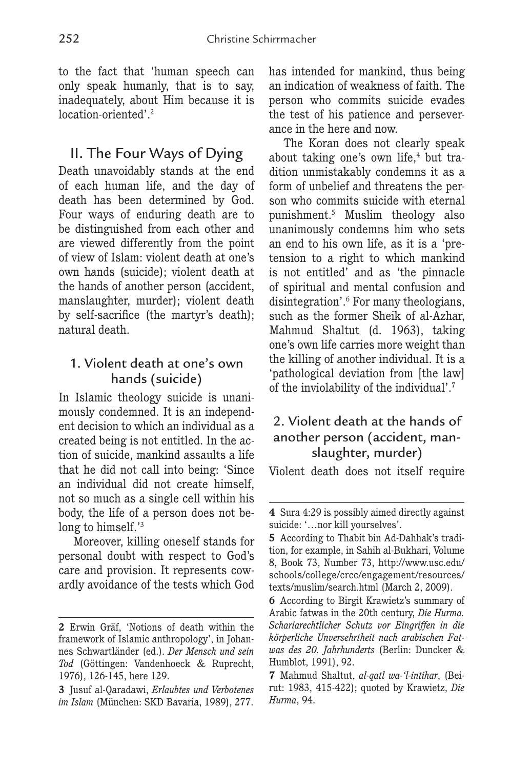to the fact that 'human speech can only speak humanly, that is to say, inadequately, about Him because it is location-oriented'.2

### II. The Four Ways of Dying

Death unavoidably stands at the end of each human life, and the day of death has been determined by God. Four ways of enduring death are to be distinguished from each other and are viewed differently from the point of view of Islam: violent death at one's own hands (suicide); violent death at the hands of another person (accident, manslaughter, murder); violent death by self-sacrifice (the martyr's death); natural death.

### 1. Violent death at one's own hands (suicide)

In Islamic theology suicide is unanimously condemned. It is an independent decision to which an individual as a created being is not entitled. In the action of suicide, mankind assaults a life that he did not call into being: 'Since an individual did not create himself, not so much as a single cell within his body, the life of a person does not belong to himself.<sup>'3</sup>

Moreover, killing oneself stands for personal doubt with respect to God's care and provision. It represents cowardly avoidance of the tests which God has intended for mankind, thus being an indication of weakness of faith. The person who commits suicide evades the test of his patience and perseverance in the here and now.

The Koran does not clearly speak about taking one's own life, $4$  but tradition unmistakably condemns it as a form of unbelief and threatens the person who commits suicide with eternal punishment.5 Muslim theology also unanimously condemns him who sets an end to his own life, as it is a 'pretension to a right to which mankind is not entitled' and as 'the pinnacle of spiritual and mental confusion and disintegration'.6 For many theologians, such as the former Sheik of al-Azhar, Mahmud Shaltut (d. 1963), taking one's own life carries more weight than the killing of another individual. It is a 'pathological deviation from [the law] of the inviolability of the individual'.7

### 2. Violent death at the hands of another person (accident, manslaughter, murder)

Violent death does not itself require

**<sup>2</sup>** Erwin Gräf, 'Notions of death within the framework of Islamic anthropology', in Johannes Schwartländer (ed.). *Der Mensch und sein Tod* (Göttingen: Vandenhoeck & Ruprecht, 1976), 126-145, here 129.

**<sup>3</sup>** Jusuf al-Qaradawi, *Erlaubtes und Verbotenes im Islam* (München: SKD Bavaria, 1989), 277.

**<sup>4</sup>** Sura 4:29 is possibly aimed directly against suicide: '…nor kill yourselves'.

**<sup>5</sup>** According to Thabit bin Ad-Dahhak's tradition, for example, in Sahih al-Bukhari, Volume 8, Book 73, Number 73, http://www.usc.edu/ schools/college/crcc/engagement/resources/ texts/muslim/search.html (March 2, 2009).

**<sup>6</sup>** According to Birgit Krawietz's summary of Arabic fatwas in the 20th century, *Die Hurma. Schariarechtlicher Schutz vor Eingriffen in die körperliche Unversehrtheit nach arabischen Fatwas des 20. Jahrhunderts* (Berlin: Duncker & Humblot, 1991), 92.

**<sup>7</sup>** Mahmud Shaltut, *al-qatl wa-'l-intihar*, (Beirut: 1983, 415-422); quoted by Krawietz, *Die Hurma*, 94.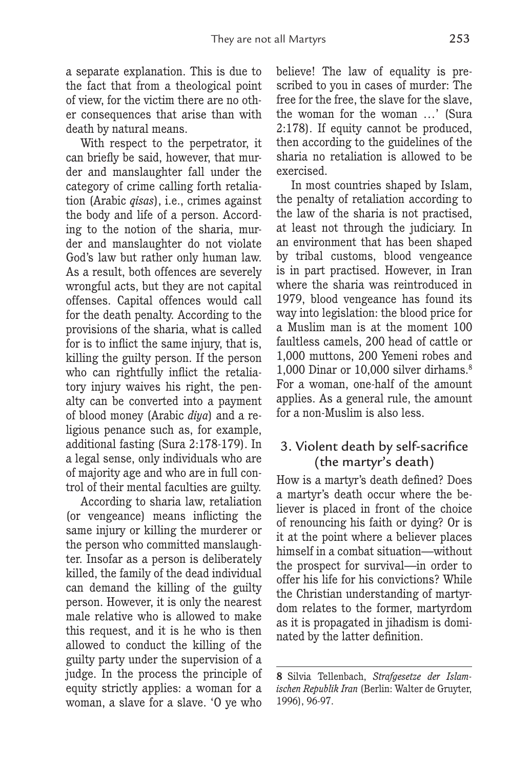a separate explanation. This is due to the fact that from a theological point of view, for the victim there are no other consequences that arise than with death by natural means.

With respect to the perpetrator, it can briefly be said, however, that murder and manslaughter fall under the category of crime calling forth retaliation (Arabic *qisas*), i.e., crimes against the body and life of a person. According to the notion of the sharia, murder and manslaughter do not violate God's law but rather only human law. As a result, both offences are severely wrongful acts, but they are not capital offenses. Capital offences would call for the death penalty. According to the provisions of the sharia, what is called for is to inflict the same injury, that is, killing the guilty person. If the person who can rightfully inflict the retaliatory injury waives his right, the penalty can be converted into a payment of blood money (Arabic *diya*) and a religious penance such as, for example, additional fasting (Sura 2:178-179). In a legal sense, only individuals who are of majority age and who are in full control of their mental faculties are guilty.

According to sharia law, retaliation (or vengeance) means inflicting the same injury or killing the murderer or the person who committed manslaughter. Insofar as a person is deliberately killed, the family of the dead individual can demand the killing of the guilty person. However, it is only the nearest male relative who is allowed to make this request, and it is he who is then allowed to conduct the killing of the guilty party under the supervision of a judge. In the process the principle of equity strictly applies: a woman for a woman, a slave for a slave. 'O ye who

believe! The law of equality is prescribed to you in cases of murder: The free for the free, the slave for the slave, the woman for the woman …' (Sura 2:178). If equity cannot be produced, then according to the guidelines of the sharia no retaliation is allowed to be exercised.

In most countries shaped by Islam, the penalty of retaliation according to the law of the sharia is not practised, at least not through the judiciary. In an environment that has been shaped by tribal customs, blood vengeance is in part practised. However, in Iran where the sharia was reintroduced in 1979, blood vengeance has found its way into legislation: the blood price for a Muslim man is at the moment 100 faultless camels, 200 head of cattle or 1,000 muttons, 200 Yemeni robes and 1,000 Dinar or 10,000 silver dirhams.<sup>8</sup> For a woman, one-half of the amount applies. As a general rule, the amount for a non-Muslim is also less.

### 3. Violent death by self-sacrifice (the martyr's death)

How is a martyr's death defined? Does a martyr's death occur where the believer is placed in front of the choice of renouncing his faith or dying? Or is it at the point where a believer places himself in a combat situation—without the prospect for survival—in order to offer his life for his convictions? While the Christian understanding of martyrdom relates to the former, martyrdom as it is propagated in jihadism is dominated by the latter definition.

**<sup>8</sup>** Silvia Tellenbach, *Strafgesetze der Islamischen Republik Iran* (Berlin: Walter de Gruyter, 1996), 96-97.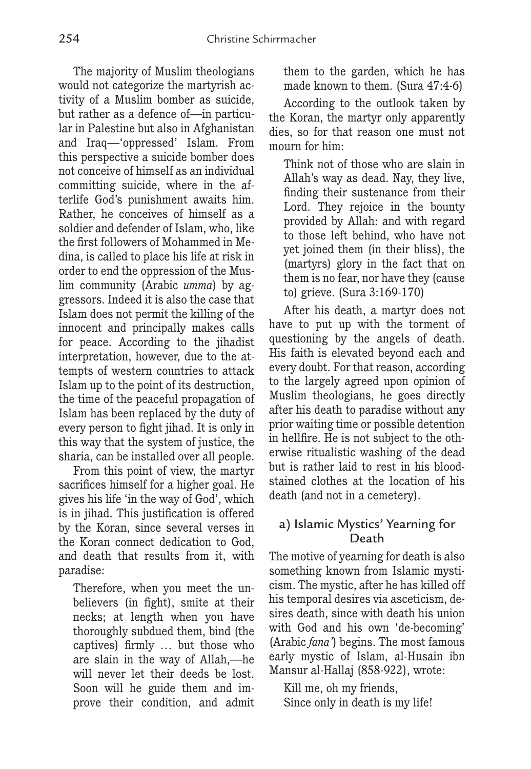The majority of Muslim theologians would not categorize the martyrish activity of a Muslim bomber as suicide, but rather as a defence of—in particular in Palestine but also in Afghanistan and Iraq—'oppressed' Islam. From this perspective a suicide bomber does not conceive of himself as an individual committing suicide, where in the afterlife God's punishment awaits him. Rather, he conceives of himself as a soldier and defender of Islam, who, like the first followers of Mohammed in Medina, is called to place his life at risk in order to end the oppression of the Muslim community (Arabic *umma*) by aggressors. Indeed it is also the case that Islam does not permit the killing of the innocent and principally makes calls for peace. According to the jihadist interpretation, however, due to the attempts of western countries to attack Islam up to the point of its destruction, the time of the peaceful propagation of Islam has been replaced by the duty of every person to fight jihad. It is only in this way that the system of justice, the sharia, can be installed over all people.

From this point of view, the martyr sacrifices himself for a higher goal. He gives his life 'in the way of God', which is in jihad. This justification is offered by the Koran, since several verses in the Koran connect dedication to God, and death that results from it, with paradise:

Therefore, when you meet the unbelievers (in fight), smite at their necks; at length when you have thoroughly subdued them, bind (the captives) firmly … but those who are slain in the way of Allah,—he will never let their deeds be lost. Soon will he guide them and improve their condition, and admit

them to the garden, which he has made known to them. (Sura 47:4-6)

According to the outlook taken by the Koran, the martyr only apparently dies, so for that reason one must not mourn for him:

Think not of those who are slain in Allah's way as dead. Nay, they live, finding their sustenance from their Lord. They rejoice in the bounty provided by Allah: and with regard to those left behind, who have not yet joined them (in their bliss), the (martyrs) glory in the fact that on them is no fear, nor have they (cause to) grieve. (Sura 3:169-170)

After his death, a martyr does not have to put up with the torment of questioning by the angels of death. His faith is elevated beyond each and every doubt. For that reason, according to the largely agreed upon opinion of Muslim theologians, he goes directly after his death to paradise without any prior waiting time or possible detention in hellfire. He is not subject to the otherwise ritualistic washing of the dead but is rather laid to rest in his bloodstained clothes at the location of his death (and not in a cemetery).

### a) Islamic Mystics' Yearning for Death

The motive of yearning for death is also something known from Islamic mysticism. The mystic, after he has killed off his temporal desires via asceticism, desires death, since with death his union with God and his own 'de-becoming' (Arabic *fana'*) begins. The most famous early mystic of Islam, al-Husain ibn Mansur al-Hallaj (858-922), wrote:

Kill me, oh my friends, Since only in death is my life!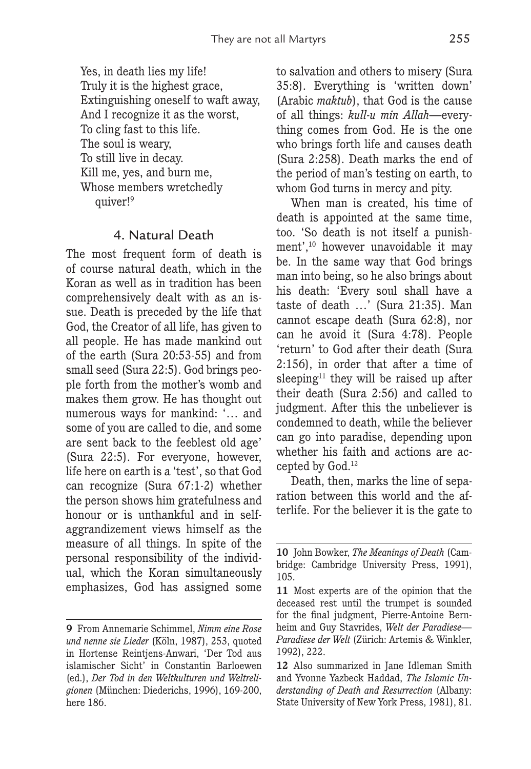Yes, in death lies my life! Truly it is the highest grace, Extinguishing oneself to waft away, And I recognize it as the worst, To cling fast to this life. The soul is weary, To still live in decay. Kill me, yes, and burn me, Whose members wretchedly quiver!9

### 4. Natural Death

The most frequent form of death is of course natural death, which in the Koran as well as in tradition has been comprehensively dealt with as an issue. Death is preceded by the life that God, the Creator of all life, has given to all people. He has made mankind out of the earth (Sura 20:53-55) and from small seed (Sura 22:5). God brings people forth from the mother's womb and makes them grow. He has thought out numerous ways for mankind: '… and some of you are called to die, and some are sent back to the feeblest old age' (Sura 22:5). For everyone, however, life here on earth is a 'test', so that God can recognize (Sura 67:1-2) whether the person shows him gratefulness and honour or is unthankful and in selfaggrandizement views himself as the measure of all things. In spite of the personal responsibility of the individual, which the Koran simultaneously emphasizes, God has assigned some to salvation and others to misery (Sura 35:8). Everything is 'written down' (Arabic *maktub*), that God is the cause of all things: *kull-u min Allah*—everything comes from God. He is the one who brings forth life and causes death (Sura 2:258). Death marks the end of the period of man's testing on earth, to whom God turns in mercy and pity.

When man is created, his time of death is appointed at the same time, too. 'So death is not itself a punishment',10 however unavoidable it may be. In the same way that God brings man into being, so he also brings about his death: 'Every soul shall have a taste of death …' (Sura 21:35). Man cannot escape death (Sura 62:8), nor can he avoid it (Sura 4:78). People 'return' to God after their death (Sura 2:156), in order that after a time of sleeping<sup>11</sup> they will be raised up after their death (Sura 2:56) and called to judgment. After this the unbeliever is condemned to death, while the believer can go into paradise, depending upon whether his faith and actions are accepted by God.<sup>12</sup>

Death, then, marks the line of separation between this world and the afterlife. For the believer it is the gate to

**<sup>9</sup>** From Annemarie Schimmel, *Nimm eine Rose und nenne sie Lieder* (Köln, 1987), 253, quoted in Hortense Reintjens-Anwari, 'Der Tod aus islamischer Sicht' in Constantin Barloewen (ed.), *Der Tod in den Weltkulturen und Weltreligionen* (München: Diederichs, 1996), 169-200, here 186.

**<sup>10</sup>** John Bowker, *The Meanings of Death* (Cambridge: Cambridge University Press, 1991), 105.

**<sup>11</sup>** Most experts are of the opinion that the deceased rest until the trumpet is sounded for the final judgment, Pierre-Antoine Bernheim and Guy Stavrides, *Welt der Paradiese— Paradiese der Welt* (Zürich: Artemis & Winkler, 1992), 222.

**<sup>12</sup>** Also summarized in Jane Idleman Smith and Yvonne Yazbeck Haddad, *The Islamic Understanding of Death and Resurrection* (Albany: State University of New York Press, 1981), 81.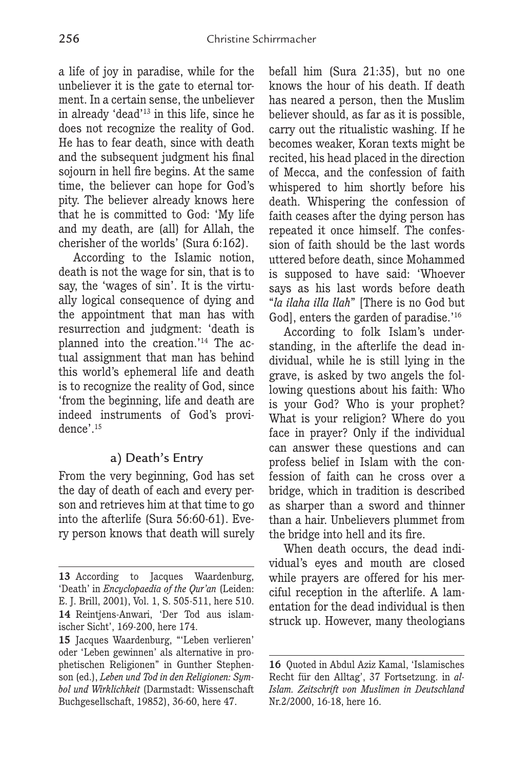a life of joy in paradise, while for the unbeliever it is the gate to eternal torment. In a certain sense, the unbeliever in already 'dead'13 in this life, since he does not recognize the reality of God. He has to fear death, since with death and the subsequent judgment his final sojourn in hell fire begins. At the same time, the believer can hope for God's pity. The believer already knows here that he is committed to God: 'My life and my death, are (all) for Allah, the cherisher of the worlds' (Sura 6:162).

According to the Islamic notion, death is not the wage for sin, that is to say, the 'wages of sin'. It is the virtually logical consequence of dying and the appointment that man has with resurrection and judgment: 'death is planned into the creation.'14 The actual assignment that man has behind this world's ephemeral life and death is to recognize the reality of God, since 'from the beginning, life and death are indeed instruments of God's providence'.<sup>15</sup>

### a) Death's Entry

From the very beginning, God has set the day of death of each and every person and retrieves him at that time to go into the afterlife (Sura 56:60-61). Every person knows that death will surely befall him (Sura 21:35), but no one knows the hour of his death. If death has neared a person, then the Muslim believer should, as far as it is possible, carry out the ritualistic washing. If he becomes weaker, Koran texts might be recited, his head placed in the direction of Mecca, and the confession of faith whispered to him shortly before his death. Whispering the confession of faith ceases after the dying person has repeated it once himself. The confession of faith should be the last words uttered before death, since Mohammed is supposed to have said: 'Whoever says as his last words before death "*la ilaha illa llah*" [There is no God but God], enters the garden of paradise.<sup>'16</sup>

According to folk Islam's understanding, in the afterlife the dead individual, while he is still lying in the grave, is asked by two angels the following questions about his faith: Who is your God? Who is your prophet? What is your religion? Where do you face in prayer? Only if the individual can answer these questions and can profess belief in Islam with the confession of faith can he cross over a bridge, which in tradition is described as sharper than a sword and thinner than a hair. Unbelievers plummet from the bridge into hell and its fire.

When death occurs, the dead individual's eyes and mouth are closed while prayers are offered for his merciful reception in the afterlife. A lamentation for the dead individual is then struck up. However, many theologians

<sup>13</sup> According to Jacques Waardenburg, 'Death' in *Encyclopaedia of the Qur'an* (Leiden: E. J. Brill, 2001), Vol. 1, S. 505-511, here 510. **14** Reintjens-Anwari, 'Der Tod aus islamischer Sicht', 169-200, here 174.

**<sup>15</sup>** Jacques Waardenburg, "'Leben verlieren' oder 'Leben gewinnen' als alternative in prophetischen Religionen" in Gunther Stephenson (ed.), *Leben und Tod in den Religionen: Symbol und Wirklichkeit* (Darmstadt: Wissenschaft Buchgesellschaft, 19852), 36-60, here 47.

**<sup>16</sup>** Quoted in Abdul Aziz Kamal, 'Islamisches Recht für den Alltag', 37 Fortsetzung. in *al-Islam. Zeitschrift von Muslimen in Deutschland* Nr.2/2000, 16-18, here 16.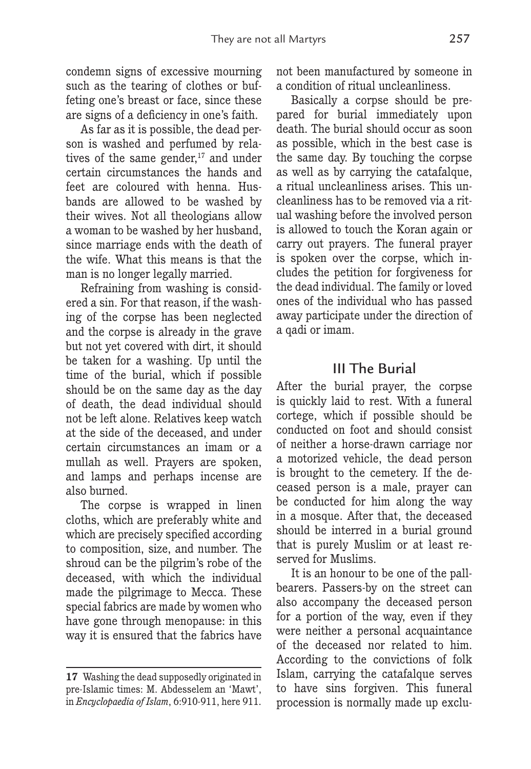condemn signs of excessive mourning such as the tearing of clothes or buffeting one's breast or face, since these are signs of a deficiency in one's faith.

As far as it is possible, the dead person is washed and perfumed by relatives of the same gender, $17$  and under certain circumstances the hands and feet are coloured with henna. Husbands are allowed to be washed by their wives. Not all theologians allow a woman to be washed by her husband, since marriage ends with the death of the wife. What this means is that the man is no longer legally married.

Refraining from washing is considered a sin. For that reason, if the washing of the corpse has been neglected and the corpse is already in the grave but not yet covered with dirt, it should be taken for a washing. Up until the time of the burial, which if possible should be on the same day as the day of death, the dead individual should not be left alone. Relatives keep watch at the side of the deceased, and under certain circumstances an imam or a mullah as well. Prayers are spoken, and lamps and perhaps incense are also burned.

The corpse is wrapped in linen cloths, which are preferably white and which are precisely specified according to composition, size, and number. The shroud can be the pilgrim's robe of the deceased, with which the individual made the pilgrimage to Mecca. These special fabrics are made by women who have gone through menopause: in this way it is ensured that the fabrics have

not been manufactured by someone in a condition of ritual uncleanliness.

Basically a corpse should be prepared for burial immediately upon death. The burial should occur as soon as possible, which in the best case is the same day. By touching the corpse as well as by carrying the catafalque, a ritual uncleanliness arises. This uncleanliness has to be removed via a ritual washing before the involved person is allowed to touch the Koran again or carry out prayers. The funeral prayer is spoken over the corpse, which includes the petition for forgiveness for the dead individual. The family or loved ones of the individual who has passed away participate under the direction of a qadi or imam.

### III The Burial

After the burial prayer, the corpse is quickly laid to rest. With a funeral cortege, which if possible should be conducted on foot and should consist of neither a horse-drawn carriage nor a motorized vehicle, the dead person is brought to the cemetery. If the deceased person is a male, prayer can be conducted for him along the way in a mosque. After that, the deceased should be interred in a burial ground that is purely Muslim or at least reserved for Muslims.

It is an honour to be one of the pallbearers. Passers-by on the street can also accompany the deceased person for a portion of the way, even if they were neither a personal acquaintance of the deceased nor related to him. According to the convictions of folk Islam, carrying the catafalque serves to have sins forgiven. This funeral procession is normally made up exclu-

**<sup>17</sup>** Washing the dead supposedly originated in pre-Islamic times: M. Abdesselem an 'Mawt', in *Encyclopaedia of Islam*, 6:910-911, here 911.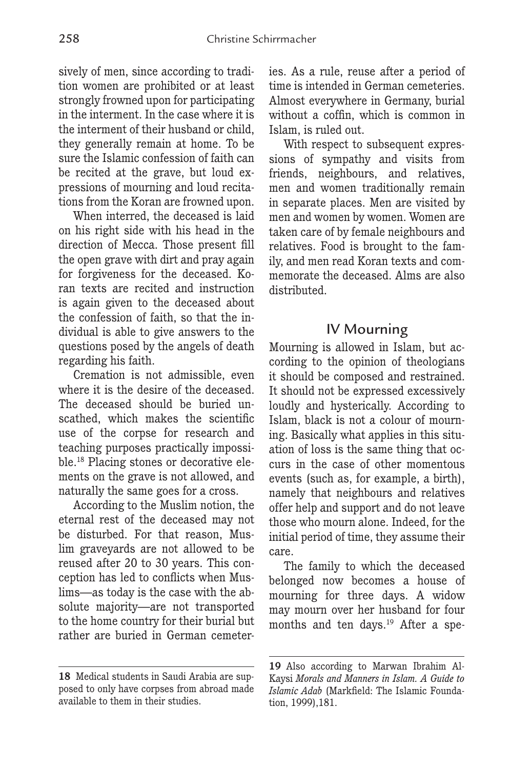sively of men, since according to tradition women are prohibited or at least strongly frowned upon for participating in the interment. In the case where it is the interment of their husband or child, they generally remain at home. To be sure the Islamic confession of faith can be recited at the grave, but loud expressions of mourning and loud recitations from the Koran are frowned upon.

When interred, the deceased is laid on his right side with his head in the direction of Mecca. Those present fill the open grave with dirt and pray again for forgiveness for the deceased. Koran texts are recited and instruction is again given to the deceased about the confession of faith, so that the individual is able to give answers to the questions posed by the angels of death regarding his faith.

Cremation is not admissible, even where it is the desire of the deceased. The deceased should be buried unscathed, which makes the scientific use of the corpse for research and teaching purposes practically impossible.18 Placing stones or decorative elements on the grave is not allowed, and naturally the same goes for a cross.

According to the Muslim notion, the eternal rest of the deceased may not be disturbed. For that reason, Muslim graveyards are not allowed to be reused after 20 to 30 years. This conception has led to conflicts when Muslims—as today is the case with the absolute majority—are not transported to the home country for their burial but rather are buried in German cemeteries. As a rule, reuse after a period of time is intended in German cemeteries. Almost everywhere in Germany, burial without a coffin, which is common in Islam, is ruled out.

With respect to subsequent expressions of sympathy and visits from friends, neighbours, and relatives, men and women traditionally remain in separate places. Men are visited by men and women by women. Women are taken care of by female neighbours and relatives. Food is brought to the family, and men read Koran texts and commemorate the deceased. Alms are also distributed.

### IV Mourning

Mourning is allowed in Islam, but according to the opinion of theologians it should be composed and restrained. It should not be expressed excessively loudly and hysterically. According to Islam, black is not a colour of mourning. Basically what applies in this situation of loss is the same thing that occurs in the case of other momentous events (such as, for example, a birth), namely that neighbours and relatives offer help and support and do not leave those who mourn alone. Indeed, for the initial period of time, they assume their care.

The family to which the deceased belonged now becomes a house of mourning for three days. A widow may mourn over her husband for four months and ten days.<sup>19</sup> After a spe-

**<sup>18</sup>** Medical students in Saudi Arabia are supposed to only have corpses from abroad made available to them in their studies.

**<sup>19</sup>** Also according to Marwan Ibrahim Al-Kaysi *Morals and Manners in Islam. A Guide to Islamic Adab* (Markfield: The Islamic Foundation, 1999),181.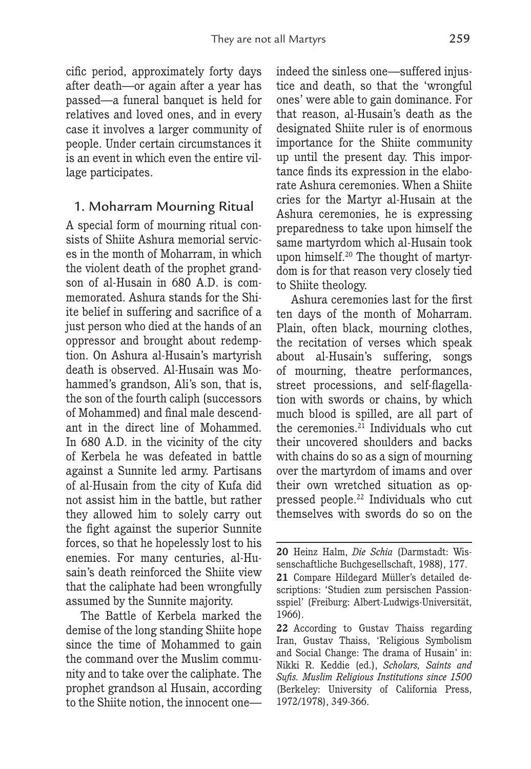cific period, approximately forty days after death—or again after a year has passed—a funeral banquet is held for relatives and loved ones, and in every case it involves a larger community of people. Under certain circumstances it is an event in which even the entire village participates.

### 1. Moharram Mourning Ritual

A special form of mourning ritual consists of Shiite Ashura memorial services in the month of Moharram, in which the violent death of the prophet grandson of al-Husain in 680 A.D. is commemorated. Ashura stands for the Shiite belief in suffering and sacrifice of a just person who died at the hands of an oppressor and brought about redemption. On Ashura al-Husain's martyrish death is observed. Al-Husain was Mohammed's grandson, Ali's son, that is, the son of the fourth caliph (successors of Mohammed) and final male descendant in the direct line of Mohammed. In 680 A.D. in the vicinity of the city of Kerbela he was defeated in battle against a Sunnite led army. Partisans of al-Husain from the city of Kufa did not assist him in the battle, but rather they allowed him to solely carry out the fight against the superior Sunnite forces, so that he hopelessly lost to his enemies. For many centuries, al-Husain's death reinforced the Shiite view that the caliphate had been wrongfully assumed by the Sunnite majority.

The Battle of Kerbela marked the demise of the long standing Shiite hope since the time of Mohammed to gain the command over the Muslim community and to take over the caliphate. The prophet grandson al Husain, according to the Shiite notion, the innocent oneindeed the sinless one—suffered injustice and death, so that the 'wrongful ones' were able to gain dominance. For that reason, al-Husain's death as the designated Shiite ruler is of enormous importance for the Shiite community up until the present day. This importance finds its expression in the elaborate Ashura ceremonies. When a Shiite cries for the Martyr al-Husain at the Ashura ceremonies, he is expressing preparedness to take upon himself the same martyrdom which al-Husain took upon himself.20 The thought of martyrdom is for that reason very closely tied to Shiite theology.

Ashura ceremonies last for the first ten days of the month of Moharram. Plain, often black, mourning clothes, the recitation of verses which speak about al-Husain's suffering, songs of mourning, theatre performances, street processions, and self-flagellation with swords or chains, by which much blood is spilled, are all part of the ceremonies.<sup>21</sup> Individuals who cut their uncovered shoulders and backs with chains do so as a sign of mourning over the martyrdom of imams and over their own wretched situation as oppressed people.22 Individuals who cut themselves with swords do so on the

**<sup>20</sup>** Heinz Halm, *Die Schia* (Darmstadt: Wissenschaftliche Buchgesellschaft, 1988), 177. **21** Compare Hildegard Müller's detailed descriptions: 'Studien zum persischen Passionsspiel' (Freiburg: Albert-Ludwigs-Universität, 1966).

**<sup>22</sup>** According to Gustav Thaiss regarding Iran, Gustav Thaiss, 'Religious Symbolism and Social Change: The drama of Husain' in: Nikki R. Keddie (ed.), *Scholars, Saints and Sufis. Muslim Religious Institutions since 1500* (Berkeley: University of California Press, 1972/1978), 349-366.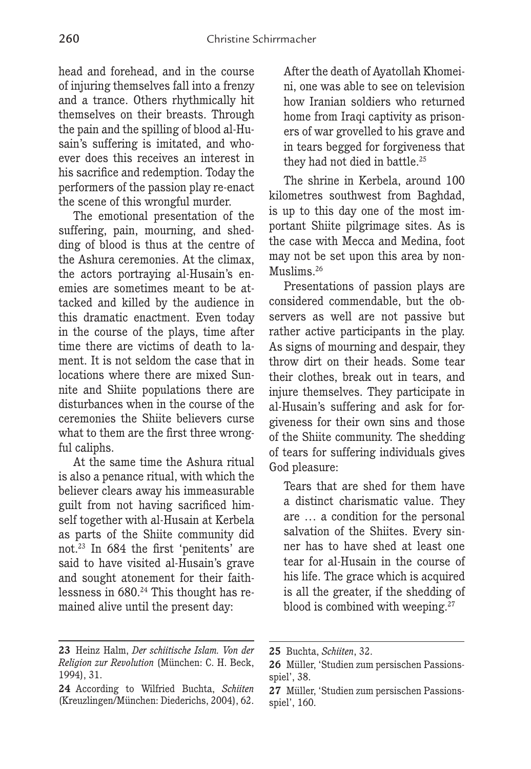head and forehead, and in the course of injuring themselves fall into a frenzy and a trance. Others rhythmically hit themselves on their breasts. Through the pain and the spilling of blood al-Husain's suffering is imitated, and whoever does this receives an interest in his sacrifice and redemption. Today the performers of the passion play re-enact the scene of this wrongful murder.

The emotional presentation of the suffering, pain, mourning, and shedding of blood is thus at the centre of the Ashura ceremonies. At the climax, the actors portraying al-Husain's enemies are sometimes meant to be attacked and killed by the audience in this dramatic enactment. Even today in the course of the plays, time after time there are victims of death to lament. It is not seldom the case that in locations where there are mixed Sunnite and Shiite populations there are disturbances when in the course of the ceremonies the Shiite believers curse what to them are the first three wrongful caliphs.

At the same time the Ashura ritual is also a penance ritual, with which the believer clears away his immeasurable guilt from not having sacrificed himself together with al-Husain at Kerbela as parts of the Shiite community did not.23 In 684 the first 'penitents' are said to have visited al-Husain's grave and sought atonement for their faithlessness in 680.24 This thought has remained alive until the present day:

After the death of Ayatollah Khomeini, one was able to see on television how Iranian soldiers who returned home from Iraqi captivity as prisoners of war grovelled to his grave and in tears begged for forgiveness that they had not died in battle.<sup>25</sup>

The shrine in Kerbela, around 100 kilometres southwest from Baghdad, is up to this day one of the most important Shiite pilgrimage sites. As is the case with Mecca and Medina, foot may not be set upon this area by non-Muslims<sup>26</sup>

Presentations of passion plays are considered commendable, but the observers as well are not passive but rather active participants in the play. As signs of mourning and despair, they throw dirt on their heads. Some tear their clothes, break out in tears, and injure themselves. They participate in al-Husain's suffering and ask for forgiveness for their own sins and those of the Shiite community. The shedding of tears for suffering individuals gives God pleasure:

Tears that are shed for them have a distinct charismatic value. They are … a condition for the personal salvation of the Shiites. Every sinner has to have shed at least one tear for al-Husain in the course of his life. The grace which is acquired is all the greater, if the shedding of blood is combined with weeping.<sup>27</sup>

**<sup>23</sup>** Heinz Halm, *Der schiitische Islam. Von der Religion zur Revolution* (München: C. H. Beck, 1994), 31.

**<sup>24</sup>** According to Wilfried Buchta, *Schiiten* (Kreuzlingen/München: Diederichs, 2004), 62.

**<sup>25</sup>** Buchta, *Schiiten*, 32.

**<sup>26</sup>** Müller, 'Studien zum persischen Passionsspiel', 38.

**<sup>27</sup>** Müller, 'Studien zum persischen Passionsspiel', 160.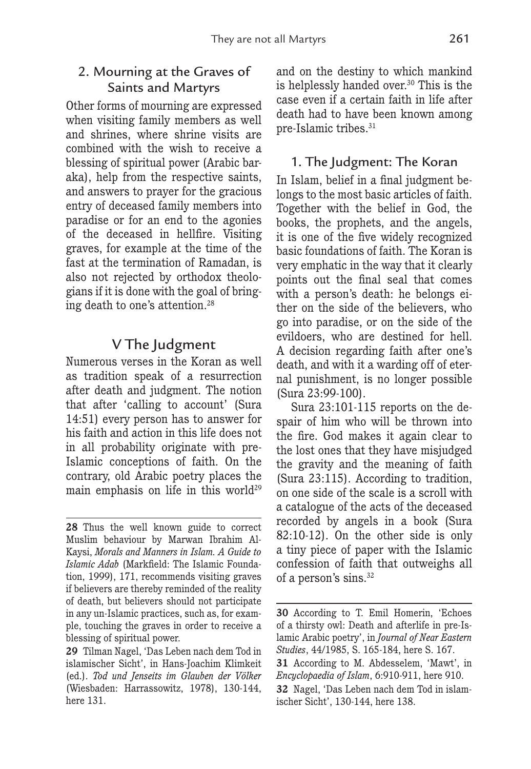### 2. Mourning at the Graves of Saints and Martyrs

Other forms of mourning are expressed when visiting family members as well and shrines, where shrine visits are combined with the wish to receive a blessing of spiritual power (Arabic baraka), help from the respective saints, and answers to prayer for the gracious entry of deceased family members into paradise or for an end to the agonies of the deceased in hellfire. Visiting graves, for example at the time of the fast at the termination of Ramadan, is also not rejected by orthodox theologians if it is done with the goal of bringing death to one's attention.28

### V The Judgment

Numerous verses in the Koran as well as tradition speak of a resurrection after death and judgment. The notion that after 'calling to account' (Sura 14:51) every person has to answer for his faith and action in this life does not in all probability originate with pre-Islamic conceptions of faith. On the contrary, old Arabic poetry places the main emphasis on life in this world<sup>29</sup>

and on the destiny to which mankind is helplessly handed over.<sup>30</sup> This is the case even if a certain faith in life after death had to have been known among pre-Islamic tribes.<sup>31</sup>

### 1. The Judgment: The Koran

In Islam, belief in a final judgment belongs to the most basic articles of faith. Together with the belief in God, the books, the prophets, and the angels, it is one of the five widely recognized basic foundations of faith. The Koran is very emphatic in the way that it clearly points out the final seal that comes with a person's death: he belongs either on the side of the believers, who go into paradise, or on the side of the evildoers, who are destined for hell. A decision regarding faith after one's death, and with it a warding off of eternal punishment, is no longer possible (Sura 23:99-100).

Sura 23:101-115 reports on the despair of him who will be thrown into the fire. God makes it again clear to the lost ones that they have misjudged the gravity and the meaning of faith (Sura 23:115). According to tradition, on one side of the scale is a scroll with a catalogue of the acts of the deceased recorded by angels in a book (Sura 82:10-12). On the other side is only a tiny piece of paper with the Islamic confession of faith that outweighs all of a person's sins.32

**<sup>28</sup>** Thus the well known guide to correct Muslim behaviour by Marwan Ibrahim Al-Kaysi, *Morals and Manners in Islam. A Guide to Islamic Adab* (Markfield: The Islamic Foundation, 1999), 171, recommends visiting graves if believers are thereby reminded of the reality of death, but believers should not participate in any un-Islamic practices, such as, for example, touching the graves in order to receive a blessing of spiritual power.

**<sup>29</sup>** Tilman Nagel, 'Das Leben nach dem Tod in islamischer Sicht', in Hans-Joachim Klimkeit (ed.). *Tod und Jenseits im Glauben der Völker*  (Wiesbaden: Harrassowitz, 1978), 130-144, here 131.

**<sup>30</sup>** According to T. Emil Homerin, 'Echoes of a thirsty owl: Death and afterlife in pre-Islamic Arabic poetry', in *Journal of Near Eastern Studies*, 44/1985, S. 165-184, here S. 167.

**<sup>31</sup>** According to M. Abdesselem, 'Mawt', in *Encyclopaedia of Islam*, 6:910-911, here 910.

**<sup>32</sup>** Nagel, 'Das Leben nach dem Tod in islamischer Sicht', 130-144, here 138.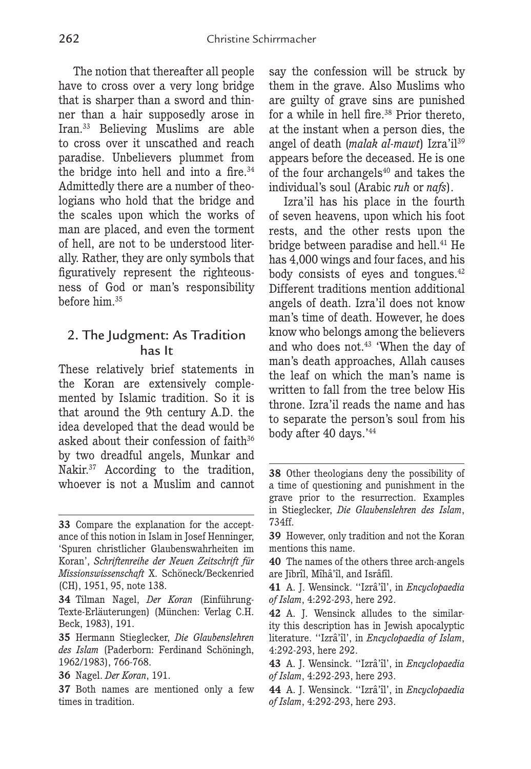The notion that thereafter all people have to cross over a very long bridge that is sharper than a sword and thinner than a hair supposedly arose in Iran.33 Believing Muslims are able to cross over it unscathed and reach paradise. Unbelievers plummet from the bridge into hell and into a fire. $34$ Admittedly there are a number of theologians who hold that the bridge and the scales upon which the works of man are placed, and even the torment of hell, are not to be understood literally. Rather, they are only symbols that figuratively represent the righteousness of God or man's responsibility before him.35

### 2. The Judgment: As Tradition has It

These relatively brief statements in the Koran are extensively complemented by Islamic tradition. So it is that around the 9th century A.D. the idea developed that the dead would be asked about their confession of faith<sup>36</sup> by two dreadful angels, Munkar and Nakir.37 According to the tradition, whoever is not a Muslim and cannot say the confession will be struck by them in the grave. Also Muslims who are guilty of grave sins are punished for a while in hell fire. $38$  Prior thereto. at the instant when a person dies, the angel of death (*malak al-mawt*) Izra'il39 appears before the deceased. He is one of the four archangels $^{40}$  and takes the individual's soul (Arabic *ruh* or *nafs*).

Izra'il has his place in the fourth of seven heavens, upon which his foot rests, and the other rests upon the bridge between paradise and hell.<sup>41</sup> He has 4,000 wings and four faces, and his body consists of eyes and tongues.<sup>42</sup> Different traditions mention additional angels of death. Izra'il does not know man's time of death. However, he does know who belongs among the believers and who does not.<sup>43</sup> 'When the day of man's death approaches, Allah causes the leaf on which the man's name is written to fall from the tree below His throne. Izra'il reads the name and has to separate the person's soul from his body after 40 days.'44

**<sup>33</sup>** Compare the explanation for the acceptance of this notion in Islam in Josef Henninger, 'Spuren christlicher Glaubenswahrheiten im Koran', *Schriftenreihe der Neuen Zeitschrift für Missionswissenschaft* X. Schöneck/Beckenried (CH), 1951, 95, note 138.

**<sup>34</sup>** Tilman Nagel, *Der Koran* (Einführung-Texte-Erläuterungen) (München: Verlag C.H. Beck, 1983), 191.

**<sup>35</sup>** Hermann Stieglecker, *Die Glaubenslehren des Islam* (Paderborn: Ferdinand Schöningh, 1962/1983), 766-768.

**<sup>36</sup>** Nagel. *Der Koran*, 191.

**<sup>37</sup>** Both names are mentioned only a few times in tradition.

**<sup>38</sup>** Other theologians deny the possibility of a time of questioning and punishment in the grave prior to the resurrection. Examples in Stieglecker, *Die Glaubenslehren des Islam*, 734ff.

**<sup>39</sup>** However, only tradition and not the Koran mentions this name.

**<sup>40</sup>** The names of the others three arch-angels are Jibrîl, Mîhâ'îl, and Isrâfîl.

**<sup>41</sup>** A. J. Wensinck. ' 'Izrâ'îl', in *Encyclopaedia of Islam*, 4:292-293, here 292.

**<sup>42</sup>** A. J. Wensinck alludes to the similarity this description has in Jewish apocalyptic literature. ' 'Izrâ'îl', in *Encyclopaedia of Islam*, 4:292-293, here 292.

**<sup>43</sup>** A. J. Wensinck. ' 'Izrâ'îl', in *Encyclopaedia of Islam*, 4:292-293, here 293.

**<sup>44</sup>** A. J. Wensinck. ' 'Izrâ'îl', in *Encyclopaedia of Islam*, 4:292-293, here 293.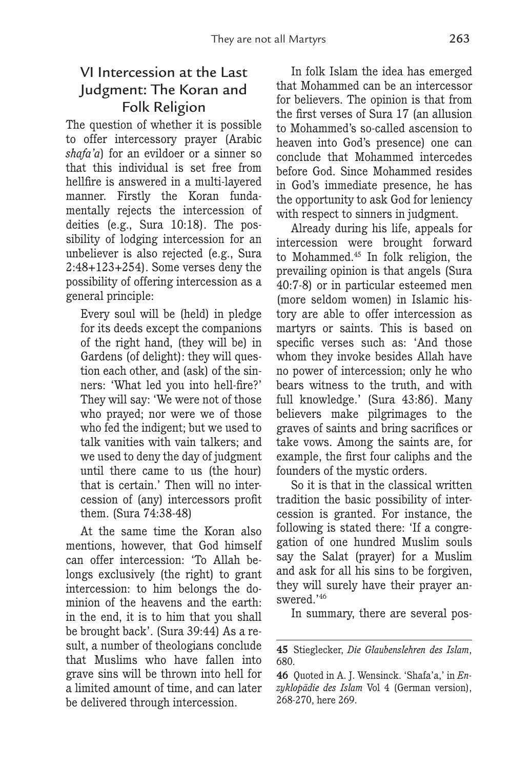# VI Intercession at the Last Judgment: The Koran and Folk Religion

The question of whether it is possible to offer intercessory prayer (Arabic *shafa'a*) for an evildoer or a sinner so that this individual is set free from hellfire is answered in a multi-layered manner. Firstly the Koran fundamentally rejects the intercession of deities (e.g., Sura 10:18). The possibility of lodging intercession for an unbeliever is also rejected (e.g., Sura 2:48+123+254). Some verses deny the possibility of offering intercession as a general principle:

Every soul will be (held) in pledge for its deeds except the companions of the right hand, (they will be) in Gardens (of delight): they will question each other, and (ask) of the sinners: 'What led you into hell-fire?' They will say: 'We were not of those who prayed; nor were we of those who fed the indigent; but we used to talk vanities with vain talkers; and we used to deny the day of judgment until there came to us (the hour) that is certain.' Then will no intercession of (any) intercessors profit them. (Sura 74:38-48)

At the same time the Koran also mentions, however, that God himself can offer intercession: 'To Allah belongs exclusively (the right) to grant intercession: to him belongs the dominion of the heavens and the earth: in the end, it is to him that you shall be brought back'. (Sura 39:44) As a result, a number of theologians conclude that Muslims who have fallen into grave sins will be thrown into hell for a limited amount of time, and can later be delivered through intercession.

In folk Islam the idea has emerged that Mohammed can be an intercessor for believers. The opinion is that from the first verses of Sura 17 (an allusion to Mohammed's so-called ascension to heaven into God's presence) one can conclude that Mohammed intercedes before God. Since Mohammed resides in God's immediate presence, he has the opportunity to ask God for leniency with respect to sinners in judgment.

Already during his life, appeals for intercession were brought forward to Mohammed.45 In folk religion, the prevailing opinion is that angels (Sura 40:7-8) or in particular esteemed men (more seldom women) in Islamic history are able to offer intercession as martyrs or saints. This is based on specific verses such as: 'And those whom they invoke besides Allah have no power of intercession; only he who bears witness to the truth, and with full knowledge.' (Sura 43:86). Many believers make pilgrimages to the graves of saints and bring sacrifices or take vows. Among the saints are, for example, the first four caliphs and the founders of the mystic orders.

So it is that in the classical written tradition the basic possibility of intercession is granted. For instance, the following is stated there: 'If a congregation of one hundred Muslim souls say the Salat (prayer) for a Muslim and ask for all his sins to be forgiven, they will surely have their prayer answered.'46

In summary, there are several pos-

**<sup>45</sup>** Stieglecker, *Die Glaubenslehren des Islam*, 680.

**<sup>46</sup>** Quoted in A. J. Wensinck. 'Shafa'a,' in *Enzyklopädie des Islam* Vol 4 (German version), 268-270, here 269.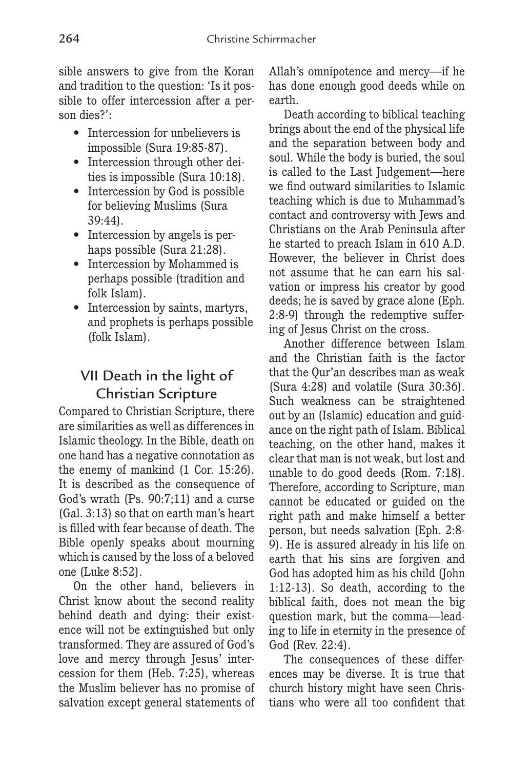sible answers to give from the Koran and tradition to the question: 'Is it possible to offer intercession after a person dies?':

- Intercession for unbelievers is impossible (Sura 19:85-87).
- Intercession through other deities is impossible (Sura 10:18).
- Intercession by God is possible for believing Muslims (Sura 39:44).
- Intercession by angels is perhaps possible (Sura 21:28).
- Intercession by Mohammed is perhaps possible (tradition and folk Islam).
- Intercession by saints, martyrs, and prophets is perhaps possible (folk Islam).

## VII Death in the light of Christian Scripture

Compared to Christian Scripture, there are similarities as well as differences in Islamic theology. In the Bible, death on one hand has a negative connotation as the enemy of mankind (1 Cor. 15:26). It is described as the consequence of God's wrath (Ps. 90:7;11) and a curse (Gal. 3:13) so that on earth man's heart is filled with fear because of death. The Bible openly speaks about mourning which is caused by the loss of a beloved one (Luke 8:52).

On the other hand, believers in Christ know about the second reality behind death and dying: their existence will not be extinguished but only transformed. They are assured of God's love and mercy through Jesus' intercession for them (Heb. 7:25), whereas the Muslim believer has no promise of salvation except general statements of Allah's omnipotence and mercy—if he has done enough good deeds while on earth.

Death according to biblical teaching brings about the end of the physical life and the separation between body and soul. While the body is buried, the soul is called to the Last Judgement—here we find outward similarities to Islamic teaching which is due to Muhammad's contact and controversy with Jews and Christians on the Arab Peninsula after he started to preach Islam in 610 A.D. However, the believer in Christ does not assume that he can earn his salvation or impress his creator by good deeds; he is saved by grace alone (Eph. 2:8-9) through the redemptive suffering of Jesus Christ on the cross.

Another difference between Islam and the Christian faith is the factor that the Qur'an describes man as weak (Sura 4:28) and volatile (Sura 30:36). Such weakness can be straightened out by an (Islamic) education and guidance on the right path of Islam. Biblical teaching, on the other hand, makes it clear that man is not weak, but lost and unable to do good deeds (Rom. 7:18). Therefore, according to Scripture, man cannot be educated or guided on the right path and make himself a better person, but needs salvation (Eph. 2:8- 9). He is assured already in his life on earth that his sins are forgiven and God has adopted him as his child (John 1:12-13). So death, according to the biblical faith, does not mean the big question mark, but the comma—leading to life in eternity in the presence of God (Rev. 22:4).

The consequences of these differences may be diverse. It is true that church history might have seen Christians who were all too confident that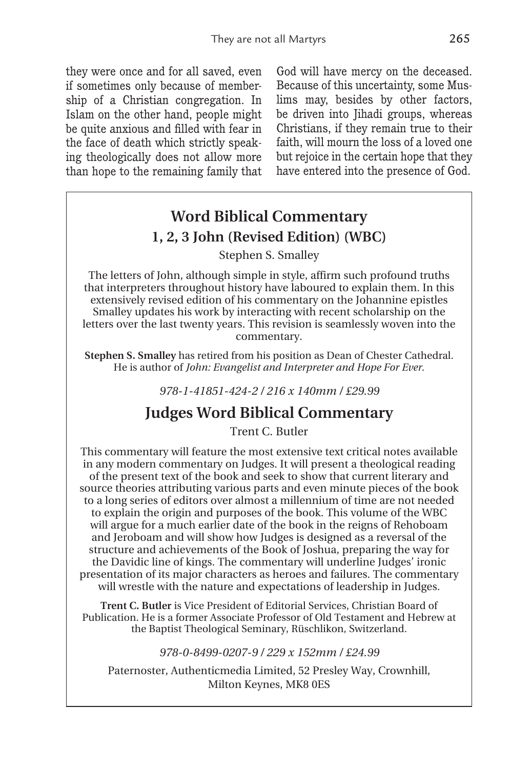they were once and for all saved, even if sometimes only because of membership of a Christian congregation. In Islam on the other hand, people might be quite anxious and filled with fear in the face of death which strictly speaking theologically does not allow more than hope to the remaining family that God will have mercy on the deceased. Because of this uncertainty, some Muslims may, besides by other factors, be driven into Jihadi groups, whereas Christians, if they remain true to their faith, will mourn the loss of a loved one but rejoice in the certain hope that they have entered into the presence of God.

## **Word Biblical Commentary 1, 2, 3 John (Revised Edition) (WBC)**

#### Stephen S. Smalley

The letters of John, although simple in style, affirm such profound truths that interpreters throughout history have laboured to explain them. In this extensively revised edition of his commentary on the Johannine epistles Smalley updates his work by interacting with recent scholarship on the letters over the last twenty years. This revision is seamlessly woven into the commentary.

**Stephen S. Smalley** has retired from his position as Dean of Chester Cathedral. He is author of *John: Evangelist and Interpreter and Hope For Ever*.

*978-1-41851-424-2 / 216 x 140mm / £29.99*

## **Judges Word Biblical Commentary**

Trent C. Butler

This commentary will feature the most extensive text critical notes available in any modern commentary on Judges. It will present a theological reading of the present text of the book and seek to show that current literary and source theories attributing various parts and even minute pieces of the book to a long series of editors over almost a millennium of time are not needed to explain the origin and purposes of the book. This volume of the WBC will argue for a much earlier date of the book in the reigns of Rehoboam and Jeroboam and will show how Judges is designed as a reversal of the structure and achievements of the Book of Joshua, preparing the way for the Davidic line of kings. The commentary will underline Judges' ironic presentation of its major characters as heroes and failures. The commentary will wrestle with the nature and expectations of leadership in Judges.

**Trent C. Butler** is Vice President of Editorial Services, Christian Board of Publication. He is a former Associate Professor of Old Testament and Hebrew at the Baptist Theological Seminary, Rüschlikon, Switzerland.

#### *978-0-8499-0207-9 / 229 x 152mm / £24.99*

Paternoster, Authenticmedia Limited, 52 Presley Way, Crownhill, Milton Keynes, MK8 0ES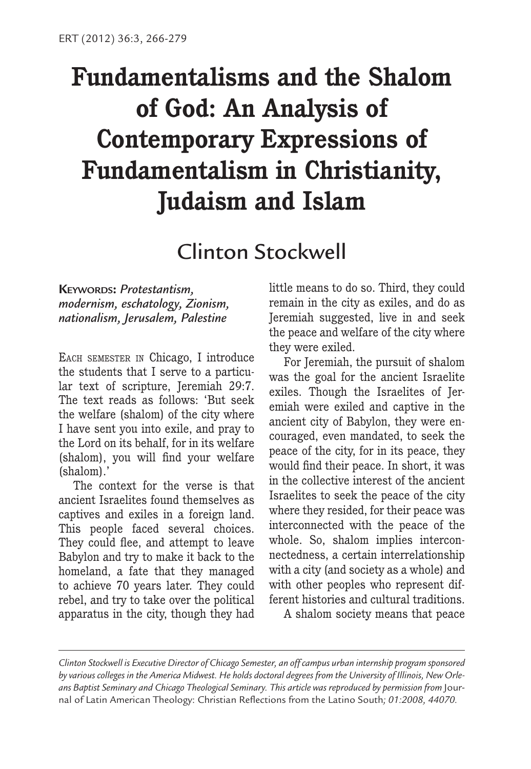# **Fundamentalisms and the Shalom of God: An Analysis of Contemporary Expressions of Fundamentalism in Christianity, Judaism and Islam**

# Clinton Stockwell

**KEYWORDS:** *Protestantism, modernism, eschatology, Zionism, nationalism, Jerusalem, Palestine*

EACH SEMESTER IN Chicago, I introduce the students that I serve to a particular text of scripture, Jeremiah 29:7. The text reads as follows: 'But seek the welfare (shalom) of the city where I have sent you into exile, and pray to the Lord on its behalf, for in its welfare (shalom), you will find your welfare (shalom).'

The context for the verse is that ancient Israelites found themselves as captives and exiles in a foreign land. This people faced several choices. They could flee, and attempt to leave Babylon and try to make it back to the homeland, a fate that they managed to achieve 70 years later. They could rebel, and try to take over the political apparatus in the city, though they had little means to do so. Third, they could remain in the city as exiles, and do as Jeremiah suggested, live in and seek the peace and welfare of the city where they were exiled.

For Jeremiah, the pursuit of shalom was the goal for the ancient Israelite exiles. Though the Israelites of Jeremiah were exiled and captive in the ancient city of Babylon, they were encouraged, even mandated, to seek the peace of the city, for in its peace, they would find their peace. In short, it was in the collective interest of the ancient Israelites to seek the peace of the city where they resided, for their peace was interconnected with the peace of the whole. So, shalom implies interconnectedness, a certain interrelationship with a city (and society as a whole) and with other peoples who represent different histories and cultural traditions.

A shalom society means that peace

*Clinton Stockwell is Executive Director of Chicago Semester, an off campus urban internship program sponsored by various colleges in the America Midwest. He holds doctoral degrees from the University of Illinois, New Orleans Baptist Seminary and Chicago Theological Seminary. This article was reproduced by permission from* Journal of Latin American Theology: Christian Reflections from the Latino South*; 01:2008, 44070.*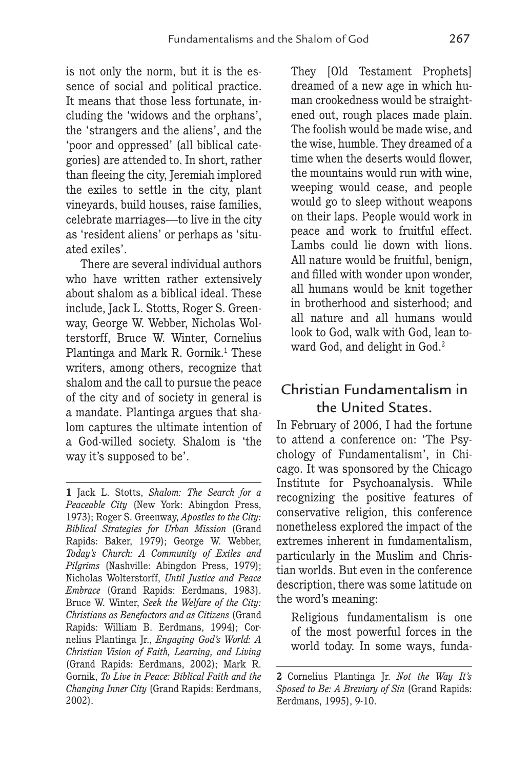is not only the norm, but it is the essence of social and political practice. It means that those less fortunate, including the 'widows and the orphans', the 'strangers and the aliens', and the 'poor and oppressed' (all biblical categories) are attended to. In short, rather than fleeing the city, Jeremiah implored the exiles to settle in the city, plant vineyards, build houses, raise families, celebrate marriages—to live in the city as 'resident aliens' or perhaps as 'situated exiles'.

There are several individual authors who have written rather extensively about shalom as a biblical ideal. These include, Jack L. Stotts, Roger S. Greenway, George W. Webber, Nicholas Wolterstorff, Bruce W. Winter, Cornelius Plantinga and Mark R. Gornik.<sup>1</sup> These writers, among others, recognize that shalom and the call to pursue the peace of the city and of society in general is a mandate. Plantinga argues that shalom captures the ultimate intention of a God-willed society. Shalom is 'the way it's supposed to be'.

They [Old Testament Prophets] dreamed of a new age in which human crookedness would be straightened out, rough places made plain. The foolish would be made wise, and the wise, humble. They dreamed of a time when the deserts would flower, the mountains would run with wine, weeping would cease, and people would go to sleep without weapons on their laps. People would work in peace and work to fruitful effect. Lambs could lie down with lions. All nature would be fruitful, benign, and filled with wonder upon wonder, all humans would be knit together in brotherhood and sisterhood; and all nature and all humans would look to God, walk with God, lean toward God, and delight in God.<sup>2</sup>

## Christian Fundamentalism in the United States.

In February of 2006, I had the fortune to attend a conference on: 'The Psychology of Fundamentalism', in Chicago. It was sponsored by the Chicago Institute for Psychoanalysis. While recognizing the positive features of conservative religion, this conference nonetheless explored the impact of the extremes inherent in fundamentalism, particularly in the Muslim and Christian worlds. But even in the conference description, there was some latitude on the word's meaning:

Religious fundamentalism is one of the most powerful forces in the world today. In some ways, funda-

**<sup>1</sup>** Jack L. Stotts, *Shalom: The Search for a Peaceable City* (New York: Abingdon Press, 1973); Roger S. Greenway, *Apostles to the City: Biblical Strategies for Urban Mission* (Grand Rapids: Baker, 1979); George W. Webber, *Today's Church: A Community of Exiles and Pilgrims* (Nashville: Abingdon Press, 1979); Nicholas Wolterstorff, *Until Justice and Peace Embrace* (Grand Rapids: Eerdmans, 1983). Bruce W. Winter, *Seek the Welfare of the City: Christians as Benefactors and as Citizens* (Grand Rapids: William B. Eerdmans, 1994); Cornelius Plantinga Jr., *Engaging God's World: A Christian Vision of Faith, Learning, and Living* (Grand Rapids: Eerdmans, 2002); Mark R. Gornik, *To Live in Peace: Biblical Faith and the Changing Inner City* (Grand Rapids: Eerdmans, 2002).

**<sup>2</sup>** Cornelius Plantinga Jr. *Not the Way It's Sposed to Be: A Breviary of Sin* (Grand Rapids: Eerdmans, 1995), 9-10.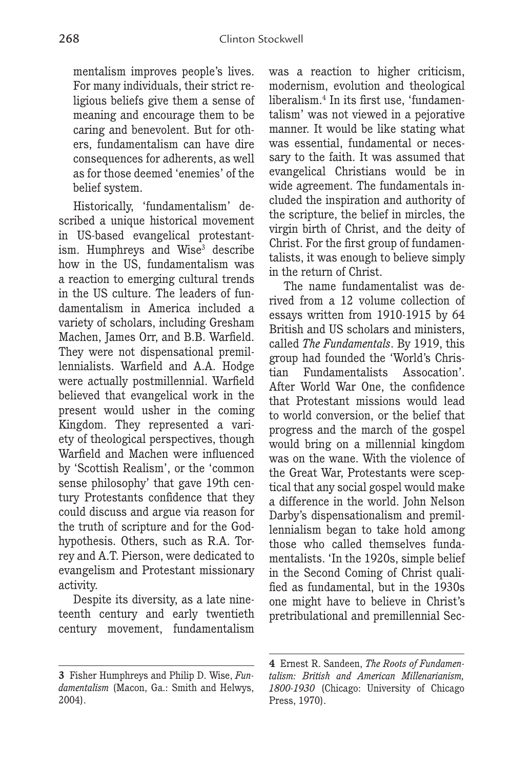mentalism improves people's lives. For many individuals, their strict religious beliefs give them a sense of meaning and encourage them to be caring and benevolent. But for others, fundamentalism can have dire consequences for adherents, as well as for those deemed 'enemies' of the belief system.

Historically, 'fundamentalism' described a unique historical movement in US-based evangelical protestantism. Humphreys and Wise<sup>3</sup> describe how in the US, fundamentalism was a reaction to emerging cultural trends in the US culture. The leaders of fundamentalism in America included a variety of scholars, including Gresham Machen, James Orr, and B.B. Warfield. They were not dispensational premillennialists. Warfield and A.A. Hodge were actually postmillennial. Warfield believed that evangelical work in the present would usher in the coming Kingdom. They represented a variety of theological perspectives, though Warfield and Machen were influenced by 'Scottish Realism', or the 'common sense philosophy' that gave 19th century Protestants confidence that they could discuss and argue via reason for the truth of scripture and for the Godhypothesis. Others, such as R.A. Torrey and A.T. Pierson, were dedicated to evangelism and Protestant missionary activity.

Despite its diversity, as a late nineteenth century and early twentieth century movement, fundamentalism

was a reaction to higher criticism, modernism, evolution and theological liberalism.4 In its first use, 'fundamentalism' was not viewed in a pejorative manner. It would be like stating what was essential, fundamental or necessary to the faith. It was assumed that evangelical Christians would be in wide agreement. The fundamentals included the inspiration and authority of the scripture, the belief in mircles, the virgin birth of Christ, and the deity of Christ. For the first group of fundamentalists, it was enough to believe simply in the return of Christ.

The name fundamentalist was derived from a 12 volume collection of essays written from 1910-1915 by 64 British and US scholars and ministers, called *The Fundamentals*. By 1919, this group had founded the 'World's Christian Fundamentalists Assocation'. After World War One, the confidence that Protestant missions would lead to world conversion, or the belief that progress and the march of the gospel would bring on a millennial kingdom was on the wane. With the violence of the Great War, Protestants were sceptical that any social gospel would make a difference in the world. John Nelson Darby's dispensationalism and premillennialism began to take hold among those who called themselves fundamentalists. 'In the 1920s, simple belief in the Second Coming of Christ qualified as fundamental, but in the 1930s one might have to believe in Christ's pretribulational and premillennial Sec-

**<sup>3</sup>** Fisher Humphreys and Philip D. Wise, *Fundamentalism* (Macon, Ga.: Smith and Helwys, 2004).

**<sup>4</sup>** Ernest R. Sandeen, *The Roots of Fundamentalism: British and American Millenarianism, 1800-1930* (Chicago: University of Chicago Press, 1970).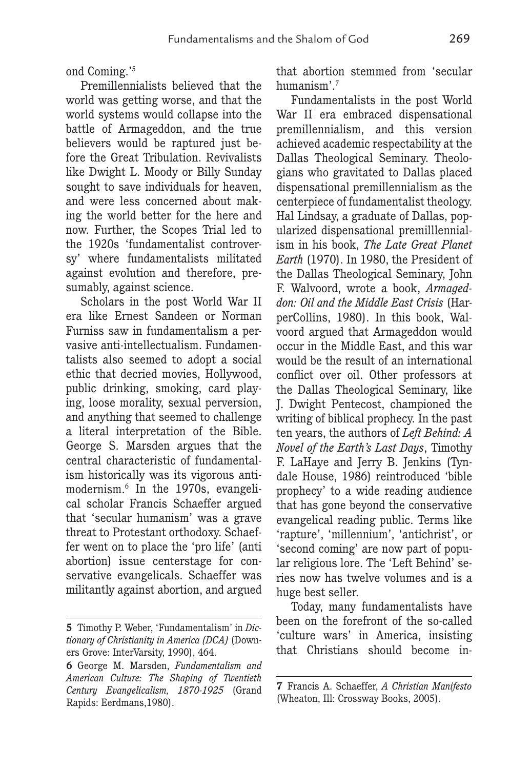ond Coming.'5

Premillennialists believed that the world was getting worse, and that the world systems would collapse into the battle of Armageddon, and the true believers would be raptured just before the Great Tribulation. Revivalists like Dwight L. Moody or Billy Sunday sought to save individuals for heaven, and were less concerned about making the world better for the here and now. Further, the Scopes Trial led to the 1920s 'fundamentalist controversy' where fundamentalists militated against evolution and therefore, presumably, against science.

Scholars in the post World War II era like Ernest Sandeen or Norman Furniss saw in fundamentalism a pervasive anti-intellectualism. Fundamentalists also seemed to adopt a social ethic that decried movies, Hollywood, public drinking, smoking, card playing, loose morality, sexual perversion, and anything that seemed to challenge a literal interpretation of the Bible. George S. Marsden argues that the central characteristic of fundamentalism historically was its vigorous antimodernism.6 In the 1970s, evangelical scholar Francis Schaeffer argued that 'secular humanism' was a grave threat to Protestant orthodoxy. Schaeffer went on to place the 'pro life' (anti abortion) issue centerstage for conservative evangelicals. Schaeffer was militantly against abortion, and argued that abortion stemmed from 'secular humanism'.7

Fundamentalists in the post World War II era embraced dispensational premillennialism, and this version achieved academic respectability at the Dallas Theological Seminary. Theologians who gravitated to Dallas placed dispensational premillennialism as the centerpiece of fundamentalist theology. Hal Lindsay, a graduate of Dallas, popularized dispensational premilllennialism in his book, *The Late Great Planet Earth* (1970). In 1980, the President of the Dallas Theological Seminary, John F. Walvoord, wrote a book, *Armageddon: Oil and the Middle East Crisis* (HarperCollins, 1980). In this book, Walvoord argued that Armageddon would occur in the Middle East, and this war would be the result of an international conflict over oil. Other professors at the Dallas Theological Seminary, like J. Dwight Pentecost, championed the writing of biblical prophecy. In the past ten years, the authors of *Left Behind: A Novel of the Earth's Last Days*, Timothy F. LaHaye and Jerry B. Jenkins (Tyndale House, 1986) reintroduced 'bible prophecy' to a wide reading audience that has gone beyond the conservative evangelical reading public. Terms like 'rapture', 'millennium', 'antichrist', or 'second coming' are now part of popular religious lore. The 'Left Behind' series now has twelve volumes and is a huge best seller.

Today, many fundamentalists have been on the forefront of the so-called 'culture wars' in America, insisting that Christians should become in-

**<sup>5</sup>** Timothy P. Weber, 'Fundamentalism' in *Dictionary of Christianity in America (DCA)* (Downers Grove: InterVarsity, 1990), 464.

**<sup>6</sup>** George M. Marsden, *Fundamentalism and American Culture: The Shaping of Twentieth Century Evangelicalism, 1870-1925* (Grand Rapids: Eerdmans,1980).

**<sup>7</sup>** Francis A. Schaeffer, *A Christian Manifesto* (Wheaton, Ill: Crossway Books, 2005).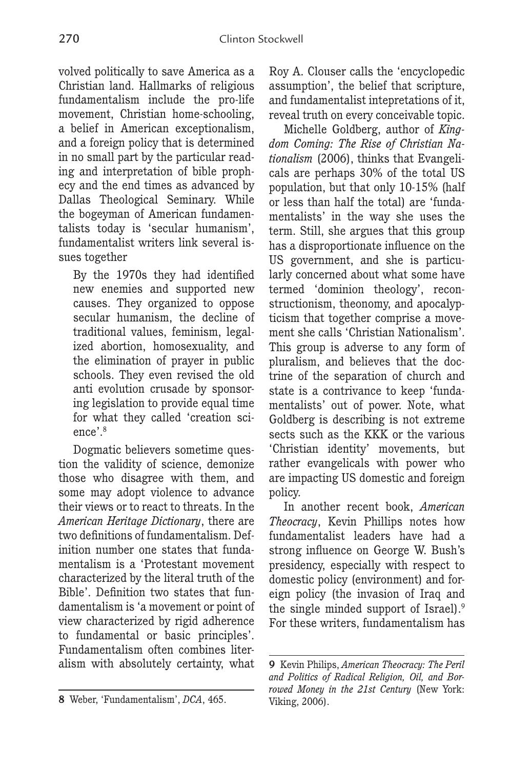volved politically to save America as a Christian land. Hallmarks of religious fundamentalism include the pro-life movement, Christian home-schooling, a belief in American exceptionalism, and a foreign policy that is determined in no small part by the particular reading and interpretation of bible prophecy and the end times as advanced by Dallas Theological Seminary. While the bogeyman of American fundamentalists today is 'secular humanism', fundamentalist writers link several issues together

By the 1970s they had identified new enemies and supported new causes. They organized to oppose secular humanism, the decline of traditional values, feminism, legalized abortion, homosexuality, and the elimination of prayer in public schools. They even revised the old anti evolution crusade by sponsoring legislation to provide equal time for what they called 'creation science'.<sup>8</sup>

Dogmatic believers sometime question the validity of science, demonize those who disagree with them, and some may adopt violence to advance their views or to react to threats. In the *American Heritage Dictionary*, there are two definitions of fundamentalism. Definition number one states that fundamentalism is a 'Protestant movement characterized by the literal truth of the Bible'. Definition two states that fundamentalism is 'a movement or point of view characterized by rigid adherence to fundamental or basic principles'. Fundamentalism often combines literalism with absolutely certainty, what Roy A. Clouser calls the 'encyclopedic assumption', the belief that scripture, and fundamentalist intepretations of it, reveal truth on every conceivable topic.

Michelle Goldberg, author of *Kingdom Coming: The Rise of Christian Nationalism* (2006), thinks that Evangelicals are perhaps 30% of the total US population, but that only 10-15% (half or less than half the total) are 'fundamentalists' in the way she uses the term. Still, she argues that this group has a disproportionate influence on the US government, and she is particularly concerned about what some have termed 'dominion theology', reconstructionism, theonomy, and apocalypticism that together comprise a movement she calls 'Christian Nationalism'. This group is adverse to any form of pluralism, and believes that the doctrine of the separation of church and state is a contrivance to keep 'fundamentalists' out of power. Note, what Goldberg is describing is not extreme sects such as the KKK or the various 'Christian identity' movements, but rather evangelicals with power who are impacting US domestic and foreign policy.

In another recent book, *American Theocracy*, Kevin Phillips notes how fundamentalist leaders have had a strong influence on George W. Bush's presidency, especially with respect to domestic policy (environment) and foreign policy (the invasion of Iraq and the single minded support of Israel).9 For these writers, fundamentalism has

**<sup>8</sup>** Weber, 'Fundamentalism', *DCA*, 465. *Viking*, 2006).

**<sup>9</sup>** Kevin Philips, *American Theocracy: The Peril and Politics of Radical Religion, Oil, and Borrowed Money in the 21st Century* (New York: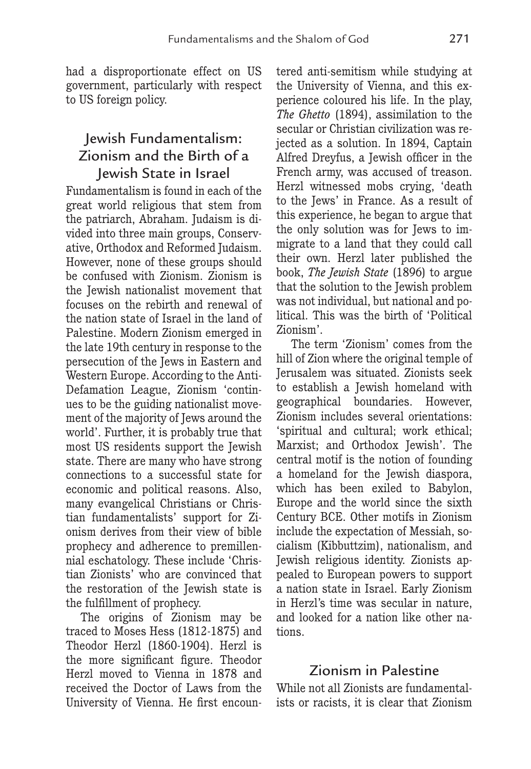had a disproportionate effect on US government, particularly with respect to US foreign policy.

## Jewish Fundamentalism: Zionism and the Birth of a Jewish State in Israel

Fundamentalism is found in each of the great world religious that stem from the patriarch, Abraham. Judaism is divided into three main groups, Conservative, Orthodox and Reformed Judaism. However, none of these groups should be confused with Zionism. Zionism is the Jewish nationalist movement that focuses on the rebirth and renewal of the nation state of Israel in the land of Palestine. Modern Zionism emerged in the late 19th century in response to the persecution of the Jews in Eastern and Western Europe. According to the Anti-Defamation League, Zionism 'continues to be the guiding nationalist movement of the majority of Jews around the world'. Further, it is probably true that most US residents support the Jewish state. There are many who have strong connections to a successful state for economic and political reasons. Also, many evangelical Christians or Christian fundamentalists' support for Zionism derives from their view of bible prophecy and adherence to premillennial eschatology. These include 'Christian Zionists' who are convinced that the restoration of the Jewish state is the fulfillment of prophecy.

The origins of Zionism may be traced to Moses Hess (1812-1875) and Theodor Herzl (1860-1904). Herzl is the more significant figure. Theodor Herzl moved to Vienna in 1878 and received the Doctor of Laws from the University of Vienna. He first encountered anti-semitism while studying at the University of Vienna, and this experience coloured his life. In the play, *The Ghetto* (1894), assimilation to the secular or Christian civilization was rejected as a solution. In 1894, Captain Alfred Dreyfus, a Jewish officer in the French army, was accused of treason. Herzl witnessed mobs crying, 'death to the Jews' in France. As a result of this experience, he began to argue that the only solution was for Jews to immigrate to a land that they could call their own. Herzl later published the book, *The Jewish State* (1896) to argue that the solution to the Jewish problem was not individual, but national and political. This was the birth of 'Political Zionism'.

The term 'Zionism' comes from the hill of Zion where the original temple of Jerusalem was situated. Zionists seek to establish a Jewish homeland with geographical boundaries. However, Zionism includes several orientations: 'spiritual and cultural; work ethical; Marxist; and Orthodox Jewish'. The central motif is the notion of founding a homeland for the Jewish diaspora, which has been exiled to Babylon, Europe and the world since the sixth Century BCE. Other motifs in Zionism include the expectation of Messiah, socialism (Kibbuttzim), nationalism, and Jewish religious identity. Zionists appealed to European powers to support a nation state in Israel. Early Zionism in Herzl's time was secular in nature, and looked for a nation like other nations.

## Zionism in Palestine

While not all Zionists are fundamentalists or racists, it is clear that Zionism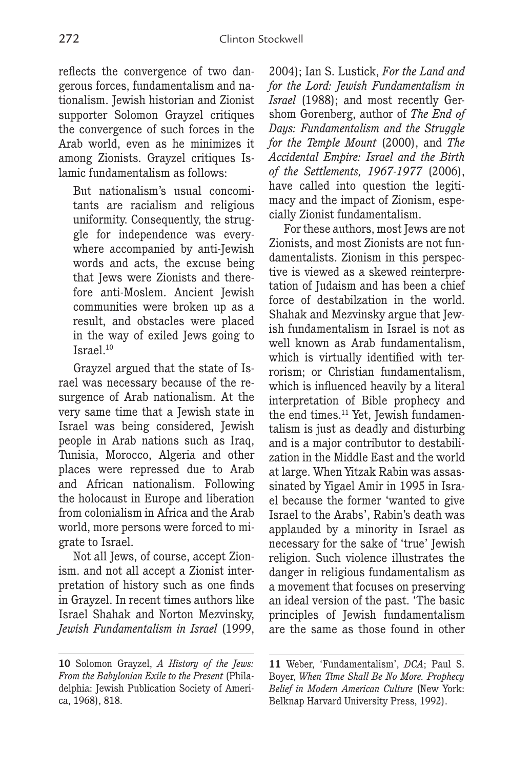reflects the convergence of two dangerous forces, fundamentalism and nationalism. Jewish historian and Zionist supporter Solomon Grayzel critiques the convergence of such forces in the Arab world, even as he minimizes it among Zionists. Grayzel critiques Islamic fundamentalism as follows:

But nationalism's usual concomitants are racialism and religious uniformity. Consequently, the struggle for independence was everywhere accompanied by anti-Jewish words and acts, the excuse being that Jews were Zionists and therefore anti-Moslem. Ancient Jewish communities were broken up as a result, and obstacles were placed in the way of exiled Jews going to Israel.<sup>10</sup>

Grayzel argued that the state of Israel was necessary because of the resurgence of Arab nationalism. At the very same time that a Jewish state in Israel was being considered, Jewish people in Arab nations such as Iraq, Tunisia, Morocco, Algeria and other places were repressed due to Arab and African nationalism. Following the holocaust in Europe and liberation from colonialism in Africa and the Arab world, more persons were forced to migrate to Israel.

Not all Jews, of course, accept Zionism. and not all accept a Zionist interpretation of history such as one finds in Grayzel. In recent times authors like Israel Shahak and Norton Mezvinsky, *Jewish Fundamentalism in Israel* (1999,

2004); Ian S. Lustick, *For the Land and for the Lord: Jewish Fundamentalism in Israel* (1988); and most recently Gershom Gorenberg, author of *The End of Days: Fundamentalism and the Struggle for the Temple Mount* (2000), and *The Accidental Empire: Israel and the Birth of the Settlements, 1967-1977* (2006), have called into question the legitimacy and the impact of Zionism, especially Zionist fundamentalism.

For these authors, most Jews are not Zionists, and most Zionists are not fundamentalists. Zionism in this perspective is viewed as a skewed reinterpretation of Judaism and has been a chief force of destabilzation in the world. Shahak and Mezvinsky argue that Jewish fundamentalism in Israel is not as well known as Arab fundamentalism, which is virtually identified with terrorism; or Christian fundamentalism, which is influenced heavily by a literal interpretation of Bible prophecy and the end times.<sup>11</sup> Yet, Jewish fundamentalism is just as deadly and disturbing and is a major contributor to destabilization in the Middle East and the world at large. When Yitzak Rabin was assassinated by Yigael Amir in 1995 in Israel because the former 'wanted to give Israel to the Arabs', Rabin's death was applauded by a minority in Israel as necessary for the sake of 'true' Jewish religion. Such violence illustrates the danger in religious fundamentalism as a movement that focuses on preserving an ideal version of the past. 'The basic principles of Jewish fundamentalism are the same as those found in other

**<sup>10</sup>** Solomon Grayzel, *A History of the Jews: From the Babylonian Exile to the Present* (Philadelphia: Jewish Publication Society of America, 1968), 818.

**<sup>11</sup>** Weber, 'Fundamentalism', *DCA*; Paul S. Boyer, *When Time Shall Be No More. Prophecy Belief in Modern American Culture* (New York: Belknap Harvard University Press, 1992).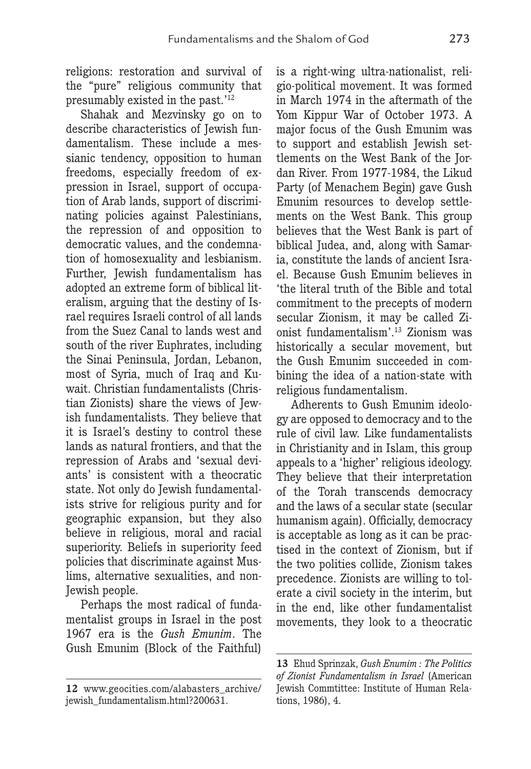religions: restoration and survival of the "pure" religious community that presumably existed in the past.'12

Shahak and Mezvinsky go on to describe characteristics of Jewish fundamentalism. These include a messianic tendency, opposition to human freedoms, especially freedom of expression in Israel, support of occupation of Arab lands, support of discriminating policies against Palestinians, the repression of and opposition to democratic values, and the condemnation of homosexuality and lesbianism. Further, Jewish fundamentalism has adopted an extreme form of biblical literalism, arguing that the destiny of Israel requires Israeli control of all lands from the Suez Canal to lands west and south of the river Euphrates, including the Sinai Peninsula, Jordan, Lebanon, most of Syria, much of Iraq and Kuwait. Christian fundamentalists (Christian Zionists) share the views of Jewish fundamentalists. They believe that it is Israel's destiny to control these lands as natural frontiers, and that the repression of Arabs and 'sexual deviants' is consistent with a theocratic state. Not only do Jewish fundamentalists strive for religious purity and for geographic expansion, but they also believe in religious, moral and racial superiority. Beliefs in superiority feed policies that discriminate against Muslims, alternative sexualities, and non-Jewish people.

Perhaps the most radical of fundamentalist groups in Israel in the post 1967 era is the *Gush Emunim*. The Gush Emunim (Block of the Faithful)

is a right-wing ultra-nationalist, religio-political movement. It was formed in March 1974 in the aftermath of the Yom Kippur War of October 1973. A major focus of the Gush Emunim was to support and establish Jewish settlements on the West Bank of the Jordan River. From 1977-1984, the Likud Party (of Menachem Begin) gave Gush Emunim resources to develop settlements on the West Bank. This group believes that the West Bank is part of biblical Judea, and, along with Samaria, constitute the lands of ancient Israel. Because Gush Emunim believes in 'the literal truth of the Bible and total commitment to the precepts of modern secular Zionism, it may be called Zionist fundamentalism'.13 Zionism was historically a secular movement, but the Gush Emunim succeeded in combining the idea of a nation-state with religious fundamentalism.

Adherents to Gush Emunim ideology are opposed to democracy and to the rule of civil law. Like fundamentalists in Christianity and in Islam, this group appeals to a 'higher' religious ideology. They believe that their interpretation of the Torah transcends democracy and the laws of a secular state (secular humanism again). Officially, democracy is acceptable as long as it can be practised in the context of Zionism, but if the two polities collide, Zionism takes precedence. Zionists are willing to tolerate a civil society in the interim, but in the end, like other fundamentalist movements, they look to a theocratic

**<sup>12</sup>** www.geocities.com/alabasters\_archive/ jewish\_fundamentalism.html?200631.

**<sup>13</sup>** Ehud Sprinzak, *Gush Enumim : The Politics of Zionist Fundamentalism in Israel* (American Jewish Commtittee: Institute of Human Relations, 1986), 4.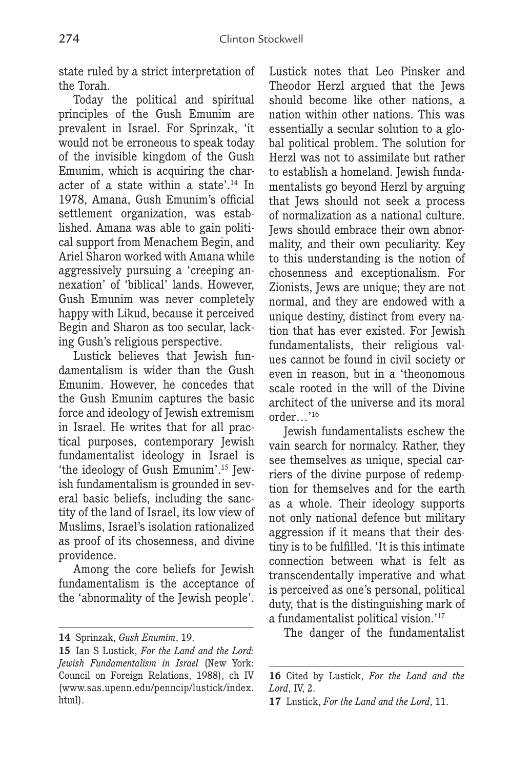state ruled by a strict interpretation of the Torah.

Today the political and spiritual principles of the Gush Emunim are prevalent in Israel. For Sprinzak, 'it would not be erroneous to speak today of the invisible kingdom of the Gush Emunim, which is acquiring the character of a state within a state'.14 In 1978, Amana, Gush Emunim's official settlement organization, was established. Amana was able to gain political support from Menachem Begin, and Ariel Sharon worked with Amana while aggressively pursuing a 'creeping annexation' of 'biblical' lands. However, Gush Emunim was never completely happy with Likud, because it perceived Begin and Sharon as too secular, lacking Gush's religious perspective.

Lustick believes that Jewish fundamentalism is wider than the Gush Emunim. However, he concedes that the Gush Emunim captures the basic force and ideology of Jewish extremism in Israel. He writes that for all practical purposes, contemporary Jewish fundamentalist ideology in Israel is 'the ideology of Gush Emunim'.15 Jewish fundamentalism is grounded in several basic beliefs, including the sanctity of the land of Israel, its low view of Muslims, Israel's isolation rationalized as proof of its chosenness, and divine providence.

Among the core beliefs for Jewish fundamentalism is the acceptance of the 'abnormality of the Jewish people'.

Lustick notes that Leo Pinsker and Theodor Herzl argued that the Jews should become like other nations, a nation within other nations. This was essentially a secular solution to a global political problem. The solution for Herzl was not to assimilate but rather to establish a homeland. Jewish fundamentalists go beyond Herzl by arguing that Jews should not seek a process of normalization as a national culture. Jews should embrace their own abnormality, and their own peculiarity. Key to this understanding is the notion of chosenness and exceptionalism. For Zionists, Jews are unique; they are not normal, and they are endowed with a unique destiny, distinct from every nation that has ever existed. For Jewish fundamentalists, their religious values cannot be found in civil society or even in reason, but in a 'theonomous scale rooted in the will of the Divine architect of the universe and its moral order…'16

Jewish fundamentalists eschew the vain search for normalcy. Rather, they see themselves as unique, special carriers of the divine purpose of redemption for themselves and for the earth as a whole. Their ideology supports not only national defence but military aggression if it means that their destiny is to be fulfilled. 'It is this intimate connection between what is felt as transcendentally imperative and what is perceived as one's personal, political duty, that is the distinguishing mark of a fundamentalist political vision.'17

The danger of the fundamentalist

**<sup>14</sup>** Sprinzak, *Gush Enumim*, 19.

**<sup>15</sup>** Ian S Lustick, *For the Land and the Lord: Jewish Fundamentalism in Israel* (New York: Council on Foreign Relations, 1988), ch IV (www.sas.upenn.edu/penncip/lustick/index. html).

**<sup>16</sup>** Cited by Lustick, *For the Land and the Lord*, IV, 2.

**<sup>17</sup>** Lustick, *For the Land and the Lord*, 11.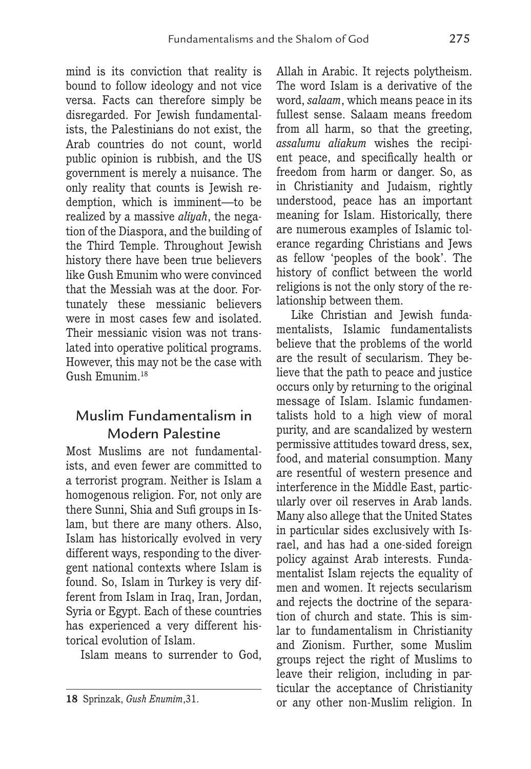mind is its conviction that reality is bound to follow ideology and not vice versa. Facts can therefore simply be disregarded. For Jewish fundamentalists, the Palestinians do not exist, the Arab countries do not count, world public opinion is rubbish, and the US government is merely a nuisance. The only reality that counts is Jewish redemption, which is imminent—to be realized by a massive *aliyah*, the negation of the Diaspora, and the building of the Third Temple. Throughout Jewish history there have been true believers like Gush Emunim who were convinced that the Messiah was at the door. Fortunately these messianic believers were in most cases few and isolated. Their messianic vision was not translated into operative political programs. However, this may not be the case with Gush Emunim.18

## Muslim Fundamentalism in Modern Palestine

Most Muslims are not fundamentalists, and even fewer are committed to a terrorist program. Neither is Islam a homogenous religion. For, not only are there Sunni, Shia and Sufi groups in Islam, but there are many others. Also, Islam has historically evolved in very different ways, responding to the divergent national contexts where Islam is found. So, Islam in Turkey is very different from Islam in Iraq, Iran, Jordan, Syria or Egypt. Each of these countries has experienced a very different historical evolution of Islam.

Islam means to surrender to God,

Allah in Arabic. It rejects polytheism. The word Islam is a derivative of the word, *salaam*, which means peace in its fullest sense. Salaam means freedom from all harm, so that the greeting, *assalumu aliakum* wishes the recipient peace, and specifically health or freedom from harm or danger. So, as in Christianity and Judaism, rightly understood, peace has an important meaning for Islam. Historically, there are numerous examples of Islamic tolerance regarding Christians and Jews as fellow 'peoples of the book'. The history of conflict between the world religions is not the only story of the relationship between them.

Like Christian and Jewish fundamentalists, Islamic fundamentalists believe that the problems of the world are the result of secularism. They believe that the path to peace and justice occurs only by returning to the original message of Islam. Islamic fundamentalists hold to a high view of moral purity, and are scandalized by western permissive attitudes toward dress, sex, food, and material consumption. Many are resentful of western presence and interference in the Middle East, particularly over oil reserves in Arab lands. Many also allege that the United States in particular sides exclusively with Israel, and has had a one-sided foreign policy against Arab interests. Fundamentalist Islam rejects the equality of men and women. It rejects secularism and rejects the doctrine of the separation of church and state. This is simlar to fundamentalism in Christianity and Zionism. Further, some Muslim groups reject the right of Muslims to leave their religion, including in particular the acceptance of Christianity or any other non-Muslim religion. In

**<sup>18</sup>** Sprinzak, *Gush Enumim*,31.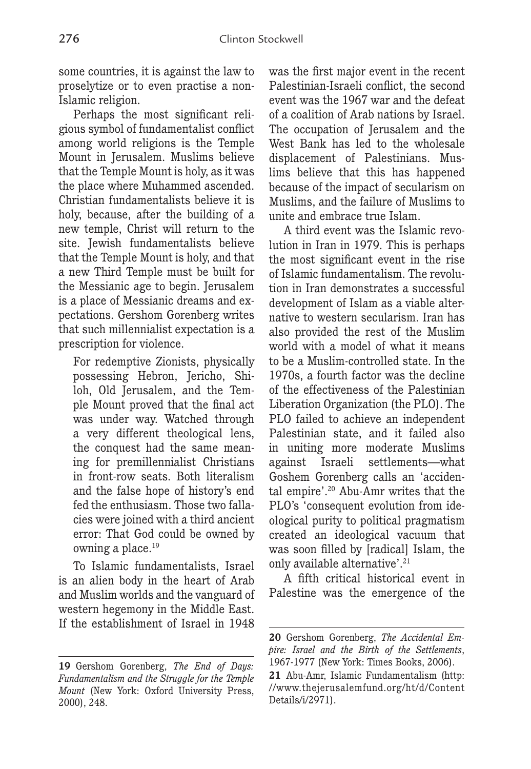some countries, it is against the law to proselytize or to even practise a non-Islamic religion.

Perhaps the most significant religious symbol of fundamentalist conflict among world religions is the Temple Mount in Jerusalem. Muslims believe that the Temple Mount is holy, as it was the place where Muhammed ascended. Christian fundamentalists believe it is holy, because, after the building of a new temple, Christ will return to the site. Jewish fundamentalists believe that the Temple Mount is holy, and that a new Third Temple must be built for the Messianic age to begin. Jerusalem is a place of Messianic dreams and expectations. Gershom Gorenberg writes that such millennialist expectation is a prescription for violence.

For redemptive Zionists, physically possessing Hebron, Jericho, Shiloh, Old Jerusalem, and the Temple Mount proved that the final act was under way. Watched through a very different theological lens, the conquest had the same meaning for premillennialist Christians in front-row seats. Both literalism and the false hope of history's end fed the enthusiasm. Those two fallacies were joined with a third ancient error: That God could be owned by owning a place.<sup>19</sup>

To Islamic fundamentalists, Israel is an alien body in the heart of Arab and Muslim worlds and the vanguard of western hegemony in the Middle East. If the establishment of Israel in 1948 was the first major event in the recent Palestinian-Israeli conflict, the second event was the 1967 war and the defeat of a coalition of Arab nations by Israel. The occupation of Jerusalem and the West Bank has led to the wholesale displacement of Palestinians. Muslims believe that this has happened because of the impact of secularism on Muslims, and the failure of Muslims to unite and embrace true Islam.

A third event was the Islamic revolution in Iran in 1979. This is perhaps the most significant event in the rise of Islamic fundamentalism. The revolution in Iran demonstrates a successful development of Islam as a viable alternative to western secularism. Iran has also provided the rest of the Muslim world with a model of what it means to be a Muslim-controlled state. In the 1970s, a fourth factor was the decline of the effectiveness of the Palestinian Liberation Organization (the PLO). The PLO failed to achieve an independent Palestinian state, and it failed also in uniting more moderate Muslims against Israeli settlements—what Goshem Gorenberg calls an 'accidental empire'.20 Abu-Amr writes that the PLO's 'consequent evolution from ideological purity to political pragmatism created an ideological vacuum that was soon filled by [radical] Islam, the only available alternative'.<sup>21</sup>

A fifth critical historical event in Palestine was the emergence of the

**<sup>19</sup>** Gershom Gorenberg, *The End of Days: Fundamentalism and the Struggle for the Temple Mount* (New York: Oxford University Press, 2000), 248.

**<sup>20</sup>** Gershom Gorenberg, *The Accidental Empire: Israel and the Birth of the Settlements*, 1967-1977 (New York: Times Books, 2006).

**<sup>21</sup>** Abu-Amr, Islamic Fundamentalism (http: //www.thejerusalemfund.org/ht/d/Content Details/i/2971).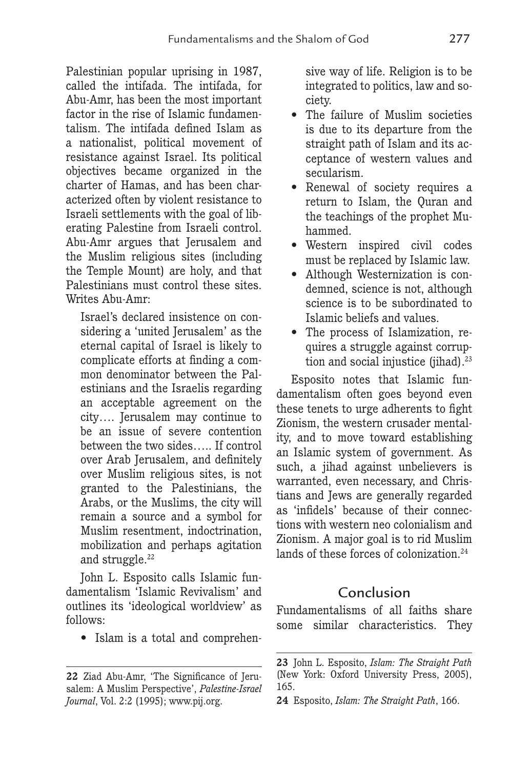Palestinian popular uprising in 1987, called the intifada. The intifada, for Abu-Amr, has been the most important factor in the rise of Islamic fundamentalism. The intifada defined Islam as a nationalist, political movement of resistance against Israel. Its political objectives became organized in the charter of Hamas, and has been characterized often by violent resistance to Israeli settlements with the goal of liberating Palestine from Israeli control. Abu-Amr argues that Jerusalem and the Muslim religious sites (including the Temple Mount) are holy, and that Palestinians must control these sites. Writes Abu-Amr:

Israel's declared insistence on considering a 'united Jerusalem' as the eternal capital of Israel is likely to complicate efforts at finding a common denominator between the Palestinians and the Israelis regarding an acceptable agreement on the city…. Jerusalem may continue to be an issue of severe contention between the two sides….. If control over Arab Jerusalem, and definitely over Muslim religious sites, is not granted to the Palestinians, the Arabs, or the Muslims, the city will remain a source and a symbol for Muslim resentment, indoctrination, mobilization and perhaps agitation and struggle.<sup>22</sup>

John L. Esposito calls Islamic fundamentalism 'Islamic Revivalism' and outlines its 'ideological worldview' as follows:

• Islam is a total and comprehen-

sive way of life. Religion is to be integrated to politics, law and society.

- The failure of Muslim societies is due to its departure from the straight path of Islam and its acceptance of western values and secularism.
- Renewal of society requires a return to Islam, the Quran and the teachings of the prophet Muhammed.
- Western inspired civil codes must be replaced by Islamic law.
- Although Westernization is condemned, science is not, although science is to be subordinated to Islamic beliefs and values.
- The process of Islamization, requires a struggle against corruption and social injustice (jihad).<sup>23</sup>

Esposito notes that Islamic fundamentalism often goes beyond even these tenets to urge adherents to fight Zionism, the western crusader mentality, and to move toward establishing an Islamic system of government. As such, a jihad against unbelievers is warranted, even necessary, and Christians and Jews are generally regarded as 'infidels' because of their connections with western neo colonialism and Zionism. A major goal is to rid Muslim lands of these forces of colonization.<sup>24</sup>

## Conclusion

Fundamentalisms of all faiths share some similar characteristics. They

**<sup>22</sup>** Ziad Abu-Amr, 'The Significance of Jerusalem: A Muslim Perspective', *Palestine-Israel Journal*, Vol. 2:2 (1995); www.pij.org.

**<sup>23</sup>** John L. Esposito, *Islam: The Straight Path* (New York: Oxford University Press, 2005), 165.

**<sup>24</sup>** Esposito, *Islam: The Straight Path*, 166.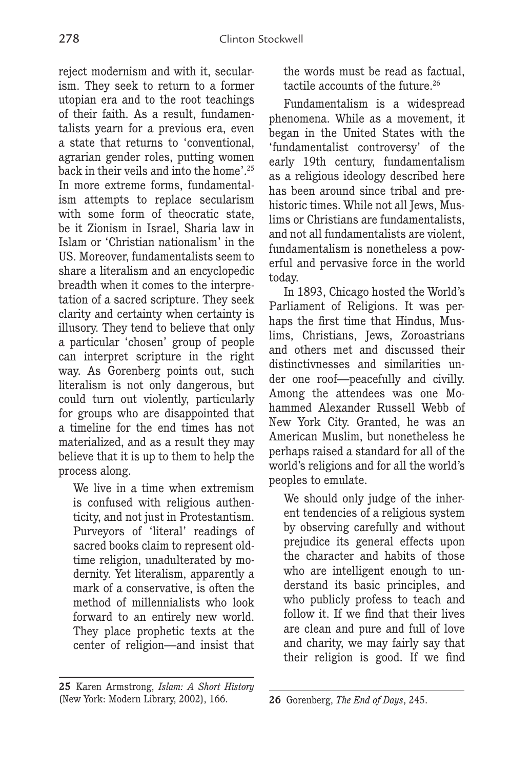reject modernism and with it, secularism. They seek to return to a former utopian era and to the root teachings of their faith. As a result, fundamentalists yearn for a previous era, even a state that returns to 'conventional, agrarian gender roles, putting women back in their veils and into the home'.25 In more extreme forms, fundamentalism attempts to replace secularism with some form of theocratic state, be it Zionism in Israel, Sharia law in Islam or 'Christian nationalism' in the US. Moreover, fundamentalists seem to share a literalism and an encyclopedic breadth when it comes to the interpretation of a sacred scripture. They seek clarity and certainty when certainty is illusory. They tend to believe that only a particular 'chosen' group of people can interpret scripture in the right way. As Gorenberg points out, such literalism is not only dangerous, but could turn out violently, particularly for groups who are disappointed that a timeline for the end times has not materialized, and as a result they may believe that it is up to them to help the process along.

We live in a time when extremism is confused with religious authenticity, and not just in Protestantism. Purveyors of 'literal' readings of sacred books claim to represent oldtime religion, unadulterated by modernity. Yet literalism, apparently a mark of a conservative, is often the method of millennialists who look forward to an entirely new world. They place prophetic texts at the center of religion—and insist that

**25** Karen Armstrong, *Islam: A Short History* (New York: Modern Library, 2002), 166.

the words must be read as factual, tactile accounts of the future.<sup>26</sup>

Fundamentalism is a widespread phenomena. While as a movement, it began in the United States with the 'fundamentalist controversy' of the early 19th century, fundamentalism as a religious ideology described here has been around since tribal and prehistoric times. While not all Jews, Muslims or Christians are fundamentalists, and not all fundamentalists are violent, fundamentalism is nonetheless a powerful and pervasive force in the world today.

In 1893, Chicago hosted the World's Parliament of Religions. It was perhaps the first time that Hindus, Muslims, Christians, Jews, Zoroastrians and others met and discussed their distinctivnesses and similarities under one roof—peacefully and civilly. Among the attendees was one Mohammed Alexander Russell Webb of New York City. Granted, he was an American Muslim, but nonetheless he perhaps raised a standard for all of the world's religions and for all the world's peoples to emulate.

We should only judge of the inherent tendencies of a religious system by observing carefully and without prejudice its general effects upon the character and habits of those who are intelligent enough to understand its basic principles, and who publicly profess to teach and follow it. If we find that their lives are clean and pure and full of love and charity, we may fairly say that their religion is good. If we find

**<sup>26</sup>** Gorenberg, *The End of Days*, 245.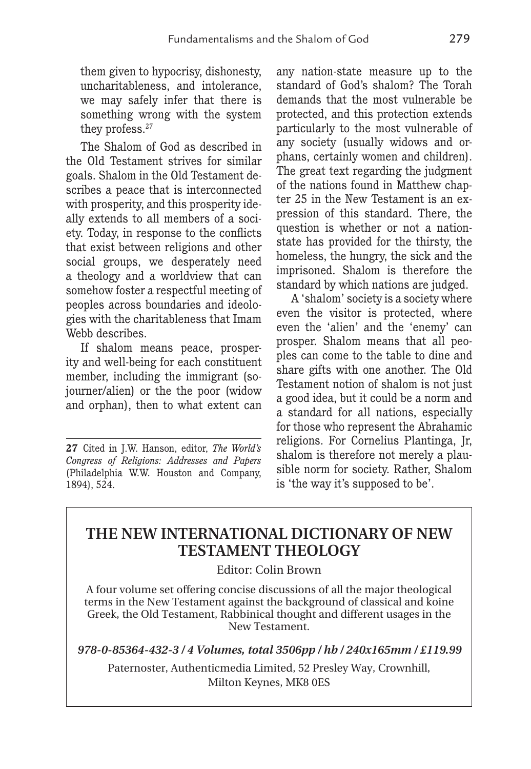them given to hypocrisy, dishonesty, uncharitableness, and intolerance, we may safely infer that there is something wrong with the system they profess.<sup>27</sup>

The Shalom of God as described in the Old Testament strives for similar goals. Shalom in the Old Testament describes a peace that is interconnected with prosperity, and this prosperity ideally extends to all members of a society. Today, in response to the conflicts that exist between religions and other social groups, we desperately need a theology and a worldview that can somehow foster a respectful meeting of peoples across boundaries and ideologies with the charitableness that Imam Webb describes.

If shalom means peace, prosperity and well-being for each constituent member, including the immigrant (sojourner/alien) or the the poor (widow and orphan), then to what extent can

**27** Cited in J.W. Hanson, editor, *The World's Congress of Religions: Addresses and Papers* (Philadelphia W.W. Houston and Company, 1894), 524.

any nation-state measure up to the standard of God's shalom? The Torah demands that the most vulnerable be protected, and this protection extends particularly to the most vulnerable of any society (usually widows and orphans, certainly women and children). The great text regarding the judgment of the nations found in Matthew chapter 25 in the New Testament is an expression of this standard. There, the question is whether or not a nationstate has provided for the thirsty, the homeless, the hungry, the sick and the imprisoned. Shalom is therefore the standard by which nations are judged.

A 'shalom' society is a society where even the visitor is protected, where even the 'alien' and the 'enemy' can prosper. Shalom means that all peoples can come to the table to dine and share gifts with one another. The Old Testament notion of shalom is not just a good idea, but it could be a norm and a standard for all nations, especially for those who represent the Abrahamic religions. For Cornelius Plantinga, Jr, shalom is therefore not merely a plausible norm for society. Rather, Shalom is 'the way it's supposed to be'.

## **THE NEW INTERNATIONAL DICTIONARY OF NEW TESTAMENT THEOLOGY**

Editor: Colin Brown

A four volume set offering concise discussions of all the major theological terms in the New Testament against the background of classical and koine Greek, the Old Testament, Rabbinical thought and different usages in the New Testament.

*978-0-85364-432-3 / 4 Volumes, total 3506pp / hb / 240x165mm / £119.99*

Paternoster, Authenticmedia Limited, 52 Presley Way, Crownhill, Milton Keynes, MK8 0ES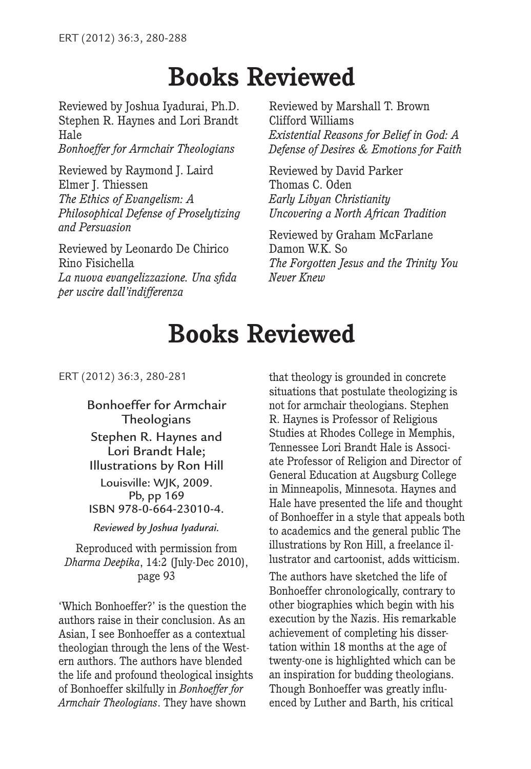# **Books Reviewed**

Reviewed by Joshua Iyadurai, Ph.D. Stephen R. Haynes and Lori Brandt Hale *Bonhoeffer for Armchair Theologians*

Reviewed by Raymond J. Laird Elmer J. Thiessen *The Ethics of Evangelism: A Philosophical Defense of Proselytizing and Persuasion*

Reviewed by Leonardo De Chirico Rino Fisichella *La nuova evangelizzazione. Una sfida per uscire dall'indifferenza*

Reviewed by Marshall T. Brown Clifford Williams *Existential Reasons for Belief in God: A Defense of Desires & Emotions for Faith*

Reviewed by David Parker Thomas C. Oden *Early Libyan Christianity Uncovering a North African Tradition*

Reviewed by Graham McFarlane Damon W.K. So *The Forgotten Jesus and the Trinity You Never Knew*

# **Books Reviewed**

ERT (2012) 36:3, 280-281

Bonhoeffer for Armchair **Theologians** Stephen R. Haynes and Lori Brandt Hale; Illustrations by Ron Hill Louisville: WJK, 2009. Pb, pp 169 ISBN 978-0-664-23010-4.

*Reviewed by Joshua Iyadurai.*

Reproduced with permission from *Dharma Deepika*, 14:2 (July-Dec 2010), page 93

'Which Bonhoeffer?' is the question the authors raise in their conclusion. As an Asian, I see Bonhoeffer as a contextual theologian through the lens of the Western authors. The authors have blended the life and profound theological insights of Bonhoeffer skilfully in *Bonhoeffer for Armchair Theologians*. They have shown

that theology is grounded in concrete situations that postulate theologizing is not for armchair theologians. Stephen R. Haynes is Professor of Religious Studies at Rhodes College in Memphis, Tennessee Lori Brandt Hale is Associate Professor of Religion and Director of General Education at Augsburg College in Minneapolis, Minnesota. Haynes and Hale have presented the life and thought of Bonhoeffer in a style that appeals both to academics and the general public The illustrations by Ron Hill, a freelance illustrator and cartoonist, adds witticism.

The authors have sketched the life of Bonhoeffer chronologically, contrary to other biographies which begin with his execution by the Nazis. His remarkable achievement of completing his dissertation within 18 months at the age of twenty-one is highlighted which can be an inspiration for budding theologians. Though Bonhoeffer was greatly influenced by Luther and Barth, his critical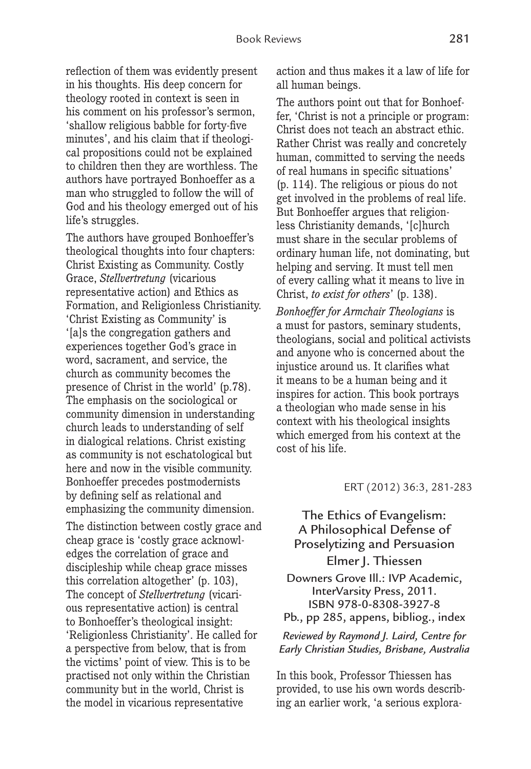reflection of them was evidently present in his thoughts. His deep concern for theology rooted in context is seen in his comment on his professor's sermon, 'shallow religious babble for forty-five minutes', and his claim that if theological propositions could not be explained to children then they are worthless. The authors have portrayed Bonhoeffer as a man who struggled to follow the will of God and his theology emerged out of his life's struggles.

The authors have grouped Bonhoeffer's theological thoughts into four chapters: Christ Existing as Community. Costly Grace, *Stellvertretung* (vicarious representative action) and Ethics as Formation, and Religionless Christianity. 'Christ Existing as Community' is '[a]s the congregation gathers and experiences together God's grace in word, sacrament, and service, the church as community becomes the presence of Christ in the world' (p.78). The emphasis on the sociological or community dimension in understanding church leads to understanding of self in dialogical relations. Christ existing as community is not eschatological but here and now in the visible community. Bonhoeffer precedes postmodernists by defining self as relational and emphasizing the community dimension.

The distinction between costly grace and cheap grace is 'costly grace acknowledges the correlation of grace and discipleship while cheap grace misses this correlation altogether' (p. 103), The concept of *Stellvertretung* (vicarious representative action) is central to Bonhoeffer's theological insight: 'Religionless Christianity'. He called for a perspective from below, that is from the victims' point of view. This is to be practised not only within the Christian community but in the world, Christ is the model in vicarious representative

action and thus makes it a law of life for all human beings.

The authors point out that for Bonhoeffer, 'Christ is not a principle or program: Christ does not teach an abstract ethic. Rather Christ was really and concretely human, committed to serving the needs of real humans in specific situations' (p. 114). The religious or pious do not get involved in the problems of real life. But Bonhoeffer argues that religionless Christianity demands, '[c]hurch must share in the secular problems of ordinary human life, not dominating, but helping and serving. It must tell men of every calling what it means to live in Christ, *to exist for others*' (p. 138).

*Bonhoeffer for Armchair Theologians* is a must for pastors, seminary students, theologians, social and political activists and anyone who is concerned about the injustice around us. It clarifies what it means to be a human being and it inspires for action. This book portrays a theologian who made sense in his context with his theological insights which emerged from his context at the cost of his life.

#### ERT (2012) 36:3, 281-283

## The Ethics of Evangelism: A Philosophical Defense of Proselytizing and Persuasion Elmer J. Thiessen

Downers Grove Ill.: IVP Academic, InterVarsity Press, 2011. ISBN 978-0-8308-3927-8 Pb., pp 285, appens, bibliog., index

*Reviewed by Raymond J. Laird, Centre for Early Christian Studies, Brisbane, Australia*

In this book, Professor Thiessen has provided, to use his own words describing an earlier work, 'a serious explora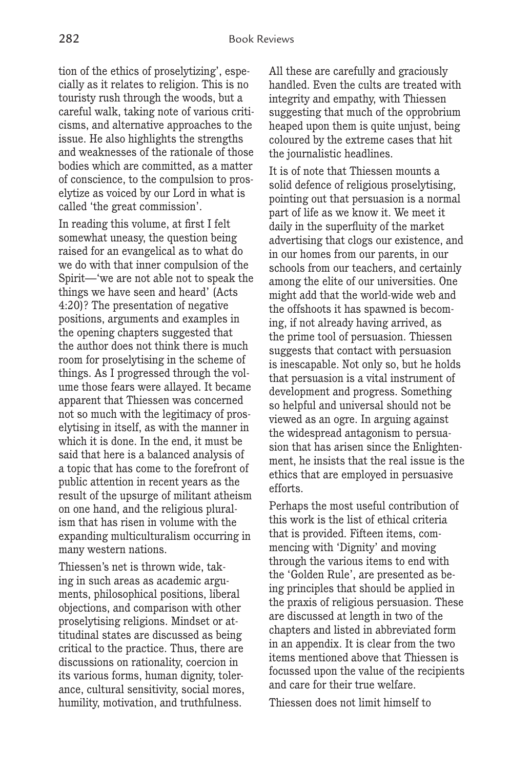tion of the ethics of proselytizing', especially as it relates to religion. This is no touristy rush through the woods, but a careful walk, taking note of various criticisms, and alternative approaches to the issue. He also highlights the strengths and weaknesses of the rationale of those bodies which are committed, as a matter of conscience, to the compulsion to proselytize as voiced by our Lord in what is called 'the great commission'.

In reading this volume, at first I felt somewhat uneasy, the question being raised for an evangelical as to what do we do with that inner compulsion of the Spirit—'we are not able not to speak the things we have seen and heard' (Acts 4:20)? The presentation of negative positions, arguments and examples in the opening chapters suggested that the author does not think there is much room for proselytising in the scheme of things. As I progressed through the volume those fears were allayed. It became apparent that Thiessen was concerned not so much with the legitimacy of proselytising in itself, as with the manner in which it is done. In the end, it must be said that here is a balanced analysis of a topic that has come to the forefront of public attention in recent years as the result of the upsurge of militant atheism on one hand, and the religious pluralism that has risen in volume with the expanding multiculturalism occurring in many western nations.

Thiessen's net is thrown wide, taking in such areas as academic arguments, philosophical positions, liberal objections, and comparison with other proselytising religions. Mindset or attitudinal states are discussed as being critical to the practice. Thus, there are discussions on rationality, coercion in its various forms, human dignity, tolerance, cultural sensitivity, social mores, humility, motivation, and truthfulness.

All these are carefully and graciously handled. Even the cults are treated with integrity and empathy, with Thiessen suggesting that much of the opprobrium heaped upon them is quite unjust, being coloured by the extreme cases that hit the journalistic headlines.

It is of note that Thiessen mounts a solid defence of religious proselytising, pointing out that persuasion is a normal part of life as we know it. We meet it daily in the superfluity of the market advertising that clogs our existence, and in our homes from our parents, in our schools from our teachers, and certainly among the elite of our universities. One might add that the world-wide web and the offshoots it has spawned is becoming, if not already having arrived, as the prime tool of persuasion. Thiessen suggests that contact with persuasion is inescapable. Not only so, but he holds that persuasion is a vital instrument of development and progress. Something so helpful and universal should not be viewed as an ogre. In arguing against the widespread antagonism to persuasion that has arisen since the Enlightenment, he insists that the real issue is the ethics that are employed in persuasive efforts.

Perhaps the most useful contribution of this work is the list of ethical criteria that is provided. Fifteen items, commencing with 'Dignity' and moving through the various items to end with the 'Golden Rule', are presented as being principles that should be applied in the praxis of religious persuasion. These are discussed at length in two of the chapters and listed in abbreviated form in an appendix. It is clear from the two items mentioned above that Thiessen is focussed upon the value of the recipients and care for their true welfare.

Thiessen does not limit himself to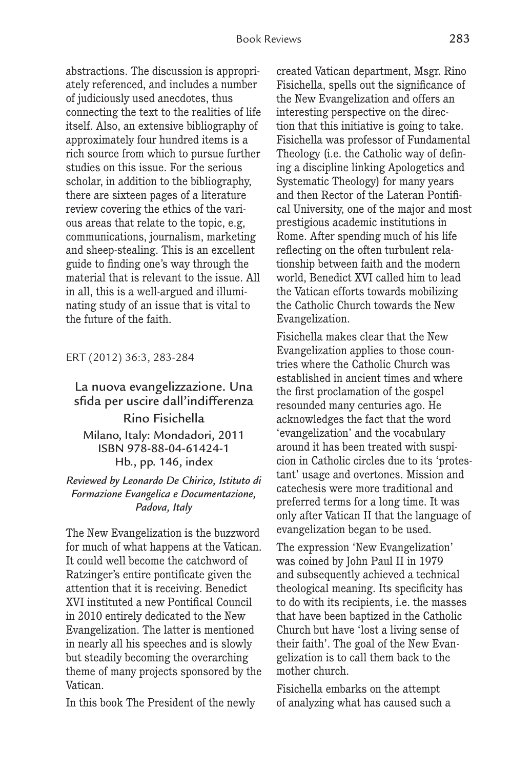abstractions. The discussion is appropriately referenced, and includes a number of judiciously used anecdotes, thus connecting the text to the realities of life itself. Also, an extensive bibliography of approximately four hundred items is a rich source from which to pursue further studies on this issue. For the serious scholar, in addition to the bibliography, there are sixteen pages of a literature review covering the ethics of the various areas that relate to the topic, e.g, communications, journalism, marketing and sheep-stealing. This is an excellent guide to finding one's way through the material that is relevant to the issue. All in all, this is a well-argued and illuminating study of an issue that is vital to the future of the faith.

ERT (2012) 36:3, 283-284

## La nuova evangelizzazione. Una sfida per uscire dall'indifferenza Rino Fisichella

Milano, Italy: Mondadori, 2011 ISBN 978-88-04-61424-1 Hb., pp. 146, index

#### *Reviewed by Leonardo De Chirico, Istituto di Formazione Evangelica e Documentazione, Padova, Italy*

The New Evangelization is the buzzword for much of what happens at the Vatican. It could well become the catchword of Ratzinger's entire pontificate given the attention that it is receiving. Benedict XVI instituted a new Pontifical Council in 2010 entirely dedicated to the New Evangelization. The latter is mentioned in nearly all his speeches and is slowly but steadily becoming the overarching theme of many projects sponsored by the Vatican.

In this book The President of the newly

created Vatican department, Msgr. Rino Fisichella, spells out the significance of the New Evangelization and offers an interesting perspective on the direction that this initiative is going to take. Fisichella was professor of Fundamental Theology (i.e. the Catholic way of defining a discipline linking Apologetics and Systematic Theology) for many years and then Rector of the Lateran Pontifical University, one of the major and most prestigious academic institutions in Rome. After spending much of his life reflecting on the often turbulent relationship between faith and the modern world, Benedict XVI called him to lead the Vatican efforts towards mobilizing the Catholic Church towards the New Evangelization.

Fisichella makes clear that the New Evangelization applies to those countries where the Catholic Church was established in ancient times and where the first proclamation of the gospel resounded many centuries ago. He acknowledges the fact that the word 'evangelization' and the vocabulary around it has been treated with suspicion in Catholic circles due to its 'protestant' usage and overtones. Mission and catechesis were more traditional and preferred terms for a long time. It was only after Vatican II that the language of evangelization began to be used.

The expression 'New Evangelization' was coined by John Paul II in 1979 and subsequently achieved a technical theological meaning. Its specificity has to do with its recipients, i.e. the masses that have been baptized in the Catholic Church but have 'lost a living sense of their faith'. The goal of the New Evangelization is to call them back to the mother church.

Fisichella embarks on the attempt of analyzing what has caused such a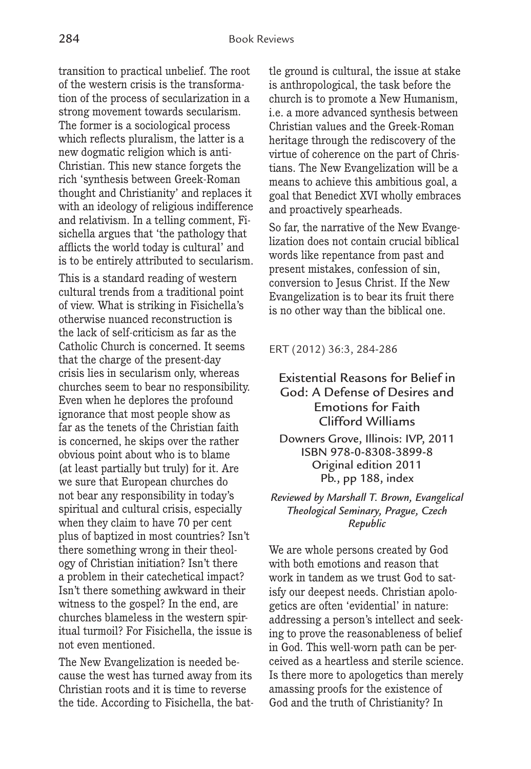transition to practical unbelief. The root of the western crisis is the transformation of the process of secularization in a strong movement towards secularism. The former is a sociological process which reflects pluralism, the latter is a new dogmatic religion which is anti-Christian. This new stance forgets the rich 'synthesis between Greek-Roman thought and Christianity' and replaces it with an ideology of religious indifference and relativism. In a telling comment, Fisichella argues that 'the pathology that afflicts the world today is cultural' and is to be entirely attributed to secularism.

This is a standard reading of western cultural trends from a traditional point of view. What is striking in Fisichella's otherwise nuanced reconstruction is the lack of self-criticism as far as the Catholic Church is concerned. It seems that the charge of the present-day crisis lies in secularism only, whereas churches seem to bear no responsibility. Even when he deplores the profound ignorance that most people show as far as the tenets of the Christian faith is concerned, he skips over the rather obvious point about who is to blame (at least partially but truly) for it. Are we sure that European churches do not bear any responsibility in today's spiritual and cultural crisis, especially when they claim to have 70 per cent plus of baptized in most countries? Isn't there something wrong in their theology of Christian initiation? Isn't there a problem in their catechetical impact? Isn't there something awkward in their witness to the gospel? In the end, are churches blameless in the western spiritual turmoil? For Fisichella, the issue is not even mentioned.

The New Evangelization is needed because the west has turned away from its Christian roots and it is time to reverse the tide. According to Fisichella, the battle ground is cultural, the issue at stake is anthropological, the task before the church is to promote a New Humanism, i.e. a more advanced synthesis between Christian values and the Greek-Roman heritage through the rediscovery of the virtue of coherence on the part of Christians. The New Evangelization will be a means to achieve this ambitious goal, a goal that Benedict XVI wholly embraces and proactively spearheads.

So far, the narrative of the New Evangelization does not contain crucial biblical words like repentance from past and present mistakes, confession of sin, conversion to Jesus Christ. If the New Evangelization is to bear its fruit there is no other way than the biblical one.

ERT (2012) 36:3, 284-286

#### Existential Reasons for Belief in God: A Defense of Desires and Emotions for Faith Clifford Williams

Downers Grove, Illinois: IVP, 2011 ISBN 978-0-8308-3899-8 Original edition 2011 Pb., pp 188, index

#### *Reviewed by Marshall T. Brown, Evangelical Theological Seminary, Prague, Czech Republic*

We are whole persons created by God with both emotions and reason that work in tandem as we trust God to satisfy our deepest needs. Christian apologetics are often 'evidential' in nature: addressing a person's intellect and seeking to prove the reasonableness of belief in God. This well-worn path can be perceived as a heartless and sterile science. Is there more to apologetics than merely amassing proofs for the existence of God and the truth of Christianity? In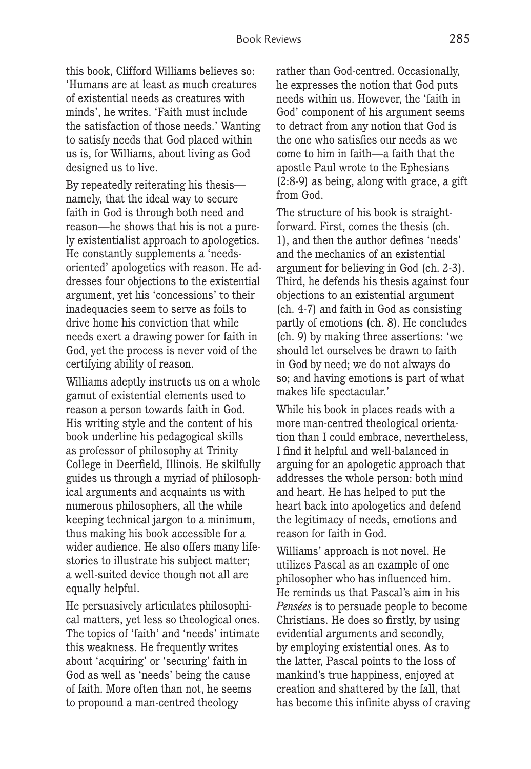this book, Clifford Williams believes so: 'Humans are at least as much creatures of existential needs as creatures with minds', he writes. 'Faith must include the satisfaction of those needs.' Wanting to satisfy needs that God placed within us is, for Williams, about living as God designed us to live.

By repeatedly reiterating his thesis namely, that the ideal way to secure faith in God is through both need and reason—he shows that his is not a purely existentialist approach to apologetics. He constantly supplements a 'needsoriented' apologetics with reason. He addresses four objections to the existential argument, yet his 'concessions' to their inadequacies seem to serve as foils to drive home his conviction that while needs exert a drawing power for faith in God, yet the process is never void of the certifying ability of reason.

Williams adeptly instructs us on a whole gamut of existential elements used to reason a person towards faith in God. His writing style and the content of his book underline his pedagogical skills as professor of philosophy at Trinity College in Deerfield, Illinois. He skilfully guides us through a myriad of philosophical arguments and acquaints us with numerous philosophers, all the while keeping technical jargon to a minimum, thus making his book accessible for a wider audience. He also offers many lifestories to illustrate his subject matter; a well-suited device though not all are equally helpful.

He persuasively articulates philosophical matters, yet less so theological ones. The topics of 'faith' and 'needs' intimate this weakness. He frequently writes about 'acquiring' or 'securing' faith in God as well as 'needs' being the cause of faith. More often than not, he seems to propound a man-centred theology

rather than God-centred. Occasionally, he expresses the notion that God puts needs within us. However, the 'faith in God' component of his argument seems to detract from any notion that God is the one who satisfies our needs as we come to him in faith—a faith that the apostle Paul wrote to the Ephesians (2:8-9) as being, along with grace, a gift from God.

The structure of his book is straightforward. First, comes the thesis (ch. 1), and then the author defines 'needs' and the mechanics of an existential argument for believing in God (ch. 2-3). Third, he defends his thesis against four objections to an existential argument (ch. 4-7) and faith in God as consisting partly of emotions (ch. 8). He concludes (ch. 9) by making three assertions: 'we should let ourselves be drawn to faith in God by need; we do not always do so; and having emotions is part of what makes life spectacular.'

While his book in places reads with a more man-centred theological orientation than I could embrace, nevertheless, I find it helpful and well-balanced in arguing for an apologetic approach that addresses the whole person: both mind and heart. He has helped to put the heart back into apologetics and defend the legitimacy of needs, emotions and reason for faith in God.

Williams' approach is not novel. He utilizes Pascal as an example of one philosopher who has influenced him. He reminds us that Pascal's aim in his *Pensées* is to persuade people to become Christians. He does so firstly, by using evidential arguments and secondly, by employing existential ones. As to the latter, Pascal points to the loss of mankind's true happiness, enjoyed at creation and shattered by the fall, that has become this infinite abyss of craving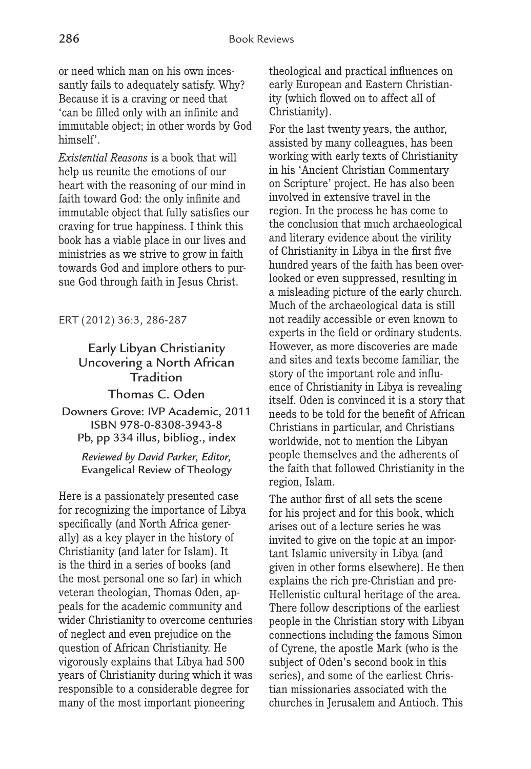or need which man on his own incessantly fails to adequately satisfy. Why? Because it is a craving or need that 'can be filled only with an infinite and immutable object; in other words by God himself'.

*Existential Reasons* is a book that will help us reunite the emotions of our heart with the reasoning of our mind in faith toward God: the only infinite and immutable object that fully satisfies our craving for true happiness. I think this book has a viable place in our lives and ministries as we strive to grow in faith towards God and implore others to pursue God through faith in Jesus Christ.

ERT (2012) 36:3, 286-287

## Early Libyan Christianity Uncovering a North African Tradition

Thomas C. Oden Downers Grove: IVP Academic, 2011

ISBN 978-0-8308-3943-8 Pb, pp 334 illus, bibliog., index

*Reviewed by David Parker, Editor,*  Evangelical Review of Theology

Here is a passionately presented case for recognizing the importance of Libya specifically (and North Africa generally) as a key player in the history of Christianity (and later for Islam). It is the third in a series of books (and the most personal one so far) in which veteran theologian, Thomas Oden, appeals for the academic community and wider Christianity to overcome centuries of neglect and even prejudice on the question of African Christianity. He vigorously explains that Libya had 500 years of Christianity during which it was responsible to a considerable degree for many of the most important pioneering

theological and practical influences on early European and Eastern Christianity (which flowed on to affect all of Christianity).

For the last twenty years, the author, assisted by many colleagues, has been working with early texts of Christianity in his 'Ancient Christian Commentary on Scripture' project. He has also been involved in extensive travel in the region. In the process he has come to the conclusion that much archaeological and literary evidence about the virility of Christianity in Libya in the first five hundred years of the faith has been overlooked or even suppressed, resulting in a misleading picture of the early church. Much of the archaeological data is still not readily accessible or even known to experts in the field or ordinary students. However, as more discoveries are made and sites and texts become familiar, the story of the important role and influence of Christianity in Libya is revealing itself. Oden is convinced it is a story that needs to be told for the benefit of African Christians in particular, and Christians worldwide, not to mention the Libyan people themselves and the adherents of the faith that followed Christianity in the region, Islam.

The author first of all sets the scene for his project and for this book, which arises out of a lecture series he was invited to give on the topic at an important Islamic university in Libya (and given in other forms elsewhere). He then explains the rich pre-Christian and pre-Hellenistic cultural heritage of the area. There follow descriptions of the earliest people in the Christian story with Libyan connections including the famous Simon of Cyrene, the apostle Mark (who is the subject of Oden's second book in this series), and some of the earliest Christian missionaries associated with the churches in Jerusalem and Antioch. This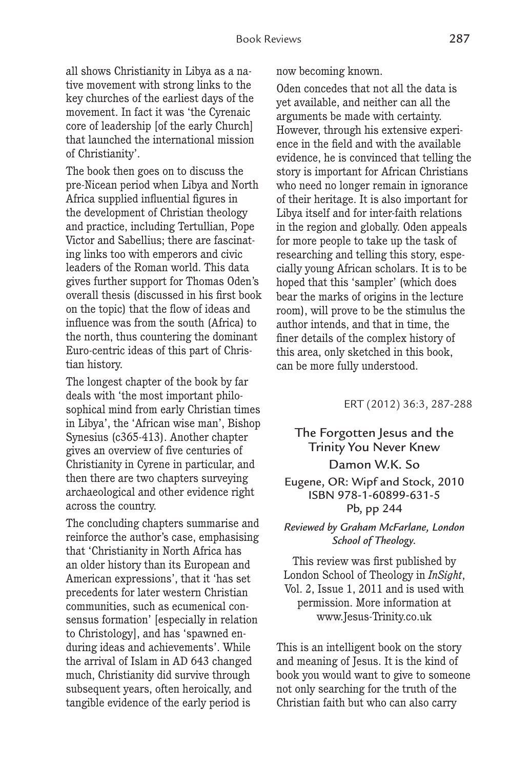all shows Christianity in Libya as a native movement with strong links to the key churches of the earliest days of the movement. In fact it was 'the Cyrenaic core of leadership [of the early Church] that launched the international mission of Christianity'.

The book then goes on to discuss the pre-Nicean period when Libya and North Africa supplied influential figures in the development of Christian theology and practice, including Tertullian, Pope Victor and Sabellius; there are fascinating links too with emperors and civic leaders of the Roman world. This data gives further support for Thomas Oden's overall thesis (discussed in his first book on the topic) that the flow of ideas and influence was from the south (Africa) to the north, thus countering the dominant Euro-centric ideas of this part of Christian history.

The longest chapter of the book by far deals with 'the most important philosophical mind from early Christian times in Libya', the 'African wise man', Bishop Synesius (c365-413). Another chapter gives an overview of five centuries of Christianity in Cyrene in particular, and then there are two chapters surveying archaeological and other evidence right across the country.

The concluding chapters summarise and reinforce the author's case, emphasising that 'Christianity in North Africa has an older history than its European and American expressions', that it 'has set precedents for later western Christian communities, such as ecumenical consensus formation' [especially in relation to Christology], and has 'spawned enduring ideas and achievements'. While the arrival of Islam in AD 643 changed much, Christianity did survive through subsequent years, often heroically, and tangible evidence of the early period is

now becoming known.

Oden concedes that not all the data is yet available, and neither can all the arguments be made with certainty. However, through his extensive experience in the field and with the available evidence, he is convinced that telling the story is important for African Christians who need no longer remain in ignorance of their heritage. It is also important for Libya itself and for inter-faith relations in the region and globally. Oden appeals for more people to take up the task of researching and telling this story, especially young African scholars. It is to be hoped that this 'sampler' (which does bear the marks of origins in the lecture room), will prove to be the stimulus the author intends, and that in time, the finer details of the complex history of this area, only sketched in this book, can be more fully understood.

ERT (2012) 36:3, 287-288

## The Forgotten Jesus and the Trinity You Never Knew Damon W.K. So

#### Eugene, OR: Wipf and Stock, 2010 ISBN 978-1-60899-631-5 Pb, pp 244

#### *Reviewed by Graham McFarlane, London School of Theology.*

This review was first published by London School of Theology in *InSight*, Vol. 2, Issue 1, 2011 and is used with permission. More information at www.Jesus-Trinity.co.uk

This is an intelligent book on the story and meaning of Jesus. It is the kind of book you would want to give to someone not only searching for the truth of the Christian faith but who can also carry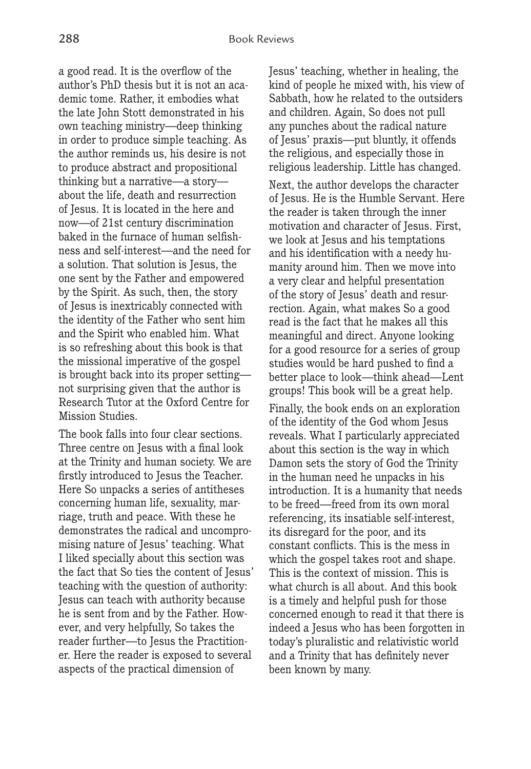a good read. It is the overflow of the author's PhD thesis but it is not an academic tome. Rather, it embodies what the late John Stott demonstrated in his own teaching ministry—deep thinking in order to produce simple teaching. As the author reminds us, his desire is not to produce abstract and propositional thinking but a narrative—a story about the life, death and resurrection of Jesus. It is located in the here and now—of 21st century discrimination baked in the furnace of human selfishness and self-interest—and the need for a solution. That solution is Jesus, the one sent by the Father and empowered by the Spirit. As such, then, the story of Jesus is inextricably connected with the identity of the Father who sent him and the Spirit who enabled him. What is so refreshing about this book is that the missional imperative of the gospel is brought back into its proper setting not surprising given that the author is Research Tutor at the Oxford Centre for Mission Studies.

The book falls into four clear sections. Three centre on Jesus with a final look at the Trinity and human society. We are firstly introduced to Jesus the Teacher. Here So unpacks a series of antitheses concerning human life, sexuality, marriage, truth and peace. With these he demonstrates the radical and uncompromising nature of Jesus' teaching. What I liked specially about this section was the fact that So ties the content of Jesus' teaching with the question of authority: Jesus can teach with authority because he is sent from and by the Father. However, and very helpfully, So takes the reader further—to Jesus the Practitioner. Here the reader is exposed to several aspects of the practical dimension of

Jesus' teaching, whether in healing, the kind of people he mixed with, his view of Sabbath, how he related to the outsiders and children. Again, So does not pull any punches about the radical nature of Jesus' praxis—put bluntly, it offends the religious, and especially those in religious leadership. Little has changed.

Next, the author develops the character of Jesus. He is the Humble Servant. Here the reader is taken through the inner motivation and character of Jesus. First, we look at Jesus and his temptations and his identification with a needy humanity around him. Then we move into a very clear and helpful presentation of the story of Jesus' death and resurrection. Again, what makes So a good read is the fact that he makes all this meaningful and direct. Anyone looking for a good resource for a series of group studies would be hard pushed to find a better place to look—think ahead—Lent groups! This book will be a great help.

Finally, the book ends on an exploration of the identity of the God whom Jesus reveals. What I particularly appreciated about this section is the way in which Damon sets the story of God the Trinity in the human need he unpacks in his introduction. It is a humanity that needs to be freed—freed from its own moral referencing, its insatiable self-interest, its disregard for the poor, and its constant conflicts. This is the mess in which the gospel takes root and shape. This is the context of mission. This is what church is all about. And this book is a timely and helpful push for those concerned enough to read it that there is indeed a Jesus who has been forgotten in today's pluralistic and relativistic world and a Trinity that has definitely never been known by many.